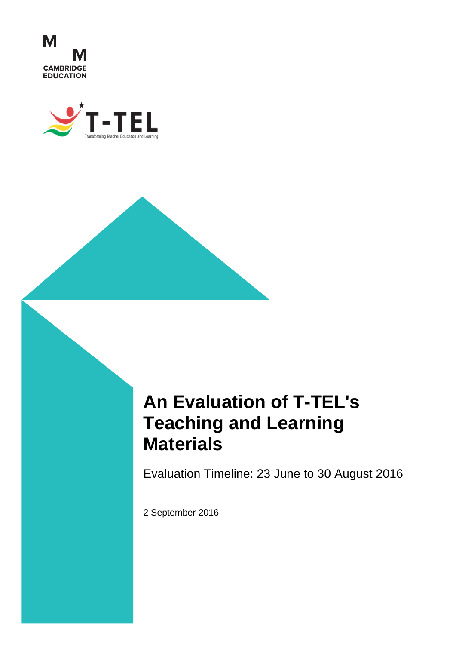



# **An Evaluation of T-TEL's Teaching and Learning Materials**

Evaluation Timeline: 23 June to 30 August 2016

2 September 2016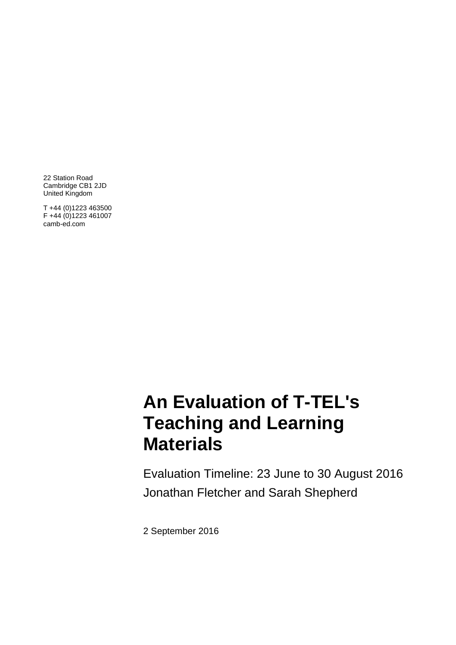22 Station Road Cambridge CB1 2JD United Kingdom

T +44 (0)1223 463500 F +44 (0)1223 461007 camb-ed.com

# 1in Teaching and Learning Materials Evaluation Report\_FINAL revised CA.docx **Materials An Evaluation of T-TEL's**

Evaluation Timeline: 23 June to 30 August 2016 Jonathan Fletcher and Sarah Shepherd

2 September 2016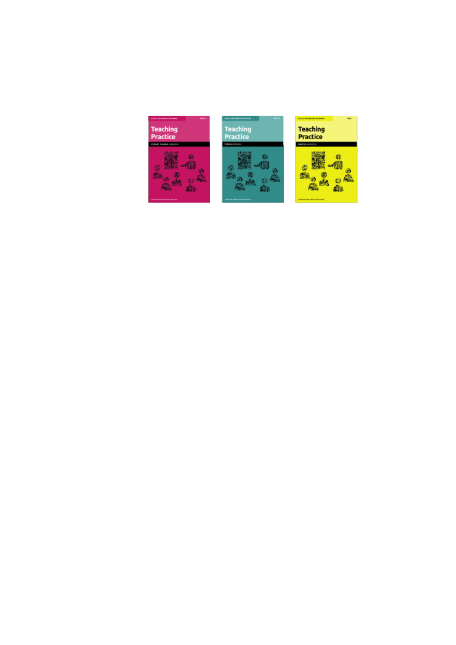| <b>SCHOOL</b>                          | <b>TWO CLEAR WAS SERVED AND</b>         | <b>Walde</b>                              |
|----------------------------------------|-----------------------------------------|-------------------------------------------|
| <b>SCADE ENVIRONMENTAL CARRIER</b>     | 194444                                  | which is an indicated and chain is a work |
| <b>Teaching</b>                        | <b>Teaching</b>                         | <b>Teaching</b>                           |
| <b>Practice</b>                        | <b>Practice</b>                         | <b>Practice</b>                           |
| WARM SHOWS AMERICA                     | <b>B. BOA IL O ESPARA</b>               | NUMBER AND RESID                          |
| <b>START BUTCHER BIS RISK LIBURERS</b> | ning was the molecular provision of the | <b>Ar Monte Education</b>                 |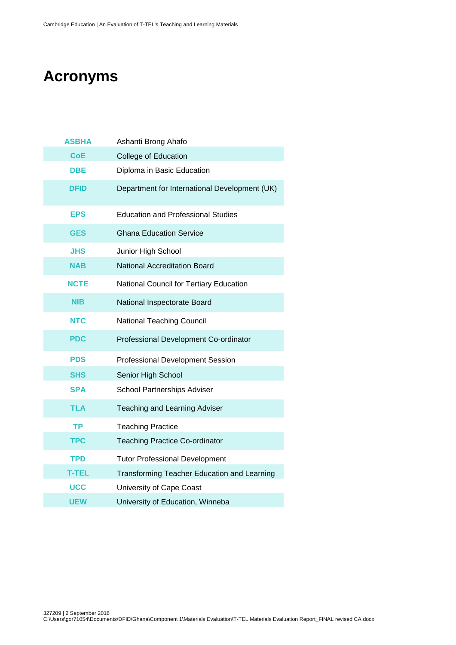# **Acronyms**

| <b>ASBHA</b> | Ashanti Brong Ahafo                                |
|--------------|----------------------------------------------------|
| <b>CoE</b>   | <b>College of Education</b>                        |
| DBE          | Diploma in Basic Education                         |
| DFID         | Department for International Development (UK)      |
| <b>EPS</b>   | <b>Education and Professional Studies</b>          |
| <b>GES</b>   | <b>Ghana Education Service</b>                     |
| <b>JHS</b>   | Junior High School                                 |
| <b>NAB</b>   | <b>National Accreditation Board</b>                |
| <b>NCTE</b>  | National Council for Tertiary Education            |
| <b>NIB</b>   | National Inspectorate Board                        |
| <b>NTC</b>   | <b>National Teaching Council</b>                   |
| <b>PDC</b>   | Professional Development Co-ordinator              |
| <b>PDS</b>   | <b>Professional Development Session</b>            |
| <b>SHS</b>   | Senior High School                                 |
| <b>SPA</b>   | <b>School Partnerships Adviser</b>                 |
| TLA          | Teaching and Learning Adviser                      |
| <b>TP</b>    | <b>Teaching Practice</b>                           |
| <b>TPC</b>   | <b>Teaching Practice Co-ordinator</b>              |
| <b>TPD</b>   | <b>Tutor Professional Development</b>              |
| <b>T-TEL</b> | <b>Transforming Teacher Education and Learning</b> |
| <b>UCC</b>   | University of Cape Coast                           |
| <b>UEW</b>   | University of Education, Winneba                   |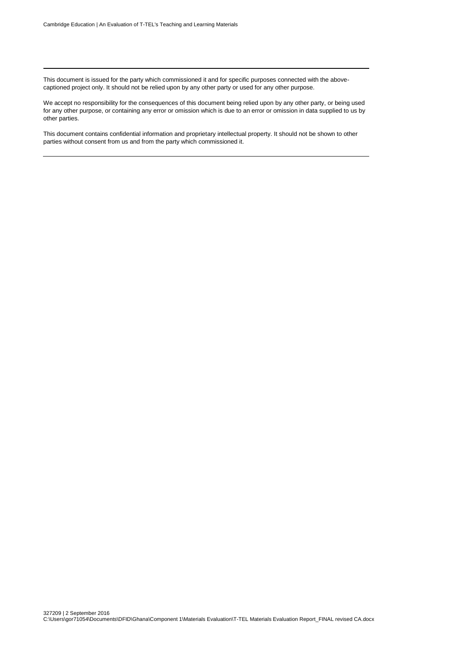This document is issued for the party which commissioned it and for specific purposes connected with the abovecaptioned project only. It should not be relied upon by any other party or used for any other purpose.

We accept no responsibility for the consequences of this document being relied upon by any other party, or being used for any other purpose, or containing any error or omission which is due to an error or omission in data supplied to us by other parties.

This document contains confidential information and proprietary intellectual property. It should not be shown to other parties without consent from us and from the party which commissioned it.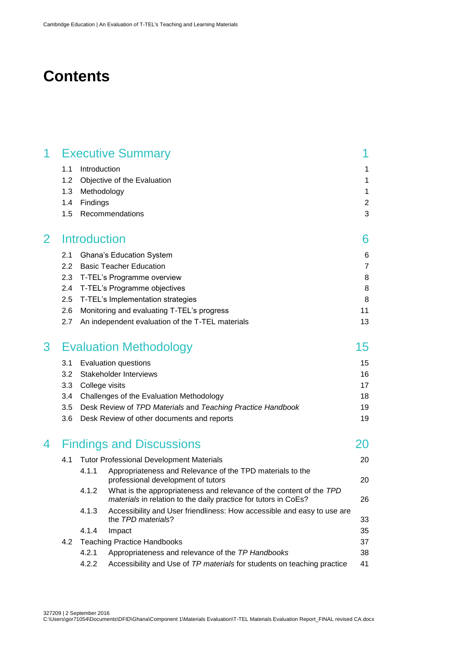# **Contents**

| 1            |     |                     | <b>Executive Summary</b>                                                                                                               |                |
|--------------|-----|---------------------|----------------------------------------------------------------------------------------------------------------------------------------|----------------|
|              | 1.1 | Introduction        |                                                                                                                                        | 1              |
|              | 1.2 |                     | Objective of the Evaluation                                                                                                            | $\mathbf 1$    |
|              | 1.3 | Methodology         |                                                                                                                                        | 1              |
|              | 1.4 | Findings            |                                                                                                                                        | $\overline{2}$ |
|              | 1.5 |                     | Recommendations                                                                                                                        | 3              |
| $\mathbf{2}$ |     | <b>Introduction</b> |                                                                                                                                        | 6              |
|              | 2.1 |                     | <b>Ghana's Education System</b>                                                                                                        | 6              |
|              | 2.2 |                     | <b>Basic Teacher Education</b>                                                                                                         | $\overline{7}$ |
|              | 2.3 |                     | T-TEL's Programme overview                                                                                                             | 8              |
|              | 2.4 |                     | T-TEL's Programme objectives                                                                                                           | 8              |
|              | 2.5 |                     | T-TEL's Implementation strategies                                                                                                      | 8              |
|              | 2.6 |                     | Monitoring and evaluating T-TEL's progress                                                                                             | 11             |
|              | 2.7 |                     | An independent evaluation of the T-TEL materials                                                                                       | 13             |
| 3            |     |                     | <b>Evaluation Methodology</b>                                                                                                          | 15             |
|              | 3.1 |                     | <b>Evaluation questions</b>                                                                                                            | 15             |
|              | 3.2 |                     | <b>Stakeholder Interviews</b>                                                                                                          | 16             |
|              | 3.3 | College visits      |                                                                                                                                        | 17             |
|              | 3.4 |                     | Challenges of the Evaluation Methodology                                                                                               | 18             |
|              | 3.5 |                     | Desk Review of TPD Materials and Teaching Practice Handbook                                                                            | 19             |
|              | 3.6 |                     | Desk Review of other documents and reports                                                                                             | 19             |
| 4            |     |                     | <b>Findings and Discussions</b>                                                                                                        | 20             |
|              | 4.1 |                     | <b>Tutor Professional Development Materials</b>                                                                                        | 20             |
|              |     | 4.1.1               | Appropriateness and Relevance of the TPD materials to the<br>professional development of tutors                                        | 20             |
|              |     | 4.1.2               | What is the appropriateness and relevance of the content of the TPD<br>materials in relation to the daily practice for tutors in CoEs? | 26             |
|              |     | 4.1.3               | Accessibility and User friendliness: How accessible and easy to use are<br>the TPD materials?                                          | 33             |
|              |     | 4.1.4               | Impact                                                                                                                                 | 35             |
|              | 4.2 |                     | <b>Teaching Practice Handbooks</b>                                                                                                     | 37             |
|              |     | 4.2.1               | Appropriateness and relevance of the TP Handbooks                                                                                      | 38             |
|              |     | 4.2.2               | Accessibility and Use of TP materials for students on teaching practice                                                                | 41             |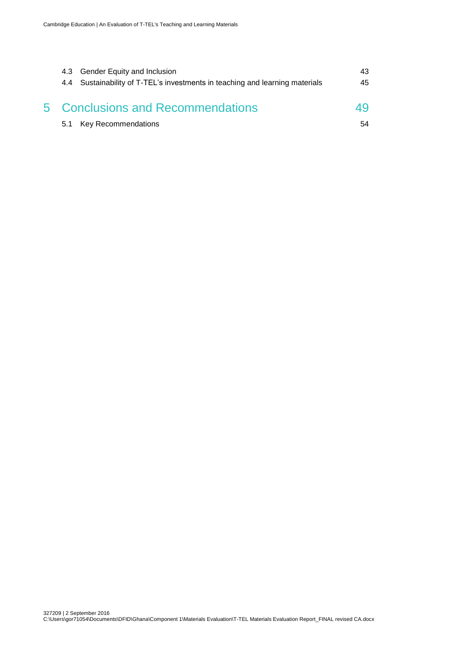| 4.3 Gender Equity and Inclusion<br>4.4 Sustainability of T-TEL's investments in teaching and learning materials | 43.<br>45 |
|-----------------------------------------------------------------------------------------------------------------|-----------|
| 5 Conclusions and Recommendations                                                                               | 49        |
| 5.1 Key Recommendations                                                                                         | 54        |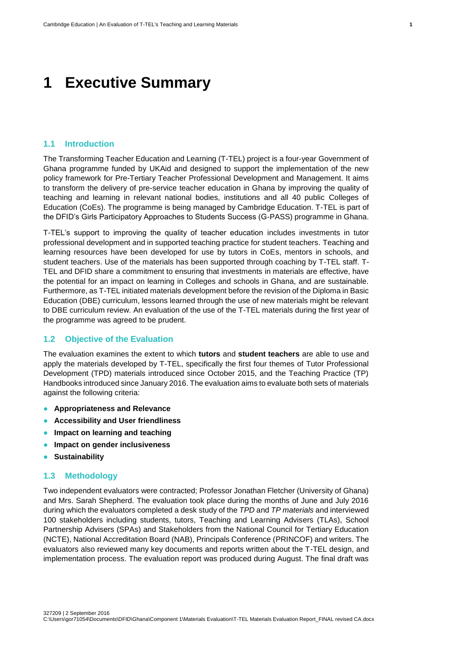# <span id="page-8-0"></span>**1 Executive Summary**

#### <span id="page-8-1"></span>**1.1 Introduction**

The Transforming Teacher Education and Learning (T-TEL) project is a four-year Government of Ghana programme funded by UKAid and designed to support the implementation of the new policy framework for Pre-Tertiary Teacher Professional Development and Management. It aims to transform the delivery of pre-service teacher education in Ghana by improving the quality of teaching and learning in relevant national bodies, institutions and all 40 public Colleges of Education (CoEs). The programme is being managed by Cambridge Education. T-TEL is part of the DFID's Girls Participatory Approaches to Students Success (G-PASS) programme in Ghana.

T-TEL's support to improving the quality of teacher education includes investments in tutor professional development and in supported teaching practice for student teachers. Teaching and learning resources have been developed for use by tutors in CoEs, mentors in schools, and student teachers. Use of the materials has been supported through coaching by T-TEL staff. T-TEL and DFID share a commitment to ensuring that investments in materials are effective, have the potential for an impact on learning in Colleges and schools in Ghana, and are sustainable. Furthermore, as T-TEL initiated materials development before the revision of the Diploma in Basic Education (DBE) curriculum, lessons learned through the use of new materials might be relevant to DBE curriculum review. An evaluation of the use of the T-TEL materials during the first year of the programme was agreed to be prudent.

#### <span id="page-8-2"></span>**1.2 Objective of the Evaluation**

The evaluation examines the extent to which **tutors** and **student teachers** are able to use and apply the materials developed by T-TEL, specifically the first four themes of Tutor Professional Development (TPD) materials introduced since October 2015, and the Teaching Practice (TP) Handbooks introduced since January 2016. The evaluation aims to evaluate both sets of materials against the following criteria:

- **Appropriateness and Relevance**
- **Accessibility and User friendliness**
- **Impact on learning and teaching**
- **Impact on gender inclusiveness**
- **Sustainability**

#### <span id="page-8-3"></span>**1.3 Methodology**

Two independent evaluators were contracted; Professor Jonathan Fletcher (University of Ghana) and Mrs. Sarah Shepherd. The evaluation took place during the months of June and July 2016 during which the evaluators completed a desk study of the *TPD* and *TP materials* and interviewed 100 stakeholders including students, tutors, Teaching and Learning Advisers (TLAs), School Partnership Advisers (SPAs) and Stakeholders from the National Council for Tertiary Education (NCTE), National Accreditation Board (NAB), Principals Conference (PRINCOF) and writers. The evaluators also reviewed many key documents and reports written about the T-TEL design, and implementation process. The evaluation report was produced during August. The final draft was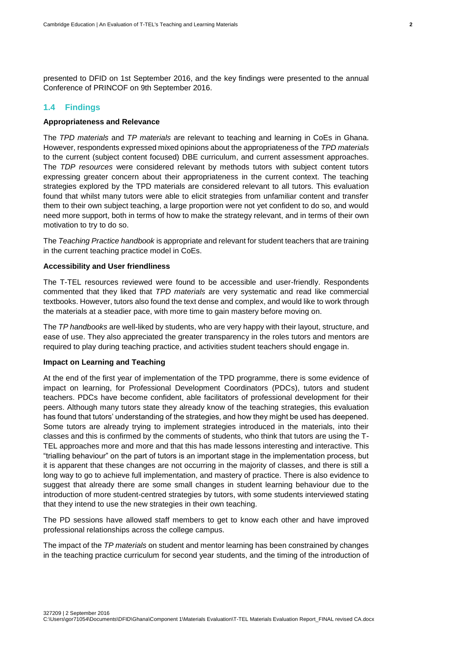presented to DFID on 1st September 2016, and the key findings were presented to the annual Conference of PRINCOF on 9th September 2016.

## <span id="page-9-0"></span>**1.4 Findings**

### **Appropriateness and Relevance**

The *TPD materials* and *TP materials* are relevant to teaching and learning in CoEs in Ghana. However, respondents expressed mixed opinions about the appropriateness of the *TPD materials* to the current (subject content focused) DBE curriculum, and current assessment approaches. The *TDP resources* were considered relevant by methods tutors with subject content tutors expressing greater concern about their appropriateness in the current context. The teaching strategies explored by the TPD materials are considered relevant to all tutors. This evaluation found that whilst many tutors were able to elicit strategies from unfamiliar content and transfer them to their own subject teaching, a large proportion were not yet confident to do so, and would need more support, both in terms of how to make the strategy relevant, and in terms of their own motivation to try to do so.

The *Teaching Practice handbook* is appropriate and relevant for student teachers that are training in the current teaching practice model in CoEs.

#### **Accessibility and User friendliness**

The T-TEL resources reviewed were found to be accessible and user-friendly. Respondents commented that they liked that *TPD materials* are very systematic and read like commercial textbooks. However, tutors also found the text dense and complex, and would like to work through the materials at a steadier pace, with more time to gain mastery before moving on.

The *TP handbooks* are well-liked by students, who are very happy with their layout, structure, and ease of use. They also appreciated the greater transparency in the roles tutors and mentors are required to play during teaching practice, and activities student teachers should engage in.

#### **Impact on Learning and Teaching**

At the end of the first year of implementation of the TPD programme, there is some evidence of impact on learning, for Professional Development Coordinators (PDCs), tutors and student teachers. PDCs have become confident, able facilitators of professional development for their peers. Although many tutors state they already know of the teaching strategies, this evaluation has found that tutors' understanding of the strategies, and how they might be used has deepened. Some tutors are already trying to implement strategies introduced in the materials, into their classes and this is confirmed by the comments of students, who think that tutors are using the T-TEL approaches more and more and that this has made lessons interesting and interactive. This "trialling behaviour" on the part of tutors is an important stage in the implementation process, but it is apparent that these changes are not occurring in the majority of classes, and there is still a long way to go to achieve full implementation, and mastery of practice. There is also evidence to suggest that already there are some small changes in student learning behaviour due to the introduction of more student-centred strategies by tutors, with some students interviewed stating that they intend to use the new strategies in their own teaching.

The PD sessions have allowed staff members to get to know each other and have improved professional relationships across the college campus.

The impact of the *TP materials* on student and mentor learning has been constrained by changes in the teaching practice curriculum for second year students, and the timing of the introduction of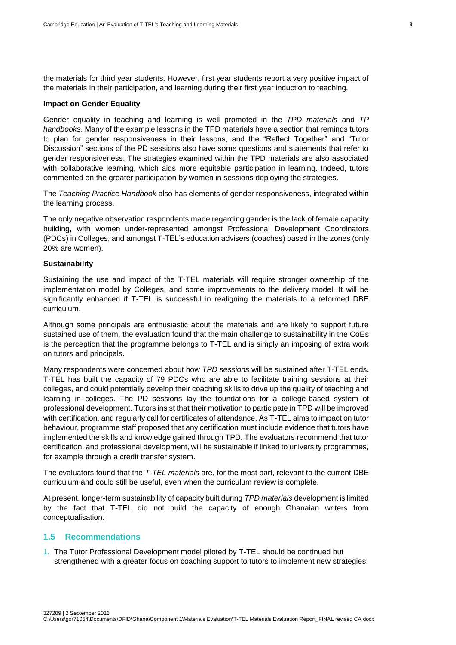the materials for third year students. However, first year students report a very positive impact of the materials in their participation, and learning during their first year induction to teaching.

#### **Impact on Gender Equality**

Gender equality in teaching and learning is well promoted in the *TPD materials* and *TP handbooks*. Many of the example lessons in the TPD materials have a section that reminds tutors to plan for gender responsiveness in their lessons, and the "Reflect Together" and "Tutor Discussion" sections of the PD sessions also have some questions and statements that refer to gender responsiveness. The strategies examined within the TPD materials are also associated with collaborative learning, which aids more equitable participation in learning. Indeed, tutors commented on the greater participation by women in sessions deploying the strategies.

The *Teaching Practice Handbook* also has elements of gender responsiveness, integrated within the learning process.

The only negative observation respondents made regarding gender is the lack of female capacity building, with women under-represented amongst Professional Development Coordinators (PDCs) in Colleges, and amongst T-TEL's education advisers (coaches) based in the zones (only 20% are women).

#### **Sustainability**

Sustaining the use and impact of the T-TEL materials will require stronger ownership of the implementation model by Colleges, and some improvements to the delivery model. It will be significantly enhanced if T-TEL is successful in realigning the materials to a reformed DBE curriculum.

Although some principals are enthusiastic about the materials and are likely to support future sustained use of them, the evaluation found that the main challenge to sustainability in the CoEs is the perception that the programme belongs to T-TEL and is simply an imposing of extra work on tutors and principals.

Many respondents were concerned about how *TPD sessions* will be sustained after T-TEL ends. T-TEL has built the capacity of 79 PDCs who are able to facilitate training sessions at their colleges, and could potentially develop their coaching skills to drive up the quality of teaching and learning in colleges. The PD sessions lay the foundations for a college-based system of professional development. Tutors insist that their motivation to participate in TPD will be improved with certification, and regularly call for certificates of attendance. As T-TEL aims to impact on tutor behaviour, programme staff proposed that any certification must include evidence that tutors have implemented the skills and knowledge gained through TPD. The evaluators recommend that tutor certification, and professional development, will be sustainable if linked to university programmes, for example through a credit transfer system.

The evaluators found that the *T-TEL materials* are, for the most part, relevant to the current DBE curriculum and could still be useful, even when the curriculum review is complete.

At present, longer-term sustainability of capacity built during *TPD materials* development is limited by the fact that T-TEL did not build the capacity of enough Ghanaian writers from conceptualisation.

# <span id="page-10-0"></span>**1.5 Recommendations**

1. The Tutor Professional Development model piloted by T-TEL should be continued but strengthened with a greater focus on coaching support to tutors to implement new strategies.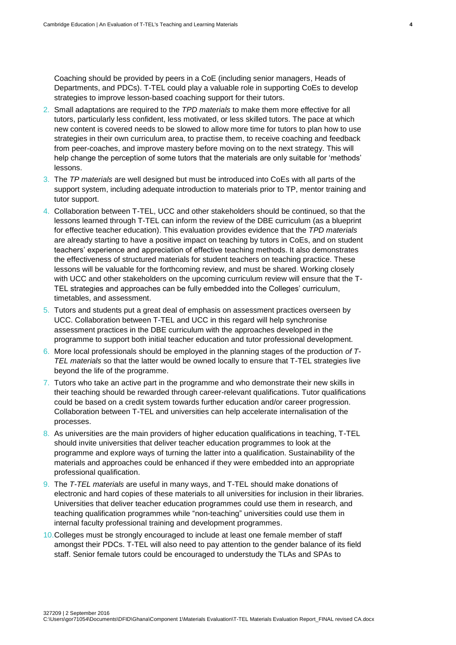Coaching should be provided by peers in a CoE (including senior managers, Heads of Departments, and PDCs). T-TEL could play a valuable role in supporting CoEs to develop strategies to improve lesson-based coaching support for their tutors.

- 2. Small adaptations are required to the *TPD materials* to make them more effective for all tutors, particularly less confident, less motivated, or less skilled tutors. The pace at which new content is covered needs to be slowed to allow more time for tutors to plan how to use strategies in their own curriculum area, to practise them, to receive coaching and feedback from peer-coaches, and improve mastery before moving on to the next strategy. This will help change the perception of some tutors that the materials are only suitable for 'methods' lessons.
- 3. The *TP materials* are well designed but must be introduced into CoEs with all parts of the support system, including adequate introduction to materials prior to TP, mentor training and tutor support.
- 4. Collaboration between T-TEL, UCC and other stakeholders should be continued, so that the lessons learned through T-TEL can inform the review of the DBE curriculum (as a blueprint for effective teacher education). This evaluation provides evidence that the *TPD materials* are already starting to have a positive impact on teaching by tutors in CoEs, and on student teachers' experience and appreciation of effective teaching methods. It also demonstrates the effectiveness of structured materials for student teachers on teaching practice. These lessons will be valuable for the forthcoming review, and must be shared. Working closely with UCC and other stakeholders on the upcoming curriculum review will ensure that the T-TEL strategies and approaches can be fully embedded into the Colleges' curriculum, timetables, and assessment.
- 5. Tutors and students put a great deal of emphasis on assessment practices overseen by UCC. Collaboration between T-TEL and UCC in this regard will help synchronise assessment practices in the DBE curriculum with the approaches developed in the programme to support both initial teacher education and tutor professional development.
- 6. More local professionals should be employed in the planning stages of the production *of T-TEL materials* so that the latter would be owned locally to ensure that T-TEL strategies live beyond the life of the programme.
- 7. Tutors who take an active part in the programme and who demonstrate their new skills in their teaching should be rewarded through career-relevant qualifications. Tutor qualifications could be based on a credit system towards further education and/or career progression. Collaboration between T-TEL and universities can help accelerate internalisation of the processes.
- 8. As universities are the main providers of higher education qualifications in teaching, T-TEL should invite universities that deliver teacher education programmes to look at the programme and explore ways of turning the latter into a qualification. Sustainability of the materials and approaches could be enhanced if they were embedded into an appropriate professional qualification.
- 9. The *T-TEL materials* are useful in many ways, and T-TEL should make donations of electronic and hard copies of these materials to all universities for inclusion in their libraries. Universities that deliver teacher education programmes could use them in research, and teaching qualification programmes while "non-teaching" universities could use them in internal faculty professional training and development programmes.
- 10.Colleges must be strongly encouraged to include at least one female member of staff amongst their PDCs. T-TEL will also need to pay attention to the gender balance of its field staff. Senior female tutors could be encouraged to understudy the TLAs and SPAs to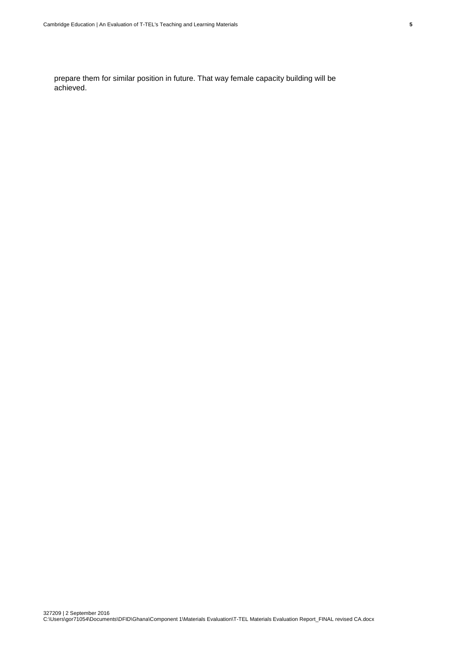prepare them for similar position in future. That way female capacity building will be achieved.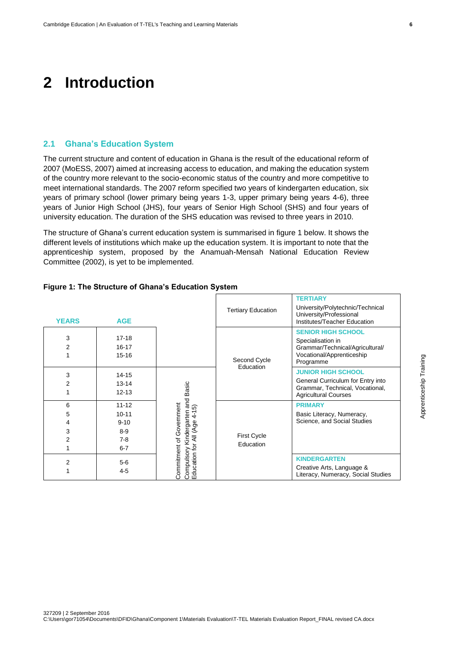# <span id="page-13-0"></span>**2 Introduction**

#### <span id="page-13-1"></span>**2.1 Ghana's Education System**

The current structure and content of education in Ghana is the result of the educational reform of 2007 (MoESS, 2007) aimed at increasing access to education, and making the education system of the country more relevant to the socio-economic status of the country and more competitive to meet international standards. The 2007 reform specified two years of kindergarten education, six years of primary school (lower primary being years 1-3, upper primary being years 4-6), three years of Junior High School (JHS), four years of Senior High School (SHS) and four years of university education. The duration of the SHS education was revised to three years in 2010.

The structure of Ghana's current education system is summarised in figure 1 below. It shows the different levels of institutions which make up the education system. It is important to note that the apprenticeship system, proposed by the Anamuah-Mensah National Education Review Committee (2002), is yet to be implemented.

| <b>YEARS</b>          | <b>AGE</b>                                                        |                                                                                                               | <b>Tertiary Education</b>       | TERTIARY<br>University/Polytechnic/Technical<br>University/Professional<br>Institutes/Teacher Education                          |
|-----------------------|-------------------------------------------------------------------|---------------------------------------------------------------------------------------------------------------|---------------------------------|----------------------------------------------------------------------------------------------------------------------------------|
| 3<br>2                | $17 - 18$<br>$16 - 17$<br>$15 - 16$                               | Basic<br>and<br>Commitment of Government<br>$4 - 15$<br>Compulsory Kindergarten<br>Education for All (Age 4-1 | Second Cycle<br>Education       | <b>SENIOR HIGH SCHOOL</b><br>Specialisation in<br>Grammar/Technical/Agricultural/<br>Vocational/Apprenticeship<br>Programme      |
| 3<br>2                | $14 - 15$<br>$13 - 14$<br>$12 - 13$                               |                                                                                                               |                                 | <b>JUNIOR HIGH SCHOOL</b><br>General Curriculum for Entry into<br>Grammar, Technical, Vocational,<br><b>Agricultural Courses</b> |
| 6<br>5<br>4<br>3<br>2 | $11 - 12$<br>$10 - 11$<br>$9 - 10$<br>$8 - 9$<br>$7-8$<br>$6 - 7$ |                                                                                                               | <b>First Cycle</b><br>Education | <b>PRIMARY</b><br>Basic Literacy, Numeracy,<br>Science, and Social Studies                                                       |
| 2                     | $5-6$<br>$4 - 5$                                                  |                                                                                                               |                                 | <b>KINDERGARTEN</b><br>Creative Arts, Language &<br>Literacy, Numeracy, Social Studies                                           |

# **Figure 1: The Structure of Ghana's Education System**

Apprenticeship Training

Apprenticeship Training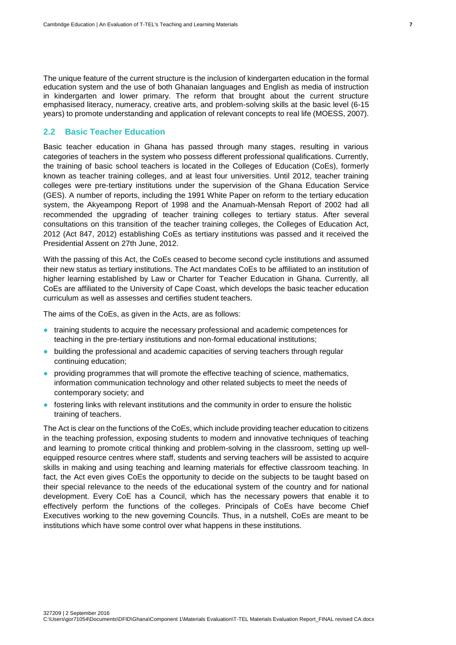The unique feature of the current structure is the inclusion of kindergarten education in the formal education system and the use of both Ghanaian languages and English as media of instruction in kindergarten and lower primary. The reform that brought about the current structure emphasised literacy, numeracy, creative arts, and problem-solving skills at the basic level (6-15 years) to promote understanding and application of relevant concepts to real life (MOESS, 2007).

# <span id="page-14-0"></span>**2.2 Basic Teacher Education**

Basic teacher education in Ghana has passed through many stages, resulting in various categories of teachers in the system who possess different professional qualifications. Currently, the training of basic school teachers is located in the Colleges of Education (CoEs), formerly known as teacher training colleges, and at least four universities. Until 2012, teacher training colleges were pre-tertiary institutions under the supervision of the Ghana Education Service (GES). A number of reports, including the 1991 White Paper on reform to the tertiary education system, the Akyeampong Report of 1998 and the Anamuah-Mensah Report of 2002 had all recommended the upgrading of teacher training colleges to tertiary status. After several consultations on this transition of the teacher training colleges, the Colleges of Education Act, 2012 (Act 847, 2012) establishing CoEs as tertiary institutions was passed and it received the Presidential Assent on 27th June, 2012.

With the passing of this Act, the CoEs ceased to become second cycle institutions and assumed their new status as tertiary institutions. The Act mandates CoEs to be affiliated to an institution of higher learning established by Law or Charter for Teacher Education in Ghana. Currently, all CoEs are affiliated to the University of Cape Coast, which develops the basic teacher education curriculum as well as assesses and certifies student teachers.

The aims of the CoEs, as given in the Acts, are as follows:

- training students to acquire the necessary professional and academic competences for teaching in the pre-tertiary institutions and non-formal educational institutions;
- building the professional and academic capacities of serving teachers through regular continuing education;
- providing programmes that will promote the effective teaching of science, mathematics, information communication technology and other related subjects to meet the needs of contemporary society; and
- fostering links with relevant institutions and the community in order to ensure the holistic training of teachers.

The Act is clear on the functions of the CoEs, which include providing teacher education to citizens in the teaching profession, exposing students to modern and innovative techniques of teaching and learning to promote critical thinking and problem-solving in the classroom, setting up wellequipped resource centres where staff, students and serving teachers will be assisted to acquire skills in making and using teaching and learning materials for effective classroom teaching. In fact, the Act even gives CoEs the opportunity to decide on the subjects to be taught based on their special relevance to the needs of the educational system of the country and for national development. Every CoE has a Council, which has the necessary powers that enable it to effectively perform the functions of the colleges. Principals of CoEs have become Chief Executives working to the new governing Councils. Thus, in a nutshell, CoEs are meant to be institutions which have some control over what happens in these institutions.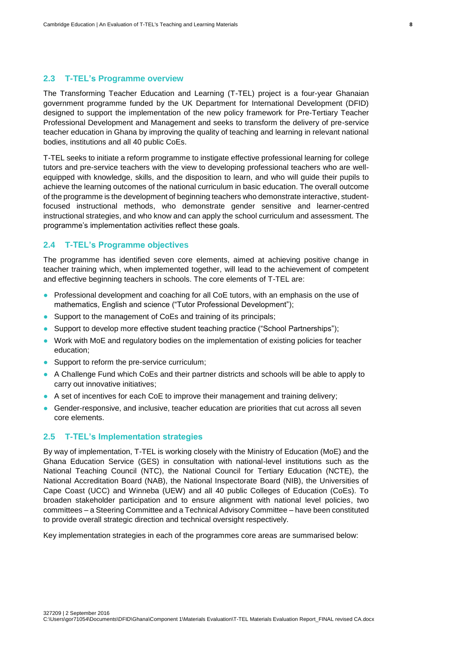#### <span id="page-15-0"></span>**2.3 T-TEL's Programme overview**

The Transforming Teacher Education and Learning (T-TEL) project is a four-year Ghanaian government programme funded by the UK Department for International Development (DFID) designed to support the implementation of the new policy framework for Pre-Tertiary Teacher Professional Development and Management and seeks to transform the delivery of pre-service teacher education in Ghana by improving the quality of teaching and learning in relevant national bodies, institutions and all 40 public CoEs.

T-TEL seeks to initiate a reform programme to instigate effective professional learning for college tutors and pre-service teachers with the view to developing professional teachers who are wellequipped with knowledge, skills, and the disposition to learn, and who will guide their pupils to achieve the learning outcomes of the national curriculum in basic education. The overall outcome of the programme is the development of beginning teachers who demonstrate interactive, studentfocused instructional methods, who demonstrate gender sensitive and learner-centred instructional strategies, and who know and can apply the school curriculum and assessment. The programme's implementation activities reflect these goals.

## <span id="page-15-1"></span>**2.4 T-TEL's Programme objectives**

The programme has identified seven core elements, aimed at achieving positive change in teacher training which, when implemented together, will lead to the achievement of competent and effective beginning teachers in schools. The core elements of T-TEL are:

- Professional development and coaching for all CoE tutors, with an emphasis on the use of mathematics, English and science ("Tutor Professional Development");
- Support to the management of CoEs and training of its principals;
- Support to develop more effective student teaching practice ("School Partnerships");
- Work with MoE and regulatory bodies on the implementation of existing policies for teacher education;
- Support to reform the pre-service curriculum;
- A Challenge Fund which CoEs and their partner districts and schools will be able to apply to carry out innovative initiatives;
- A set of incentives for each CoE to improve their management and training delivery;
- Gender-responsive, and inclusive, teacher education are priorities that cut across all seven core elements.

# <span id="page-15-2"></span>**2.5 T-TEL's Implementation strategies**

By way of implementation, T-TEL is working closely with the Ministry of Education (MoE) and the Ghana Education Service (GES) in consultation with national-level institutions such as the National Teaching Council (NTC), the National Council for Tertiary Education (NCTE), the National Accreditation Board (NAB), the National Inspectorate Board (NIB), the Universities of Cape Coast (UCC) and Winneba (UEW) and all 40 public Colleges of Education (CoEs). To broaden stakeholder participation and to ensure alignment with national level policies, two committees – a Steering Committee and a Technical Advisory Committee – have been constituted to provide overall strategic direction and technical oversight respectively.

Key implementation strategies in each of the programmes core areas are summarised below: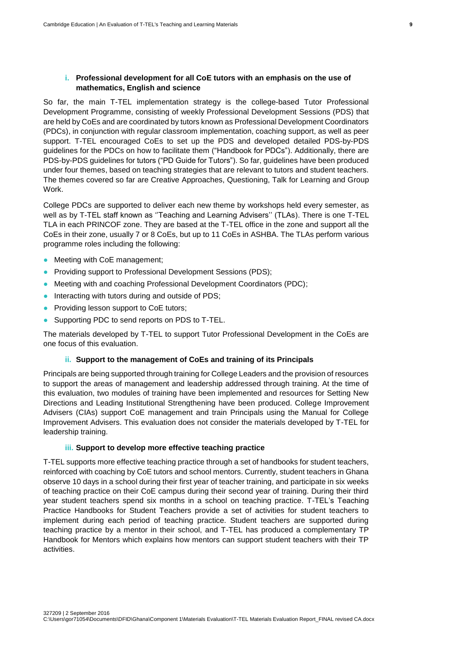# **i. Professional development for all CoE tutors with an emphasis on the use of mathematics, English and science**

So far, the main T-TEL implementation strategy is the college-based Tutor Professional Development Programme, consisting of weekly Professional Development Sessions (PDS) that are held by CoEs and are coordinated by tutors known as Professional Development Coordinators (PDCs), in conjunction with regular classroom implementation, coaching support, as well as peer support. T-TEL encouraged CoEs to set up the PDS and developed detailed PDS-by-PDS guidelines for the PDCs on how to facilitate them ("Handbook for PDCs"). Additionally, there are PDS-by-PDS guidelines for tutors ("PD Guide for Tutors"). So far, guidelines have been produced under four themes, based on teaching strategies that are relevant to tutors and student teachers. The themes covered so far are Creative Approaches, Questioning, Talk for Learning and Group Work.

College PDCs are supported to deliver each new theme by workshops held every semester, as well as by T-TEL staff known as "Teaching and Learning Advisers" (TLAs). There is one T-TEL TLA in each PRINCOF zone. They are based at the T-TEL office in the zone and support all the CoEs in their zone, usually 7 or 8 CoEs, but up to 11 CoEs in ASHBA. The TLAs perform various programme roles including the following:

- Meeting with CoE management;
- Providing support to Professional Development Sessions (PDS);
- Meeting with and coaching Professional Development Coordinators (PDC);
- Interacting with tutors during and outside of PDS;
- Providing lesson support to CoE tutors;
- Supporting PDC to send reports on PDS to T-TEL.

The materials developed by T-TEL to support Tutor Professional Development in the CoEs are one focus of this evaluation.

### **ii. Support to the management of CoEs and training of its Principals**

Principals are being supported through training for College Leaders and the provision of resources to support the areas of management and leadership addressed through training. At the time of this evaluation, two modules of training have been implemented and resources for Setting New Directions and Leading Institutional Strengthening have been produced. College Improvement Advisers (CIAs) support CoE management and train Principals using the Manual for College Improvement Advisers. This evaluation does not consider the materials developed by T-TEL for leadership training.

#### **iii. Support to develop more effective teaching practice**

T-TEL supports more effective teaching practice through a set of handbooks for student teachers, reinforced with coaching by CoE tutors and school mentors. Currently, student teachers in Ghana observe 10 days in a school during their first year of teacher training, and participate in six weeks of teaching practice on their CoE campus during their second year of training. During their third year student teachers spend six months in a school on teaching practice. T-TEL's Teaching Practice Handbooks for Student Teachers provide a set of activities for student teachers to implement during each period of teaching practice. Student teachers are supported during teaching practice by a mentor in their school, and T-TEL has produced a complementary TP Handbook for Mentors which explains how mentors can support student teachers with their TP activities.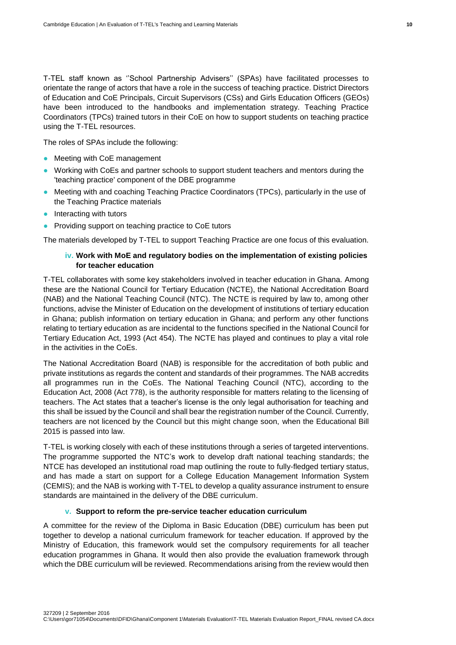T-TEL staff known as ''School Partnership Advisers'' (SPAs) have facilitated processes to orientate the range of actors that have a role in the success of teaching practice. District Directors of Education and CoE Principals, Circuit Supervisors (CSs) and Girls Education Officers (GEOs) have been introduced to the handbooks and implementation strategy. Teaching Practice Coordinators (TPCs) trained tutors in their CoE on how to support students on teaching practice using the T-TEL resources.

The roles of SPAs include the following:

- Meeting with CoE management
- Working with CoEs and partner schools to support student teachers and mentors during the 'teaching practice' component of the DBE programme
- Meeting with and coaching Teaching Practice Coordinators (TPCs), particularly in the use of the Teaching Practice materials
- Interacting with tutors
- Providing support on teaching practice to CoE tutors

The materials developed by T-TEL to support Teaching Practice are one focus of this evaluation.

# **iv. Work with MoE and regulatory bodies on the implementation of existing policies for teacher education**

T-TEL collaborates with some key stakeholders involved in teacher education in Ghana. Among these are the National Council for Tertiary Education (NCTE), the National Accreditation Board (NAB) and the National Teaching Council (NTC). The NCTE is required by law to, among other functions, advise the Minister of Education on the development of institutions of tertiary education in Ghana; publish information on tertiary education in Ghana; and perform any other functions relating to tertiary education as are incidental to the functions specified in the National Council for Tertiary Education Act, 1993 (Act 454). The NCTE has played and continues to play a vital role in the activities in the CoEs.

The National Accreditation Board (NAB) is responsible for the accreditation of both public and private institutions as regards the content and standards of their programmes. The NAB accredits all programmes run in the CoEs. The National Teaching Council (NTC), according to the Education Act, 2008 (Act 778), is the authority responsible for matters relating to the licensing of teachers. The Act states that a teacher's license is the only legal authorisation for teaching and this shall be issued by the Council and shall bear the registration number of the Council. Currently, teachers are not licenced by the Council but this might change soon, when the Educational Bill 2015 is passed into law.

T-TEL is working closely with each of these institutions through a series of targeted interventions. The programme supported the NTC's work to develop draft national teaching standards; the NTCE has developed an institutional road map outlining the route to fully-fledged tertiary status, and has made a start on support for a College Education Management Information System (CEMIS); and the NAB is working with T-TEL to develop a quality assurance instrument to ensure standards are maintained in the delivery of the DBE curriculum.

#### **v. Support to reform the pre-service teacher education curriculum**

A committee for the review of the Diploma in Basic Education (DBE) curriculum has been put together to develop a national curriculum framework for teacher education. If approved by the Ministry of Education, this framework would set the compulsory requirements for all teacher education programmes in Ghana. It would then also provide the evaluation framework through which the DBE curriculum will be reviewed. Recommendations arising from the review would then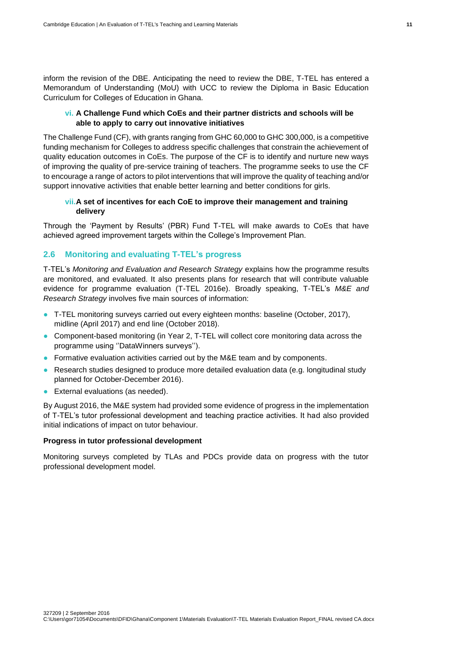inform the revision of the DBE. Anticipating the need to review the DBE, T-TEL has entered a Memorandum of Understanding (MoU) with UCC to review the Diploma in Basic Education Curriculum for Colleges of Education in Ghana.

# **vi. A Challenge Fund which CoEs and their partner districts and schools will be able to apply to carry out innovative initiatives**

The Challenge Fund (CF), with grants ranging from GHC 60,000 to GHC 300,000, is a competitive funding mechanism for Colleges to address specific challenges that constrain the achievement of quality education outcomes in CoEs. The purpose of the CF is to identify and nurture new ways of improving the quality of pre-service training of teachers. The programme seeks to use the CF to encourage a range of actors to pilot interventions that will improve the quality of teaching and/or support innovative activities that enable better learning and better conditions for girls.

# **vii.A set of incentives for each CoE to improve their management and training delivery**

Through the 'Payment by Results' (PBR) Fund T-TEL will make awards to CoEs that have achieved agreed improvement targets within the College's Improvement Plan.

# <span id="page-18-0"></span>**2.6 Monitoring and evaluating T-TEL's progress**

T-TEL's *Monitoring and Evaluation and Research Strategy* explains how the programme results are monitored, and evaluated. It also presents plans for research that will contribute valuable evidence for programme evaluation (T-TEL 2016e). Broadly speaking, T-TEL's *M&E and Research Strategy* involves five main sources of information:

- T-TEL monitoring surveys carried out every eighteen months: baseline (October, 2017), midline (April 2017) and end line (October 2018).
- Component-based monitoring (in Year 2, T-TEL will collect core monitoring data across the programme using ''DataWinners surveys'').
- Formative evaluation activities carried out by the M&E team and by components.
- Research studies designed to produce more detailed evaluation data (e.g. longitudinal study planned for October-December 2016).
- External evaluations (as needed).

By August 2016, the M&E system had provided some evidence of progress in the implementation of T-TEL's tutor professional development and teaching practice activities. It had also provided initial indications of impact on tutor behaviour.

#### **Progress in tutor professional development**

Monitoring surveys completed by TLAs and PDCs provide data on progress with the tutor professional development model.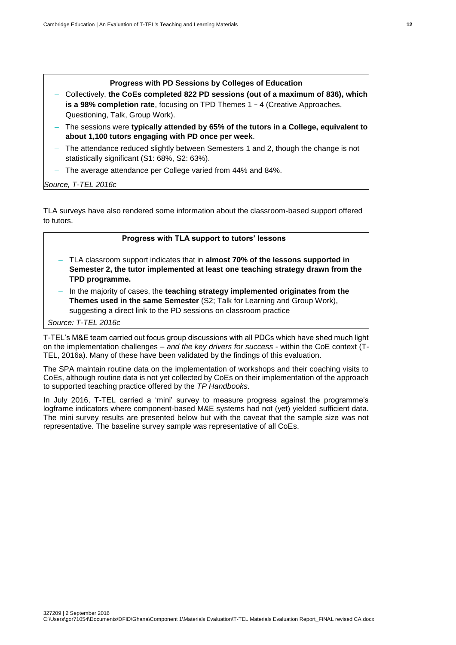#### **Progress with PD Sessions by Colleges of Education**

- Collectively, **the CoEs completed 822 PD sessions (out of a maximum of 836), which is a 98% completion rate**, focusing on TPD Themes 1 - 4 (Creative Approaches, Questioning, Talk, Group Work).
- The sessions were **typically attended by 65% of the tutors in a College, equivalent to about 1,100 tutors engaging with PD once per week**.
- The attendance reduced slightly between Semesters 1 and 2, though the change is not statistically significant (S1: 68%, S2: 63%).
- The average attendance per College varied from 44% and 84%.

*Source, T-TEL 2016c*

TLA surveys have also rendered some information about the classroom-based support offered to tutors.

#### **Progress with TLA support to tutors' lessons**

- TLA classroom support indicates that in **almost 70% of the lessons supported in Semester 2, the tutor implemented at least one teaching strategy drawn from the TPD programme.**
- In the majority of cases, the **teaching strategy implemented originates from the Themes used in the same Semester** (S2; Talk for Learning and Group Work), suggesting a direct link to the PD sessions on classroom practice

*Source: T-TEL 2016c*

T-TEL's M&E team carried out focus group discussions with all PDCs which have shed much light on the implementation challenges – *and the key drivers for success* - within the CoE context (T-TEL, 2016a). Many of these have been validated by the findings of this evaluation.

The SPA maintain routine data on the implementation of workshops and their coaching visits to CoEs, although routine data is not yet collected by CoEs on their implementation of the approach to supported teaching practice offered by the *TP Handbooks*.

In July 2016, T-TEL carried a 'mini' survey to measure progress against the programme's logframe indicators where component-based M&E systems had not (yet) yielded sufficient data. The mini survey results are presented below but with the caveat that the sample size was not representative. The baseline survey sample was representative of all CoEs.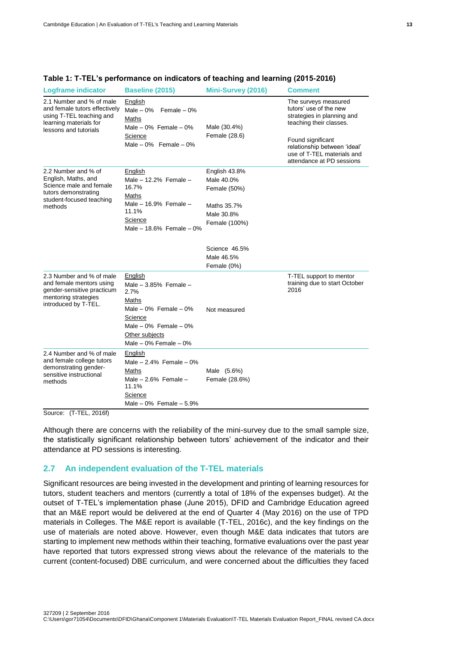| <b>Logframe indicator</b>                                                                                                                | <b>Baseline (2015)</b>                                                                                                                                                    | Mini-Survey (2016)                                                                        | <b>Comment</b>                                                                                                                                                                                                          |
|------------------------------------------------------------------------------------------------------------------------------------------|---------------------------------------------------------------------------------------------------------------------------------------------------------------------------|-------------------------------------------------------------------------------------------|-------------------------------------------------------------------------------------------------------------------------------------------------------------------------------------------------------------------------|
| 2.1 Number and % of male<br>and female tutors effectively<br>using T-TEL teaching and<br>learning materials for<br>lessons and tutorials | English<br>Male $-0\%$<br>Female $-0\%$<br>Maths<br>Male $-0\%$ Female $-0\%$<br>Science<br>Male $-0\%$ Female $-0\%$                                                     | Male (30.4%)<br>Female (28.6)                                                             | The surveys measured<br>tutors' use of the new<br>strategies in planning and<br>teaching their classes.<br>Found significant<br>relationship between 'ideal'<br>use of T-TEL materials and<br>attendance at PD sessions |
| 2.2 Number and % of<br>English, Maths, and<br>Science male and female<br>tutors demonstrating<br>student-focused teaching<br>methods     | English<br>Male $-12.2%$ Female $-$<br>16.7%<br>Maths<br>Male $-$ 16.9% Female $-$<br>11.1%<br>Science<br>Male $-18.6\%$ Female $-0\%$                                    | English 43.8%<br>Male 40.0%<br>Female (50%)<br>Maths 35.7%<br>Male 30.8%<br>Female (100%) |                                                                                                                                                                                                                         |
|                                                                                                                                          |                                                                                                                                                                           | Science 46.5%<br>Male 46.5%<br>Female (0%)                                                |                                                                                                                                                                                                                         |
| 2.3 Number and % of male<br>and female mentors using<br>gender-sensitive practicum<br>mentoring strategies<br>introduced by T-TEL.       | English<br>Male $-3.85\%$ Female $-$<br>2.7%<br>Maths<br>Male $-0\%$ Female $-0\%$<br>Science<br>Male $-0\%$ Female $-0\%$<br>Other subjects<br>Male $-0\%$ Female $-0\%$ | Not measured                                                                              | T-TEL support to mentor<br>training due to start October<br>2016                                                                                                                                                        |
| 2.4 Number and % of male<br>and female college tutors<br>demonstrating gender-<br>sensitive instructional<br>methods                     | English<br>Male $-2.4%$ Female $-0%$<br>Maths<br>Male $-2.6%$ Female $-$<br>11.1%<br>Science<br>Male $-0\%$ Female $-5.9\%$                                               | Male (5.6%)<br>Female (28.6%)                                                             |                                                                                                                                                                                                                         |

#### **Table 1: T-TEL's performance on indicators of teaching and learning (2015-2016)**

Source: (T-TEL, 2016f)

Although there are concerns with the reliability of the mini-survey due to the small sample size, the statistically significant relationship between tutors' achievement of the indicator and their attendance at PD sessions is interesting.

# <span id="page-20-0"></span>**2.7 An independent evaluation of the T-TEL materials**

Significant resources are being invested in the development and printing of learning resources for tutors, student teachers and mentors (currently a total of 18% of the expenses budget). At the outset of T-TEL's implementation phase (June 2015), DFID and Cambridge Education agreed that an M&E report would be delivered at the end of Quarter 4 (May 2016) on the use of TPD materials in Colleges. The M&E report is available (T-TEL, 2016c), and the key findings on the use of materials are noted above. However, even though M&E data indicates that tutors are starting to implement new methods within their teaching, formative evaluations over the past year have reported that tutors expressed strong views about the relevance of the materials to the current (content-focused) DBE curriculum, and were concerned about the difficulties they faced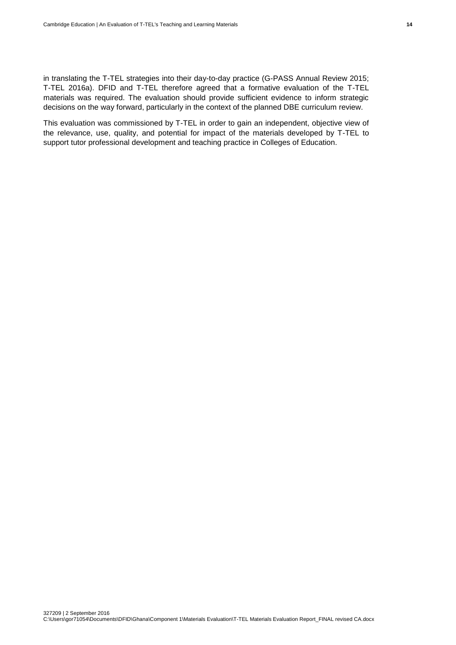in translating the T-TEL strategies into their day-to-day practice (G-PASS Annual Review 2015; T-TEL 2016a). DFID and T-TEL therefore agreed that a formative evaluation of the T-TEL materials was required. The evaluation should provide sufficient evidence to inform strategic decisions on the way forward, particularly in the context of the planned DBE curriculum review.

This evaluation was commissioned by T-TEL in order to gain an independent, objective view of the relevance, use, quality, and potential for impact of the materials developed by T-TEL to support tutor professional development and teaching practice in Colleges of Education.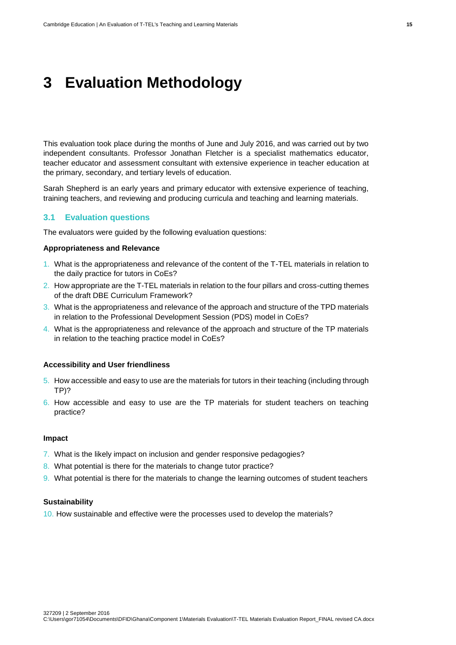# <span id="page-22-0"></span>**3 Evaluation Methodology**

This evaluation took place during the months of June and July 2016, and was carried out by two independent consultants. Professor Jonathan Fletcher is a specialist mathematics educator, teacher educator and assessment consultant with extensive experience in teacher education at the primary, secondary, and tertiary levels of education.

Sarah Shepherd is an early years and primary educator with extensive experience of teaching, training teachers, and reviewing and producing curricula and teaching and learning materials.

# <span id="page-22-1"></span>**3.1 Evaluation questions**

The evaluators were guided by the following evaluation questions:

#### **Appropriateness and Relevance**

- 1. What is the appropriateness and relevance of the content of the T-TEL materials in relation to the daily practice for tutors in CoEs?
- 2. How appropriate are the T-TEL materials in relation to the four pillars and cross-cutting themes of the draft DBE Curriculum Framework?
- 3. What is the appropriateness and relevance of the approach and structure of the TPD materials in relation to the Professional Development Session (PDS) model in CoEs?
- 4. What is the appropriateness and relevance of the approach and structure of the TP materials in relation to the teaching practice model in CoEs?

#### **Accessibility and User friendliness**

- 5. How accessible and easy to use are the materials for tutors in their teaching (including through TP)?
- 6. How accessible and easy to use are the TP materials for student teachers on teaching practice?

#### **Impact**

- 7. What is the likely impact on inclusion and gender responsive pedagogies?
- 8. What potential is there for the materials to change tutor practice?
- 9. What potential is there for the materials to change the learning outcomes of student teachers

#### **Sustainability**

10. How sustainable and effective were the processes used to develop the materials?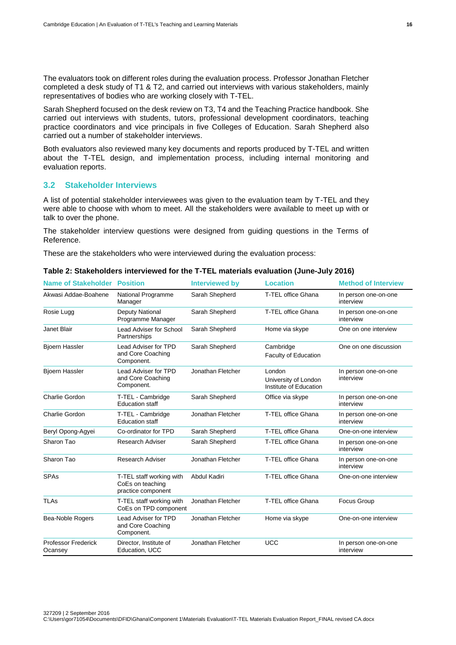The evaluators took on different roles during the evaluation process. Professor Jonathan Fletcher completed a desk study of T1 & T2, and carried out interviews with various stakeholders, mainly representatives of bodies who are working closely with T-TEL.

Sarah Shepherd focused on the desk review on T3, T4 and the Teaching Practice handbook. She carried out interviews with students, tutors, professional development coordinators, teaching practice coordinators and vice principals in five Colleges of Education. Sarah Shepherd also carried out a number of stakeholder interviews.

Both evaluators also reviewed many key documents and reports produced by T-TEL and written about the T-TEL design, and implementation process, including internal monitoring and evaluation reports.

# <span id="page-23-0"></span>**3.2 Stakeholder Interviews**

A list of potential stakeholder interviewees was given to the evaluation team by T-TEL and they were able to choose with whom to meet. All the stakeholders were available to meet up with or talk to over the phone.

The stakeholder interview questions were designed from guiding questions in the Terms of Reference.

These are the stakeholders who were interviewed during the evaluation process:

| <b>Name of Stakeholder</b>            | <b>Position</b>                                                    | <b>Interviewed by</b> | <b>Location</b>                                          | <b>Method of Interview</b>        |
|---------------------------------------|--------------------------------------------------------------------|-----------------------|----------------------------------------------------------|-----------------------------------|
| Akwasi Addae-Boahene                  | National Programme<br>Manager                                      | Sarah Shepherd        | T-TEL office Ghana                                       | In person one-on-one<br>interview |
| Rosie Lugg                            | Deputy National<br>Programme Manager                               | Sarah Shepherd        | T-TEL office Ghana                                       | In person one-on-one<br>interview |
| Janet Blair                           | Lead Adviser for School<br>Partnerships                            | Sarah Shepherd        | Home via skype                                           | One on one interview              |
| <b>Bjoern Hassler</b>                 | Lead Adviser for TPD<br>and Core Coaching<br>Component.            | Sarah Shepherd        | Cambridge<br>Faculty of Education                        | One on one discussion             |
| <b>Bjoern Hassler</b>                 | Lead Adviser for TPD<br>and Core Coaching<br>Component.            | Jonathan Fletcher     | London<br>University of London<br>Institute of Education | In person one-on-one<br>interview |
| <b>Charlie Gordon</b>                 | T-TEL - Cambridge<br><b>Education staff</b>                        | Sarah Shepherd        | Office via skype                                         | In person one-on-one<br>interview |
| <b>Charlie Gordon</b>                 | T-TEL - Cambridge<br><b>Education staff</b>                        | Jonathan Fletcher     | T-TEL office Ghana                                       | In person one-on-one<br>interview |
| Beryl Opong-Agyei                     | Co-ordinator for TPD                                               | Sarah Shepherd        | T-TEL office Ghana                                       | One-on-one interview              |
| Sharon Tao                            | <b>Research Adviser</b>                                            | Sarah Shepherd        | T-TEL office Ghana                                       | In person one-on-one<br>interview |
| Sharon Tao                            | <b>Research Adviser</b>                                            | Jonathan Fletcher     | T-TEL office Ghana                                       | In person one-on-one<br>interview |
| <b>SPAs</b>                           | T-TEL staff working with<br>CoEs on teaching<br>practice component | Abdul Kadiri          | T-TEL office Ghana                                       | One-on-one interview              |
| <b>TLAs</b>                           | T-TEL staff working with<br>CoEs on TPD component                  | Jonathan Fletcher     | T-TEL office Ghana                                       | Focus Group                       |
| Bea-Noble Rogers                      | Lead Adviser for TPD<br>and Core Coaching<br>Component.            | Jonathan Fletcher     | Home via skype                                           | One-on-one interview              |
| <b>Professor Frederick</b><br>Ocansey | Director, Institute of<br>Education, UCC                           | Jonathan Fletcher     | <b>UCC</b>                                               | In person one-on-one<br>interview |

# **Table 2: Stakeholders interviewed for the T-TEL materials evaluation (June-July 2016)**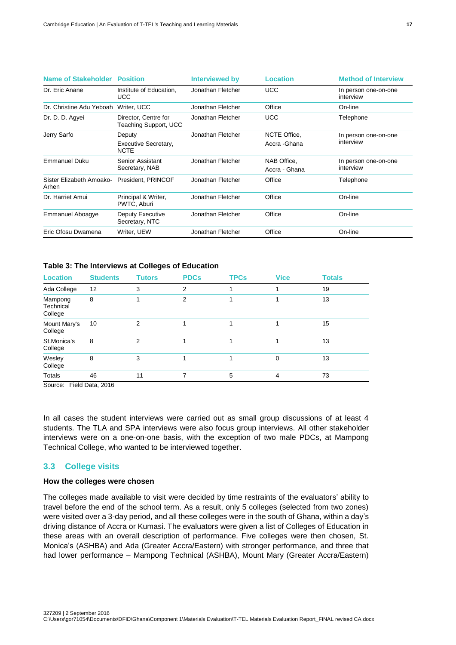| <b>Name of Stakeholder Position</b> |                                               | <b>Interviewed by</b> | <b>Location</b>               | <b>Method of Interview</b>        |
|-------------------------------------|-----------------------------------------------|-----------------------|-------------------------------|-----------------------------------|
| Dr. Eric Anane                      | Institute of Education,<br>UCC                | Jonathan Fletcher     | <b>UCC</b>                    | In person one-on-one<br>interview |
| Dr. Christine Adu Yeboah            | Writer, UCC                                   | Jonathan Fletcher     | Office                        | On-line                           |
| Dr. D. D. Agyei                     | Director, Centre for<br>Teaching Support, UCC | Jonathan Fletcher     | <b>UCC</b>                    | Telephone                         |
| Jerry Sarfo                         | Deputy<br>Executive Secretary,<br><b>NCTE</b> | Jonathan Fletcher     | NCTE Office.<br>Accra - Ghana | In person one-on-one<br>interview |
| <b>Emmanuel Duku</b>                | Senior Assistant<br>Secretary, NAB            | Jonathan Fletcher     | NAB Office,<br>Accra - Ghana  | In person one-on-one<br>interview |
| Sister Elizabeth Amoako-<br>Arhen   | President, PRINCOF                            | Jonathan Fletcher     | Office                        | Telephone                         |
| Dr. Harriet Amui                    | Principal & Writer,<br>PWTC, Aburi            | Jonathan Fletcher     | Office                        | On-line                           |
| Emmanuel Aboagye                    | Deputy Executive<br>Secretary, NTC            | Jonathan Fletcher     | Office                        | On-line                           |
| Eric Ofosu Dwamena                  | Writer, UEW                                   | Jonathan Fletcher     | Office                        | On-line                           |

#### **Table 3: The Interviews at Colleges of Education**

| <b>Location</b>                 | <b>Students</b> | Tutors        | <b>PDCs</b> | <b>TPCs</b> | <b>Vice</b> | <b>Totals</b> |
|---------------------------------|-----------------|---------------|-------------|-------------|-------------|---------------|
| Ada College                     | 12              | 3             | 2           |             |             | 19            |
| Mampong<br>Technical<br>College | 8               |               | 2           |             |             | 13            |
| Mount Mary's<br>College         | 10              | 2             |             |             |             | 15            |
| St.Monica's<br>College          | 8               | $\mathcal{P}$ |             |             |             | 13            |
| Wesley<br>College               | 8               | 3             |             |             | $\Omega$    | 13            |
| <b>Totals</b><br>=              | 46<br>----      | 11            |             | 5           | 4           | 73            |

Source: Field Data, 2016

In all cases the student interviews were carried out as small group discussions of at least 4 students. The TLA and SPA interviews were also focus group interviews. All other stakeholder interviews were on a one-on-one basis, with the exception of two male PDCs, at Mampong Technical College, who wanted to be interviewed together.

# <span id="page-24-0"></span>**3.3 College visits**

#### **How the colleges were chosen**

The colleges made available to visit were decided by time restraints of the evaluators' ability to travel before the end of the school term. As a result, only 5 colleges (selected from two zones) were visited over a 3-day period, and all these colleges were in the south of Ghana, within a day's driving distance of Accra or Kumasi. The evaluators were given a list of Colleges of Education in these areas with an overall description of performance. Five colleges were then chosen, St. Monica's (ASHBA) and Ada (Greater Accra/Eastern) with stronger performance, and three that had lower performance – Mampong Technical (ASHBA), Mount Mary (Greater Accra/Eastern)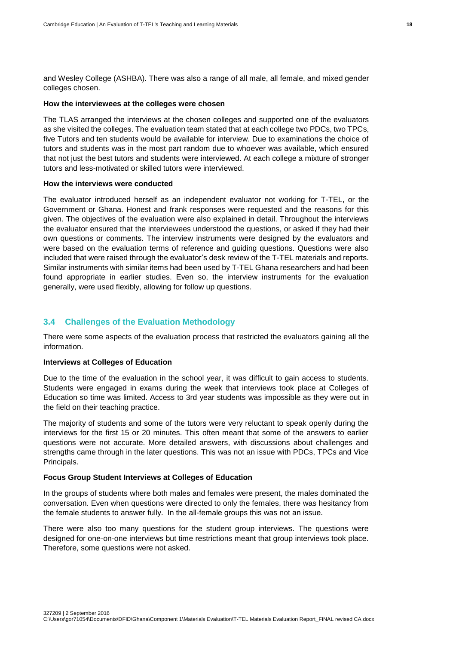and Wesley College (ASHBA). There was also a range of all male, all female, and mixed gender colleges chosen.

#### **How the interviewees at the colleges were chosen**

The TLAS arranged the interviews at the chosen colleges and supported one of the evaluators as she visited the colleges. The evaluation team stated that at each college two PDCs, two TPCs, five Tutors and ten students would be available for interview. Due to examinations the choice of tutors and students was in the most part random due to whoever was available, which ensured that not just the best tutors and students were interviewed. At each college a mixture of stronger tutors and less-motivated or skilled tutors were interviewed.

# **How the interviews were conducted**

The evaluator introduced herself as an independent evaluator not working for T-TEL, or the Government or Ghana. Honest and frank responses were requested and the reasons for this given. The objectives of the evaluation were also explained in detail. Throughout the interviews the evaluator ensured that the interviewees understood the questions, or asked if they had their own questions or comments. The interview instruments were designed by the evaluators and were based on the evaluation terms of reference and guiding questions. Questions were also included that were raised through the evaluator's desk review of the T-TEL materials and reports. Similar instruments with similar items had been used by T-TEL Ghana researchers and had been found appropriate in earlier studies. Even so, the interview instruments for the evaluation generally, were used flexibly, allowing for follow up questions.

# <span id="page-25-0"></span>**3.4 Challenges of the Evaluation Methodology**

There were some aspects of the evaluation process that restricted the evaluators gaining all the information.

#### **Interviews at Colleges of Education**

Due to the time of the evaluation in the school year, it was difficult to gain access to students. Students were engaged in exams during the week that interviews took place at Colleges of Education so time was limited. Access to 3rd year students was impossible as they were out in the field on their teaching practice.

The majority of students and some of the tutors were very reluctant to speak openly during the interviews for the first 15 or 20 minutes. This often meant that some of the answers to earlier questions were not accurate. More detailed answers, with discussions about challenges and strengths came through in the later questions. This was not an issue with PDCs, TPCs and Vice Principals.

# **Focus Group Student Interviews at Colleges of Education**

In the groups of students where both males and females were present, the males dominated the conversation. Even when questions were directed to only the females, there was hesitancy from the female students to answer fully. In the all-female groups this was not an issue.

There were also too many questions for the student group interviews. The questions were designed for one-on-one interviews but time restrictions meant that group interviews took place. Therefore, some questions were not asked.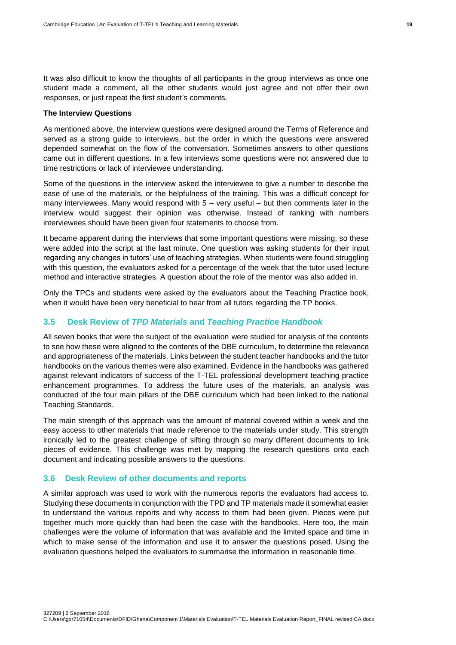It was also difficult to know the thoughts of all participants in the group interviews as once one student made a comment, all the other students would just agree and not offer their own responses, or just repeat the first student's comments.

#### **The Interview Questions**

As mentioned above, the interview questions were designed around the Terms of Reference and served as a strong guide to interviews, but the order in which the questions were answered depended somewhat on the flow of the conversation. Sometimes answers to other questions came out in different questions. In a few interviews some questions were not answered due to time restrictions or lack of interviewee understanding.

Some of the questions in the interview asked the interviewee to give a number to describe the ease of use of the materials, or the helpfulness of the training. This was a difficult concept for many interviewees. Many would respond with 5 – very useful – but then comments later in the interview would suggest their opinion was otherwise. Instead of ranking with numbers interviewees should have been given four statements to choose from.

It became apparent during the interviews that some important questions were missing, so these were added into the script at the last minute. One question was asking students for their input regarding any changes in tutors' use of teaching strategies. When students were found struggling with this question, the evaluators asked for a percentage of the week that the tutor used lecture method and interactive strategies. A question about the role of the mentor was also added in.

Only the TPCs and students were asked by the evaluators about the Teaching Practice book, when it would have been very beneficial to hear from all tutors regarding the TP books.

# <span id="page-26-0"></span>**3.5 Desk Review of** *TPD Materials* **and** *Teaching Practice Handbook*

All seven books that were the subject of the evaluation were studied for analysis of the contents to see how these were aligned to the contents of the DBE curriculum, to determine the relevance and appropriateness of the materials. Links between the student teacher handbooks and the tutor handbooks on the various themes were also examined. Evidence in the handbooks was gathered against relevant indicators of success of the T-TEL professional development teaching practice enhancement programmes. To address the future uses of the materials, an analysis was conducted of the four main pillars of the DBE curriculum which had been linked to the national Teaching Standards.

The main strength of this approach was the amount of material covered within a week and the easy access to other materials that made reference to the materials under study. This strength ironically led to the greatest challenge of sifting through so many different documents to link pieces of evidence. This challenge was met by mapping the research questions onto each document and indicating possible answers to the questions.

#### <span id="page-26-1"></span>**3.6 Desk Review of other documents and reports**

A similar approach was used to work with the numerous reports the evaluators had access to. Studying these documents in conjunction with the TPD and TP materials made it somewhat easier to understand the various reports and why access to them had been given. Pieces were put together much more quickly than had been the case with the handbooks. Here too, the main challenges were the volume of information that was available and the limited space and time in which to make sense of the information and use it to answer the questions posed. Using the evaluation questions helped the evaluators to summarise the information in reasonable time.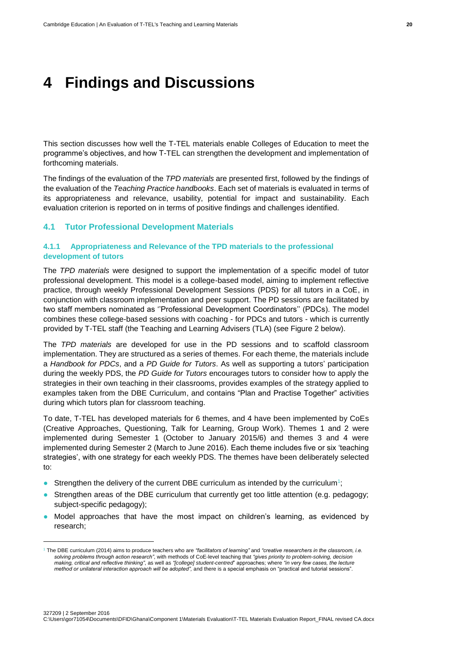# <span id="page-27-0"></span>**4 Findings and Discussions**

This section discusses how well the T-TEL materials enable Colleges of Education to meet the programme's objectives, and how T-TEL can strengthen the development and implementation of forthcoming materials.

The findings of the evaluation of the *TPD materials* are presented first, followed by the findings of the evaluation of the *Teaching Practice handbooks*. Each set of materials is evaluated in terms of its appropriateness and relevance, usability, potential for impact and sustainability. Each evaluation criterion is reported on in terms of positive findings and challenges identified.

#### <span id="page-27-1"></span>**4.1 Tutor Professional Development Materials**

-

# <span id="page-27-2"></span>**4.1.1 Appropriateness and Relevance of the TPD materials to the professional development of tutors**

The *TPD materials* were designed to support the implementation of a specific model of tutor professional development. This model is a college-based model, aiming to implement reflective practice, through weekly Professional Development Sessions (PDS) for all tutors in a CoE, in conjunction with classroom implementation and peer support. The PD sessions are facilitated by two staff members nominated as ''Professional Development Coordinators'' (PDCs). The model combines these college-based sessions with coaching - for PDCs and tutors - which is currently provided by T-TEL staff (the Teaching and Learning Advisers (TLA) (see Figure 2 below).

The *TPD materials* are developed for use in the PD sessions and to scaffold classroom implementation. They are structured as a series of themes. For each theme, the materials include a *Handbook for PDCs*, and a *PD Guide for Tutors*. As well as supporting a tutors' participation during the weekly PDS, the *PD Guide for Tutors* encourages tutors to consider how to apply the strategies in their own teaching in their classrooms, provides examples of the strategy applied to examples taken from the DBE Curriculum, and contains "Plan and Practise Together" activities during which tutors plan for classroom teaching.

To date, T-TEL has developed materials for 6 themes, and 4 have been implemented by CoEs (Creative Approaches, Questioning, Talk for Learning, Group Work). Themes 1 and 2 were implemented during Semester 1 (October to January 2015/6) and themes 3 and 4 were implemented during Semester 2 (March to June 2016). Each theme includes five or six 'teaching strategies', with one strategy for each weekly PDS. The themes have been deliberately selected to:

- Strengthen the delivery of the current DBE curriculum as intended by the curriculum<sup>1</sup>;
- Strengthen areas of the DBE curriculum that currently get too little attention (e.g. pedagogy; subject-specific pedagogy);
- Model approaches that have the most impact on children's learning, as evidenced by research;

<sup>1</sup> The DBE curriculum (2014) aims to produce teachers who are *"facilitators of learning"* and *"creative researchers in the classroom, i.e. solving problems through action research"*, with methods of CoE-level teaching that *"gives priority to problem-solving, decision making, critical and reflective thinking"*, as well as *"[college] student-centred*" approaches; where *"in very few cases, the lecture method or unilateral interaction approach will be adopted",* and there is a special emphasis on "practical and tutorial sessions".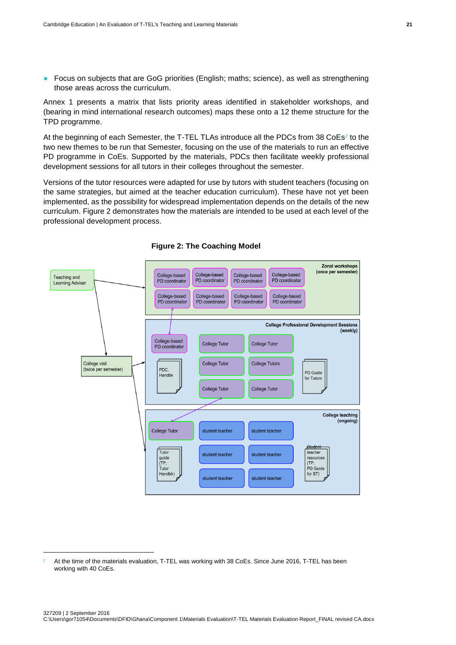● Focus on subjects that are GoG priorities (English; maths; science), as well as strengthening those areas across the curriculum.

Annex 1 presents a matrix that lists priority areas identified in stakeholder workshops, and (bearing in mind international research outcomes) maps these onto a 12 theme structure for the TPD programme.

At the beginning of each Semester, the T-TEL TLAs introduce all the PDCs from 38 CoEs<sup>2</sup> to the two new themes to be run that Semester, focusing on the use of the materials to run an effective PD programme in CoEs. Supported by the materials, PDCs then facilitate weekly professional development sessions for all tutors in their colleges throughout the semester.

Versions of the tutor resources were adapted for use by tutors with student teachers (focusing on the same strategies, but aimed at the teacher education curriculum). These have not yet been implemented, as the possibility for widespread implementation depends on the details of the new curriculum. Figure 2 demonstrates how the materials are intended to be used at each level of the professional development process.





1

<sup>2</sup> At the time of the materials evaluation, T-TEL was working with 38 CoEs. Since June 2016, T-TEL has been working with 40 CoEs.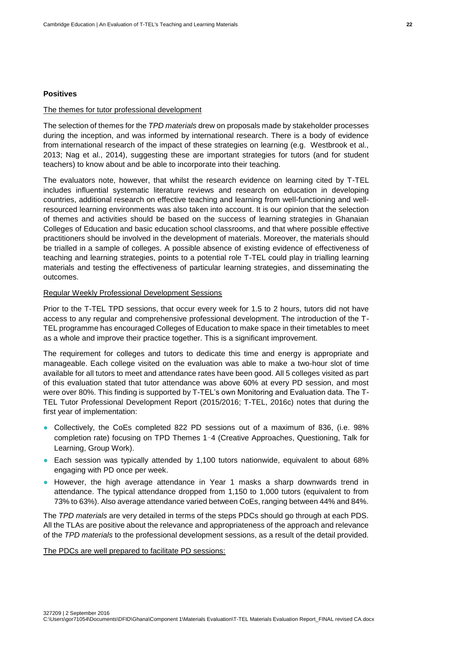#### **Positives**

#### The themes for tutor professional development

The selection of themes for the *TPD materials* drew on proposals made by stakeholder processes during the inception, and was informed by international research. There is a body of evidence from international research of the impact of these strategies on learning (e.g. Westbrook et al., 2013; Nag et al., 2014), suggesting these are important strategies for tutors (and for student teachers) to know about and be able to incorporate into their teaching.

The evaluators note, however, that whilst the research evidence on learning cited by T-TEL includes influential systematic literature reviews and research on education in developing countries, additional research on effective teaching and learning from well-functioning and wellresourced learning environments was also taken into account. It is our opinion that the selection of themes and activities should be based on the success of learning strategies in Ghanaian Colleges of Education and basic education school classrooms, and that where possible effective practitioners should be involved in the development of materials. Moreover, the materials should be trialled in a sample of colleges. A possible absence of existing evidence of effectiveness of teaching and learning strategies, points to a potential role T-TEL could play in trialling learning materials and testing the effectiveness of particular learning strategies, and disseminating the outcomes.

# Regular Weekly Professional Development Sessions

Prior to the T-TEL TPD sessions, that occur every week for 1.5 to 2 hours, tutors did not have access to any regular and comprehensive professional development. The introduction of the T-TEL programme has encouraged Colleges of Education to make space in their timetables to meet as a whole and improve their practice together. This is a significant improvement.

The requirement for colleges and tutors to dedicate this time and energy is appropriate and manageable. Each college visited on the evaluation was able to make a two-hour slot of time available for all tutors to meet and attendance rates have been good. All 5 colleges visited as part of this evaluation stated that tutor attendance was above 60% at every PD session, and most were over 80%. This finding is supported by T-TEL's own Monitoring and Evaluation data. The T-TEL Tutor Professional Development Report (2015/2016; T-TEL, 2016c) notes that during the first year of implementation:

- Collectively, the CoEs completed 822 PD sessions out of a maximum of 836, (i.e. 98% completion rate) focusing on TPD Themes 1–4 (Creative Approaches, Questioning, Talk for Learning, Group Work).
- Each session was typically attended by 1,100 tutors nationwide, equivalent to about 68% engaging with PD once per week.
- However, the high average attendance in Year 1 masks a sharp downwards trend in attendance. The typical attendance dropped from 1,150 to 1,000 tutors (equivalent to from 73% to 63%). Also average attendance varied between CoEs, ranging between 44% and 84%.

The *TPD materials* are very detailed in terms of the steps PDCs should go through at each PDS. All the TLAs are positive about the relevance and appropriateness of the approach and relevance of the *TPD materials* to the professional development sessions, as a result of the detail provided.

The PDCs are well prepared to facilitate PD sessions: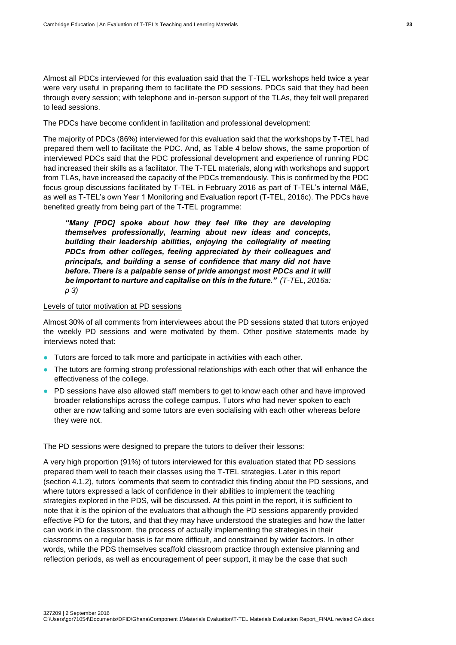Almost all PDCs interviewed for this evaluation said that the T-TEL workshops held twice a year were very useful in preparing them to facilitate the PD sessions. PDCs said that they had been through every session; with telephone and in-person support of the TLAs, they felt well prepared to lead sessions.

#### The PDCs have become confident in facilitation and professional development:

The majority of PDCs (86%) interviewed for this evaluation said that the workshops by T-TEL had prepared them well to facilitate the PDC. And, as Table 4 below shows, the same proportion of interviewed PDCs said that the PDC professional development and experience of running PDC had increased their skills as a facilitator. The T-TEL materials, along with workshops and support from TLAs, have increased the capacity of the PDCs tremendously. This is confirmed by the PDC focus group discussions facilitated by T-TEL in February 2016 as part of T-TEL's internal M&E, as well as T-TEL's own Year 1 Monitoring and Evaluation report (T-TEL, 2016c). The PDCs have benefited greatly from being part of the T-TEL programme:

*"Many [PDC] spoke about how they feel like they are developing themselves professionally, learning about new ideas and concepts, building their leadership abilities, enjoying the collegiality of meeting PDCs from other colleges, feeling appreciated by their colleagues and principals, and building a sense of confidence that many did not have before. There is a palpable sense of pride amongst most PDCs and it will be important to nurture and capitalise on this in the future." (T-TEL, 2016a: p 3)*

#### Levels of tutor motivation at PD sessions

Almost 30% of all comments from interviewees about the PD sessions stated that tutors enjoyed the weekly PD sessions and were motivated by them. Other positive statements made by interviews noted that:

- Tutors are forced to talk more and participate in activities with each other.
- The tutors are forming strong professional relationships with each other that will enhance the effectiveness of the college.
- PD sessions have also allowed staff members to get to know each other and have improved broader relationships across the college campus. Tutors who had never spoken to each other are now talking and some tutors are even socialising with each other whereas before they were not.

#### The PD sessions were designed to prepare the tutors to deliver their lessons:

A very high proportion (91%) of tutors interviewed for this evaluation stated that PD sessions prepared them well to teach their classes using the T-TEL strategies. Later in this report (section 4.1.2), tutors 'comments that seem to contradict this finding about the PD sessions, and where tutors expressed a lack of confidence in their abilities to implement the teaching strategies explored in the PDS, will be discussed. At this point in the report, it is sufficient to note that it is the opinion of the evaluators that although the PD sessions apparently provided effective PD for the tutors, and that they may have understood the strategies and how the latter can work in the classroom, the process of actually implementing the strategies in their classrooms on a regular basis is far more difficult, and constrained by wider factors. In other words, while the PDS themselves scaffold classroom practice through extensive planning and reflection periods, as well as encouragement of peer support, it may be the case that such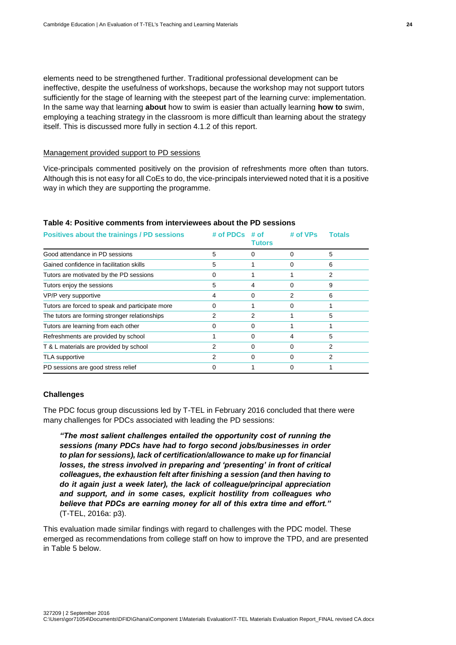elements need to be strengthened further. Traditional professional development can be ineffective, despite the usefulness of workshops, because the workshop may not support tutors sufficiently for the stage of learning with the steepest part of the learning curve: implementation. In the same way that learning **about** how to swim is easier than actually learning **how to** swim, employing a teaching strategy in the classroom is more difficult than learning about the strategy itself. This is discussed more fully in section 4.1.2 of this report.

#### Management provided support to PD sessions

Vice-principals commented positively on the provision of refreshments more often than tutors. Although this is not easy for all CoEs to do, the vice-principals interviewed noted that it is a positive way in which they are supporting the programme.

### **Table 4: Positive comments from interviewees about the PD sessions**

| Positives about the trainings / PD sessions     | # of PDCs | # of<br>Tutors | # of VPs | Totals |
|-------------------------------------------------|-----------|----------------|----------|--------|
| Good attendance in PD sessions                  | 5         | o              | O        | 5      |
| Gained confidence in facilitation skills        | 5         |                | O        | 6      |
| Tutors are motivated by the PD sessions         | Ω         |                |          | 2      |
| Tutors enjoy the sessions                       | 5         | 4              |          | 9      |
| VP/P very supportive                            | 4         | 0              | 2        | 6      |
| Tutors are forced to speak and participate more | Ω         |                |          |        |
| The tutors are forming stronger relationships   |           | 2              |          | 5      |
| Tutors are learning from each other             | O         | 0              |          |        |
| Refreshments are provided by school             |           | Ω              | 4        | 5      |
| T & L materials are provided by school          | 2         | 0              | O        | 2      |
| TLA supportive                                  | 2         | o              | 0        | 2      |
| PD sessions are good stress relief              |           |                |          |        |

#### **Challenges**

The PDC focus group discussions led by T-TEL in February 2016 concluded that there were many challenges for PDCs associated with leading the PD sessions:

*"The most salient challenges entailed the opportunity cost of running the sessions (many PDCs have had to forgo second jobs/businesses in order to plan for sessions), lack of certification/allowance to make up for financial losses, the stress involved in preparing and 'presenting' in front of critical colleagues, the exhaustion felt after finishing a session (and then having to do it again just a week later), the lack of colleague/principal appreciation and support, and in some cases, explicit hostility from colleagues who believe that PDCs are earning money for all of this extra time and effort."*  (T-TEL, 2016a: p3).

This evaluation made similar findings with regard to challenges with the PDC model. These emerged as recommendations from college staff on how to improve the TPD, and are presented in Table 5 below.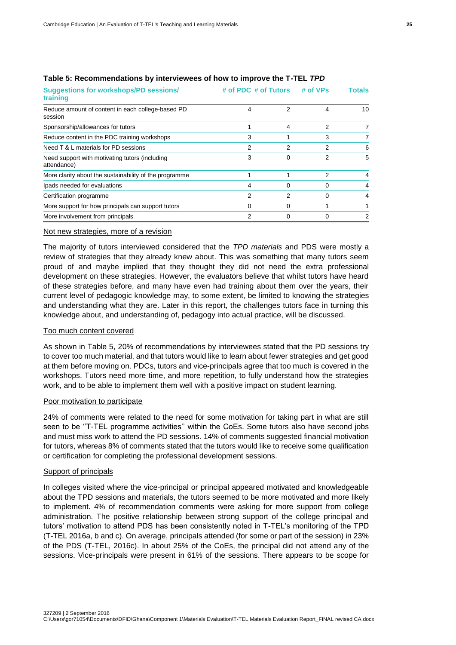| <b>Suggestions for workshops/PD sessions/</b><br>training     | # of PDC # of Tutors |   | # of VPs | Totals |  |
|---------------------------------------------------------------|----------------------|---|----------|--------|--|
| Reduce amount of content in each college-based PD<br>session  | 4                    | 2 | 4        | 10     |  |
| Sponsorship/allowances for tutors                             |                      | 4 | 2        | 7      |  |
| Reduce content in the PDC training workshops                  | 3                    |   | 3        | 7      |  |
| Need T & L materials for PD sessions                          | 2                    | 2 | 2        | 6      |  |
| Need support with motivating tutors (including<br>attendance) | 3                    | 0 | 2        | 5      |  |
| More clarity about the sustainability of the programme        |                      |   | 2        | 4      |  |
| Ipads needed for evaluations                                  | 4                    | 0 | 0        | 4      |  |
| Certification programme                                       | 2                    | 2 | 0        | 4      |  |
| More support for how principals can support tutors            | 0                    | 0 |          |        |  |
| More involvement from principals                              | 2                    |   |          | 2      |  |

# **Table 5: Recommendations by interviewees of how to improve the T-TEL** *TPD*

#### Not new strategies, more of a revision

The majority of tutors interviewed considered that the *TPD materials* and PDS were mostly a review of strategies that they already knew about. This was something that many tutors seem proud of and maybe implied that they thought they did not need the extra professional development on these strategies. However, the evaluators believe that whilst tutors have heard of these strategies before, and many have even had training about them over the years, their current level of pedagogic knowledge may, to some extent, be limited to knowing the strategies and understanding what they are. Later in this report, the challenges tutors face in turning this knowledge about, and understanding of, pedagogy into actual practice, will be discussed.

#### Too much content covered

As shown in Table 5, 20% of recommendations by interviewees stated that the PD sessions try to cover too much material, and that tutors would like to learn about fewer strategies and get good at them before moving on. PDCs, tutors and vice-principals agree that too much is covered in the workshops. Tutors need more time, and more repetition, to fully understand how the strategies work, and to be able to implement them well with a positive impact on student learning.

#### Poor motivation to participate

24% of comments were related to the need for some motivation for taking part in what are still seen to be "T-TEL programme activities" within the CoEs. Some tutors also have second jobs and must miss work to attend the PD sessions. 14% of comments suggested financial motivation for tutors, whereas 8% of comments stated that the tutors would like to receive some qualification or certification for completing the professional development sessions.

## Support of principals

In colleges visited where the vice-principal or principal appeared motivated and knowledgeable about the TPD sessions and materials, the tutors seemed to be more motivated and more likely to implement. 4% of recommendation comments were asking for more support from college administration. The positive relationship between strong support of the college principal and tutors' motivation to attend PDS has been consistently noted in T-TEL's monitoring of the TPD (T-TEL 2016a, b and c). On average, principals attended (for some or part of the session) in 23% of the PDS (T-TEL, 2016c). In about 25% of the CoEs, the principal did not attend any of the sessions. Vice-principals were present in 61% of the sessions. There appears to be scope for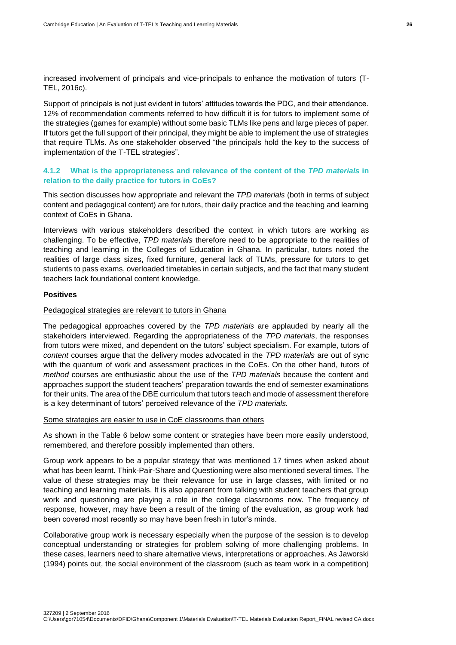increased involvement of principals and vice-principals to enhance the motivation of tutors (T-TEL, 2016c).

Support of principals is not just evident in tutors' attitudes towards the PDC, and their attendance. 12% of recommendation comments referred to how difficult it is for tutors to implement some of the strategies (games for example) without some basic TLMs like pens and large pieces of paper. If tutors get the full support of their principal, they might be able to implement the use of strategies that require TLMs. As one stakeholder observed "the principals hold the key to the success of implementation of the T-TEL strategies".

# <span id="page-33-0"></span>**4.1.2 What is the appropriateness and relevance of the content of the** *TPD materials* **in relation to the daily practice for tutors in CoEs?**

This section discusses how appropriate and relevant the *TPD materials* (both in terms of subject content and pedagogical content) are for tutors, their daily practice and the teaching and learning context of CoEs in Ghana.

Interviews with various stakeholders described the context in which tutors are working as challenging. To be effective, *TPD materials* therefore need to be appropriate to the realities of teaching and learning in the Colleges of Education in Ghana. In particular, tutors noted the realities of large class sizes, fixed furniture, general lack of TLMs, pressure for tutors to get students to pass exams, overloaded timetables in certain subjects, and the fact that many student teachers lack foundational content knowledge.

#### **Positives**

#### Pedagogical strategies are relevant to tutors in Ghana

The pedagogical approaches covered by the *TPD materials* are applauded by nearly all the stakeholders interviewed. Regarding the appropriateness of the *TPD materials*, the responses from tutors were mixed, and dependent on the tutors' subject specialism. For example, tutors of *content* courses argue that the delivery modes advocated in the *TPD materials* are out of sync with the quantum of work and assessment practices in the CoEs. On the other hand, tutors of *method* courses are enthusiastic about the use of the *TPD materials* because the content and approaches support the student teachers' preparation towards the end of semester examinations for their units. The area of the DBE curriculum that tutors teach and mode of assessment therefore is a key determinant of tutors' perceived relevance of the *TPD materials.*

#### Some strategies are easier to use in CoE classrooms than others

As shown in the Table 6 below some content or strategies have been more easily understood, remembered, and therefore possibly implemented than others.

Group work appears to be a popular strategy that was mentioned 17 times when asked about what has been learnt. Think-Pair-Share and Questioning were also mentioned several times. The value of these strategies may be their relevance for use in large classes, with limited or no teaching and learning materials. It is also apparent from talking with student teachers that group work and questioning are playing a role in the college classrooms now. The frequency of response, however, may have been a result of the timing of the evaluation, as group work had been covered most recently so may have been fresh in tutor's minds.

Collaborative group work is necessary especially when the purpose of the session is to develop conceptual understanding or strategies for problem solving of more challenging problems. In these cases, learners need to share alternative views, interpretations or approaches. As Jaworski (1994) points out, the social environment of the classroom (such as team work in a competition)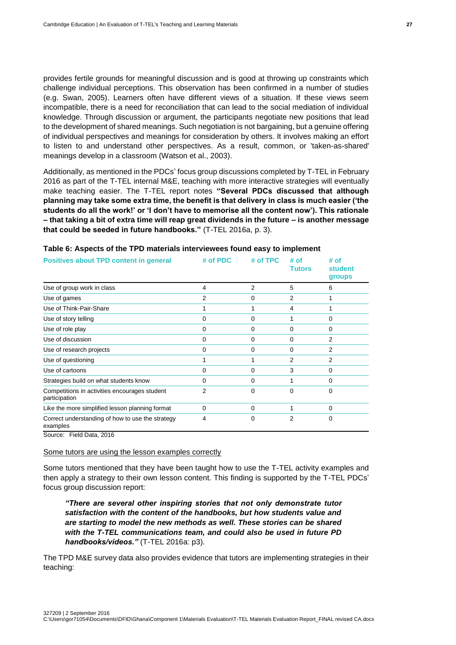provides fertile grounds for meaningful discussion and is good at throwing up constraints which challenge individual perceptions. This observation has been confirmed in a number of studies (e.g. Swan, 2005). Learners often have different views of a situation. If these views seem incompatible, there is a need for reconciliation that can lead to the social mediation of individual knowledge. Through discussion or argument, the participants negotiate new positions that lead to the development of shared meanings. Such negotiation is not bargaining, but a genuine offering of individual perspectives and meanings for consideration by others. It involves making an effort to listen to and understand other perspectives. As a result, common, or 'taken-as-shared' meanings develop in a classroom (Watson et al., 2003).

Additionally, as mentioned in the PDCs' focus group discussions completed by T-TEL in February 2016 as part of the T-TEL internal M&E, teaching with more interactive strategies will eventually make teaching easier. The T-TEL report notes **"Several PDCs discussed that although planning may take some extra time, the benefit is that delivery in class is much easier ('the students do all the work!' or 'I don't have to memorise all the content now'). This rationale – that taking a bit of extra time will reap great dividends in the future – is another message that could be seeded in future handbooks."** (T-TEL 2016a, p. 3).

| <b>Positives about TPD content in general</b>                  | # of PDC | # of TPC | # of<br>Tutors | # of<br>student<br>groups |
|----------------------------------------------------------------|----------|----------|----------------|---------------------------|
| Use of group work in class                                     | 4        | 2        | 5              | 6                         |
| Use of games                                                   | 2        | 0        | 2              |                           |
| Use of Think-Pair-Share                                        |          |          | 4              |                           |
| Use of story telling                                           | Ω        | 0        |                | 0                         |
| Use of role play                                               | 0        | 0        | 0              | 0                         |
| Use of discussion                                              | 0        | 0        | 0              | 2                         |
| Use of research projects                                       | 0        | 0        | 0              | 2                         |
| Use of questioning                                             |          |          | $\mathcal{P}$  | 2                         |
| Use of cartoons                                                | 0        | 0        | 3              | 0                         |
| Strategies build on what students know                         | 0        | 0        |                | 0                         |
| Competitions in activities encourages student<br>participation | 2        | 0        | 0              | $\Omega$                  |
| Like the more simplified lesson planning format                | 0        | 0        |                | 0                         |
| Correct understanding of how to use the strategy<br>examples   | 4        | 0        | 2              | 0                         |

#### **Table 6: Aspects of the TPD materials interviewees found easy to implement**

Source: Field Data, 2016

#### Some tutors are using the lesson examples correctly

Some tutors mentioned that they have been taught how to use the T-TEL activity examples and then apply a strategy to their own lesson content. This finding is supported by the T-TEL PDCs' focus group discussion report:

*"There are several other inspiring stories that not only demonstrate tutor satisfaction with the content of the handbooks, but how students value and are starting to model the new methods as well. These stories can be shared with the T-TEL communications team, and could also be used in future PD handbooks/videos."* (T-TEL 2016a: p3).

The TPD M&E survey data also provides evidence that tutors are implementing strategies in their teaching: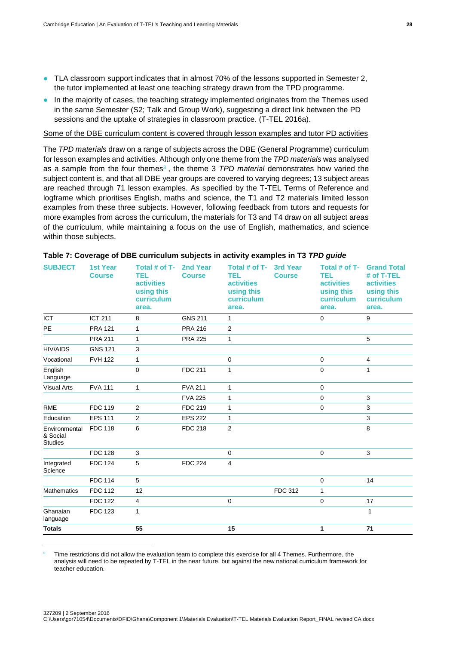- TLA classroom support indicates that in almost 70% of the lessons supported in Semester 2, the tutor implemented at least one teaching strategy drawn from the TPD programme.
- In the majority of cases, the teaching strategy implemented originates from the Themes used in the same Semester (S2; Talk and Group Work), suggesting a direct link between the PD sessions and the uptake of strategies in classroom practice. (T-TEL 2016a).

Some of the DBE curriculum content is covered through lesson examples and tutor PD activities

The *TPD materials* draw on a range of subjects across the DBE (General Programme) curriculum for lesson examples and activities. Although only one theme from the *TPD materials* was analysed as a sample from the four themes<sup>3</sup>, the theme 3 *TPD material* demonstrates how varied the subject content is, and that all DBE year groups are covered to varying degrees; 13 subject areas are reached through 71 lesson examples. As specified by the T-TEL Terms of Reference and logframe which prioritises English, maths and science, the T1 and T2 materials limited lesson examples from these three subjects. However, following feedback from tutors and requests for more examples from across the curriculum, the materials for T3 and T4 draw on all subject areas of the curriculum, while maintaining a focus on the use of English, mathematics, and science within those subjects.

| <b>SUBJECT</b>                              | <b>1st Year</b><br><b>Course</b> | Total # of T-<br>TEL<br><b>activities</b><br>using this<br>curriculum<br>area. | 2nd Year<br><b>Course</b> | Total # of T-<br>TEL<br><b>activities</b><br>using this<br>curriculum<br>area. | <b>3rd Year</b><br><b>Course</b> | Total # of T-<br>TEL<br><b>activities</b><br>using this<br>curriculum<br>area. | <b>Grand Total</b><br># of T-TEL<br><b>activities</b><br>using this<br>curriculum<br>area. |
|---------------------------------------------|----------------------------------|--------------------------------------------------------------------------------|---------------------------|--------------------------------------------------------------------------------|----------------------------------|--------------------------------------------------------------------------------|--------------------------------------------------------------------------------------------|
| <b>ICT</b>                                  | <b>ICT 211</b>                   | 8                                                                              | <b>GNS 211</b>            | $\mathbf{1}$                                                                   |                                  | $\mathbf 0$                                                                    | 9                                                                                          |
| <b>PE</b>                                   | <b>PRA 121</b>                   | $\mathbf{1}$                                                                   | <b>PRA 216</b>            | 2                                                                              |                                  |                                                                                |                                                                                            |
|                                             | <b>PRA 211</b>                   | $\mathbf{1}$                                                                   | <b>PRA 225</b>            | $\mathbf{1}$                                                                   |                                  |                                                                                | 5                                                                                          |
| <b>HIV/AIDS</b>                             | <b>GNS 121</b>                   | 3                                                                              |                           |                                                                                |                                  |                                                                                |                                                                                            |
| Vocational                                  | <b>FVH 122</b>                   | $\mathbf{1}$                                                                   |                           | $\mathbf 0$                                                                    |                                  | 0                                                                              | 4                                                                                          |
| English<br>Language                         |                                  | 0                                                                              | <b>FDC 211</b>            | $\mathbf{1}$                                                                   |                                  | $\mathbf 0$                                                                    | $\mathbf{1}$                                                                               |
| <b>Visual Arts</b>                          | <b>FVA 111</b>                   | $\mathbf{1}$                                                                   | <b>FVA 211</b>            | $\mathbf{1}$                                                                   |                                  | $\mathbf 0$                                                                    |                                                                                            |
|                                             |                                  |                                                                                | <b>FVA 225</b>            | $\mathbf{1}$                                                                   |                                  | $\mathbf 0$                                                                    | 3                                                                                          |
| <b>RME</b>                                  | <b>FDC 119</b>                   | $\overline{2}$                                                                 | <b>FDC 219</b>            | $\mathbf{1}$                                                                   |                                  | $\mathbf{0}$                                                                   | 3                                                                                          |
| Education                                   | <b>EPS 111</b>                   | 2                                                                              | <b>EPS 222</b>            | $\mathbf{1}$                                                                   |                                  |                                                                                | 3                                                                                          |
| Environmental<br>& Social<br><b>Studies</b> | <b>FDC 118</b>                   | 6                                                                              | <b>FDC 218</b>            | 2                                                                              |                                  |                                                                                | 8                                                                                          |
|                                             | <b>FDC 128</b>                   | 3                                                                              |                           | $\mathbf 0$                                                                    |                                  | $\mathsf 0$                                                                    | 3                                                                                          |
| Integrated<br>Science                       | <b>FDC 124</b>                   | 5                                                                              | <b>FDC 224</b>            | 4                                                                              |                                  |                                                                                |                                                                                            |
|                                             | <b>FDC 114</b>                   | 5                                                                              |                           |                                                                                |                                  | $\mathbf 0$                                                                    | 14                                                                                         |
| <b>Mathematics</b>                          | <b>FDC 112</b>                   | 12                                                                             |                           |                                                                                | <b>FDC 312</b>                   | $\mathbf{1}$                                                                   |                                                                                            |
|                                             | <b>FDC 122</b>                   | 4                                                                              |                           | 0                                                                              |                                  | $\mathbf 0$                                                                    | 17                                                                                         |
| Ghanaian<br>language                        | <b>FDC 123</b>                   | 1                                                                              |                           |                                                                                |                                  |                                                                                | $\mathbf{1}$                                                                               |
| <b>Totals</b>                               |                                  | 55                                                                             |                           | 15                                                                             |                                  | 1                                                                              | 71                                                                                         |

# **Table 7: Coverage of DBE curriculum subjects in activity examples in T3** *TPD guide*

<sup>3</sup> Time restrictions did not allow the evaluation team to complete this exercise for all 4 Themes. Furthermore, the analysis will need to be repeated by T-TEL in the near future, but against the new national curriculum framework for teacher education.

-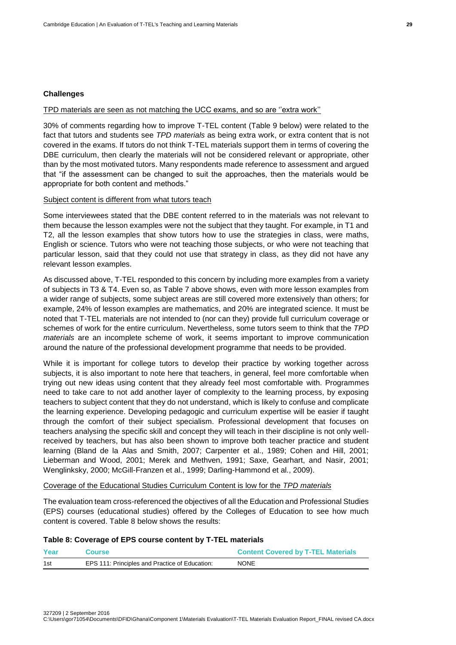#### **Challenges**

#### TPD materials are seen as not matching the UCC exams, and so are ''extra work''

30% of comments regarding how to improve T-TEL content (Table 9 below) were related to the fact that tutors and students see *TPD materials* as being extra work, or extra content that is not covered in the exams. If tutors do not think T-TEL materials support them in terms of covering the DBE curriculum, then clearly the materials will not be considered relevant or appropriate, other than by the most motivated tutors. Many respondents made reference to assessment and argued that "if the assessment can be changed to suit the approaches, then the materials would be appropriate for both content and methods."

#### Subject content is different from what tutors teach

Some interviewees stated that the DBE content referred to in the materials was not relevant to them because the lesson examples were not the subject that they taught. For example, in T1 and T2, all the lesson examples that show tutors how to use the strategies in class, were maths, English or science. Tutors who were not teaching those subjects, or who were not teaching that particular lesson, said that they could not use that strategy in class, as they did not have any relevant lesson examples.

As discussed above, T-TEL responded to this concern by including more examples from a variety of subjects in T3 & T4. Even so, as Table 7 above shows, even with more lesson examples from a wider range of subjects, some subject areas are still covered more extensively than others; for example, 24% of lesson examples are mathematics, and 20% are integrated science. It must be noted that T-TEL materials are not intended to (nor can they) provide full curriculum coverage or schemes of work for the entire curriculum. Nevertheless, some tutors seem to think that the *TPD materials* are an incomplete scheme of work, it seems important to improve communication around the nature of the professional development programme that needs to be provided.

While it is important for college tutors to develop their practice by working together across subjects, it is also important to note here that teachers, in general, feel more comfortable when trying out new ideas using content that they already feel most comfortable with. Programmes need to take care to not add another layer of complexity to the learning process, by exposing teachers to subject content that they do not understand, which is likely to confuse and complicate the learning experience. Developing pedagogic and curriculum expertise will be easier if taught through the comfort of their subject specialism. Professional development that focuses on teachers analysing the specific skill and concept they will teach in their discipline is not only wellreceived by teachers, but has also been shown to improve both teacher practice and student learning (Bland de la Alas and Smith, 2007; Carpenter et al., 1989; Cohen and Hill, 2001; Lieberman and Wood, 2001; Merek and Methven, 1991; Saxe, Gearhart, and Nasir, 2001; Wenglinksky, 2000; McGill-Franzen et al., 1999; Darling-Hammond et al., 2009).

Coverage of the Educational Studies Curriculum Content is low for the *TPD materials*

The evaluation team cross-referenced the objectives of all the Education and Professional Studies (EPS) courses (educational studies) offered by the Colleges of Education to see how much content is covered. Table 8 below shows the results:

#### **Table 8: Coverage of EPS course content by T-TEL materials**

| Year | <b>Course</b>                                  | <b>Content Covered by T-TEL Materials</b> |
|------|------------------------------------------------|-------------------------------------------|
| 1st  | EPS 111: Principles and Practice of Education: | <b>NONE</b>                               |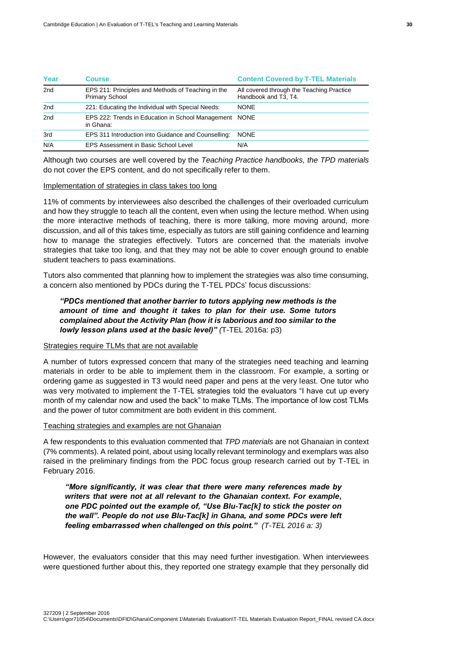| Year | Course                                                                      | <b>Content Covered by T-TEL Materials</b>                         |  |  |
|------|-----------------------------------------------------------------------------|-------------------------------------------------------------------|--|--|
| 2nd  | EPS 211: Principles and Methods of Teaching in the<br><b>Primary School</b> | All covered through the Teaching Practice<br>Handbook and T3, T4. |  |  |
| 2nd  | 221: Educating the Individual with Special Needs:                           | <b>NONE</b>                                                       |  |  |
| 2nd  | EPS 222: Trends in Education in School Management<br>in Ghana:              | <b>NONE</b>                                                       |  |  |
| 3rd  | EPS 311 Introduction into Guidance and Counselling:                         | <b>NONE</b>                                                       |  |  |
| N/A  | EPS Assessment in Basic School Level                                        | N/A                                                               |  |  |

Although two courses are well covered by the *Teaching Practice handbooks, the TPD materials* do not cover the EPS content, and do not specifically refer to them.

#### Implementation of strategies in class takes too long

11% of comments by interviewees also described the challenges of their overloaded curriculum and how they struggle to teach all the content, even when using the lecture method. When using the more interactive methods of teaching, there is more talking, more moving around, more discussion, and all of this takes time, especially as tutors are still gaining confidence and learning how to manage the strategies effectively. Tutors are concerned that the materials involve strategies that take too long, and that they may not be able to cover enough ground to enable student teachers to pass examinations.

Tutors also commented that planning how to implement the strategies was also time consuming, a concern also mentioned by PDCs during the T-TEL PDCs' focus discussions:

# *"PDCs mentioned that another barrier to tutors applying new methods is the amount of time and thought it takes to plan for their use. Some tutors complained about the Activity Plan (how it is laborious and too similar to the lowly lesson plans used at the basic level)" (*T-TEL 2016a: p3)

#### Strategies require TLMs that are not available

A number of tutors expressed concern that many of the strategies need teaching and learning materials in order to be able to implement them in the classroom. For example, a sorting or ordering game as suggested in T3 would need paper and pens at the very least. One tutor who was very motivated to implement the T-TEL strategies told the evaluators "I have cut up every month of my calendar now and used the back" to make TLMs. The importance of low cost TLMs and the power of tutor commitment are both evident in this comment.

#### Teaching strategies and examples are not Ghanaian

A few respondents to this evaluation commented that *TPD materials* are not Ghanaian in context (7% comments). A related point, about using locally relevant terminology and exemplars was also raised in the preliminary findings from the PDC focus group research carried out by T-TEL in February 2016.

*"More significantly, it was clear that there were many references made by writers that were not at all relevant to the Ghanaian context. For example, one PDC pointed out the example of, "Use Blu-Tac[k] to stick the poster on the wall". People do not use Blu-Tac[k] in Ghana, and some PDCs were left feeling embarrassed when challenged on this point." (T-TEL 2016 a: 3)*

However, the evaluators consider that this may need further investigation. When interviewees were questioned further about this, they reported one strategy example that they personally did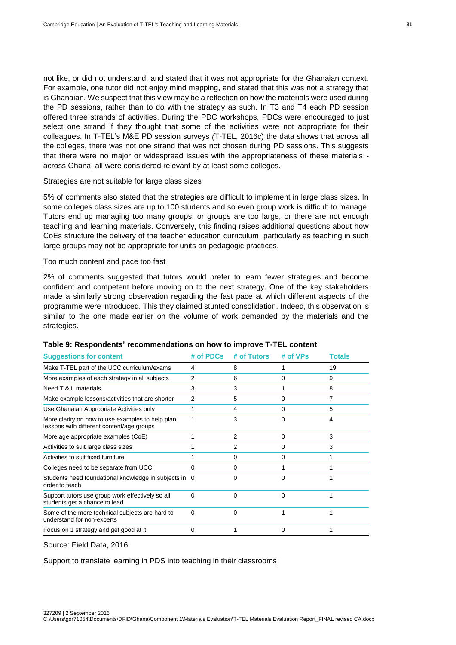not like, or did not understand, and stated that it was not appropriate for the Ghanaian context. For example, one tutor did not enjoy mind mapping, and stated that this was not a strategy that is Ghanaian. We suspect that this view may be a reflection on how the materials were used during the PD sessions, rather than to do with the strategy as such. In T3 and T4 each PD session offered three strands of activities. During the PDC workshops, PDCs were encouraged to just select one strand if they thought that some of the activities were not appropriate for their colleagues. In T-TEL's M&E PD session surveys *(*T-TEL, 2016c) the data shows that across all the colleges, there was not one strand that was not chosen during PD sessions. This suggests that there were no major or widespread issues with the appropriateness of these materials across Ghana, all were considered relevant by at least some colleges.

#### Strategies are not suitable for large class sizes

5% of comments also stated that the strategies are difficult to implement in large class sizes. In some colleges class sizes are up to 100 students and so even group work is difficult to manage. Tutors end up managing too many groups, or groups are too large, or there are not enough teaching and learning materials. Conversely, this finding raises additional questions about how CoEs structure the delivery of the teacher education curriculum, particularly as teaching in such large groups may not be appropriate for units on pedagogic practices.

#### Too much content and pace too fast

2% of comments suggested that tutors would prefer to learn fewer strategies and become confident and competent before moving on to the next strategy. One of the key stakeholders made a similarly strong observation regarding the fast pace at which different aspects of the programme were introduced. This they claimed stunted consolidation. Indeed, this observation is similar to the one made earlier on the volume of work demanded by the materials and the strategies.

| <b>Suggestions for content</b>                                                                | # of PDCs | # of Tutors | # of VPs | Totals |
|-----------------------------------------------------------------------------------------------|-----------|-------------|----------|--------|
| Make T-TEL part of the UCC curriculum/exams                                                   | 4         | 8           |          | 19     |
| More examples of each strategy in all subjects                                                | 2         | 6           | 0        | 9      |
| Need T & L materials                                                                          | 3         | 3           |          | 8      |
| Make example lessons/activities that are shorter                                              | 2         | 5           | 0        |        |
| Use Ghanaian Appropriate Activities only                                                      | 1         | 4           | O        | 5      |
| More clarity on how to use examples to help plan<br>lessons with different content/age groups |           | 3           |          | 4      |
| More age appropriate examples (CoE)                                                           |           | 2           | 0        | 3      |
| Activities to suit large class sizes                                                          |           | 2           | 0        | 3      |
| Activities to suit fixed furniture                                                            |           | 0           | 0        |        |
| Colleges need to be separate from UCC                                                         | 0         | 0           |          |        |
| Students need foundational knowledge in subjects in 0<br>order to teach                       |           | O           |          |        |
| Support tutors use group work effectively so all<br>students get a chance to lead             | 0         | 0           | 0        |        |
| Some of the more technical subjects are hard to<br>understand for non-experts                 | $\Omega$  | 0           |          |        |
| Focus on 1 strategy and get good at it                                                        | 0         |             | 0        |        |
|                                                                                               |           |             |          |        |

#### **Table 9: Respondents' recommendations on how to improve T-TEL content**

Source: Field Data, 2016

Support to translate learning in PDS into teaching in their classrooms: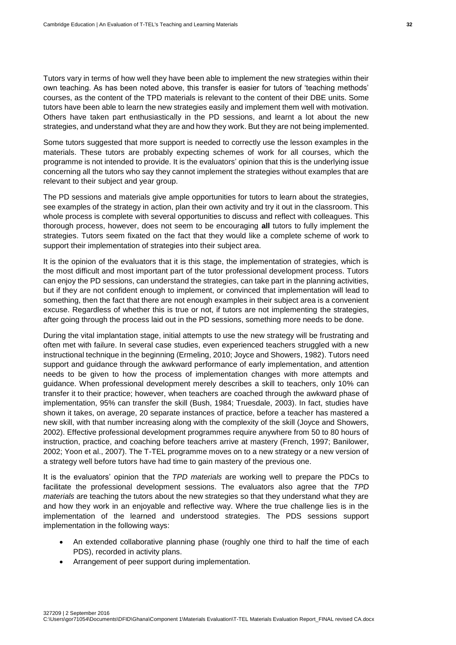Tutors vary in terms of how well they have been able to implement the new strategies within their own teaching. As has been noted above, this transfer is easier for tutors of 'teaching methods' courses, as the content of the TPD materials is relevant to the content of their DBE units. Some tutors have been able to learn the new strategies easily and implement them well with motivation. Others have taken part enthusiastically in the PD sessions, and learnt a lot about the new strategies, and understand what they are and how they work. But they are not being implemented.

Some tutors suggested that more support is needed to correctly use the lesson examples in the materials. These tutors are probably expecting schemes of work for all courses, which the programme is not intended to provide. It is the evaluators' opinion that this is the underlying issue concerning all the tutors who say they cannot implement the strategies without examples that are relevant to their subject and year group.

The PD sessions and materials give ample opportunities for tutors to learn about the strategies, see examples of the strategy in action, plan their own activity and try it out in the classroom. This whole process is complete with several opportunities to discuss and reflect with colleagues. This thorough process, however, does not seem to be encouraging **all** tutors to fully implement the strategies. Tutors seem fixated on the fact that they would like a complete scheme of work to support their implementation of strategies into their subject area.

It is the opinion of the evaluators that it is this stage, the implementation of strategies, which is the most difficult and most important part of the tutor professional development process. Tutors can enjoy the PD sessions, can understand the strategies, can take part in the planning activities, but if they are not confident enough to implement, or convinced that implementation will lead to something, then the fact that there are not enough examples in their subject area is a convenient excuse. Regardless of whether this is true or not, if tutors are not implementing the strategies, after going through the process laid out in the PD sessions, something more needs to be done.

During the vital implantation stage, initial attempts to use the new strategy will be frustrating and often met with failure. In several case studies, even experienced teachers struggled with a new instructional technique in the beginning (Ermeling, 2010; Joyce and Showers, 1982). Tutors need support and guidance through the awkward performance of early implementation, and attention needs to be given to how the process of implementation changes with more attempts and guidance. When professional development merely describes a skill to teachers, only 10% can transfer it to their practice; however, when teachers are coached through the awkward phase of implementation, 95% can transfer the skill (Bush, 1984; Truesdale, 2003). In fact, studies have shown it takes, on average, 20 separate instances of practice, before a teacher has mastered a new skill, with that number increasing along with the complexity of the skill (Joyce and Showers, 2002). Effective professional development programmes require anywhere from 50 to 80 hours of instruction, practice, and coaching before teachers arrive at mastery (French, 1997; Banilower, 2002; Yoon et al., 2007). The T-TEL programme moves on to a new strategy or a new version of a strategy well before tutors have had time to gain mastery of the previous one.

It is the evaluators' opinion that the *TPD materials* are working well to prepare the PDCs to facilitate the professional development sessions. The evaluators also agree that the *TPD materials* are teaching the tutors about the new strategies so that they understand what they are and how they work in an enjoyable and reflective way. Where the true challenge lies is in the implementation of the learned and understood strategies. The PDS sessions support implementation in the following ways:

- An extended collaborative planning phase (roughly one third to half the time of each PDS), recorded in activity plans.
- Arrangement of peer support during implementation.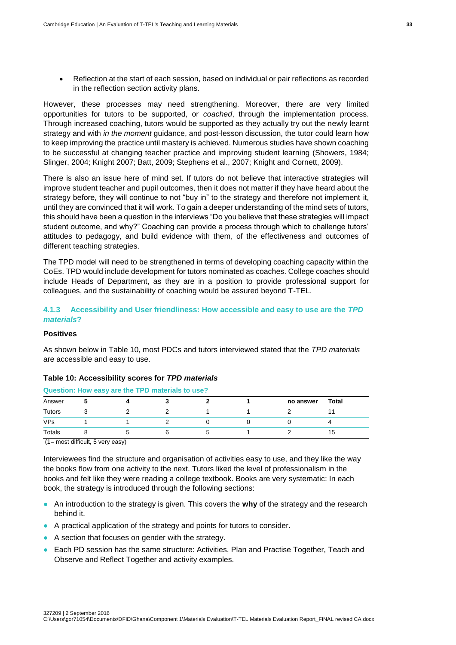Reflection at the start of each session, based on individual or pair reflections as recorded in the reflection section activity plans.

However, these processes may need strengthening. Moreover, there are very limited opportunities for tutors to be supported, or *coached*, through the implementation process. Through increased coaching, tutors would be supported as they actually try out the newly learnt strategy and with *in the moment* guidance, and post-lesson discussion, the tutor could learn how to keep improving the practice until mastery is achieved. Numerous studies have shown coaching to be successful at changing teacher practice and improving student learning (Showers, 1984; Slinger, 2004; Knight 2007; Batt, 2009; Stephens et al., 2007; Knight and Cornett, 2009).

There is also an issue here of mind set. If tutors do not believe that interactive strategies will improve student teacher and pupil outcomes, then it does not matter if they have heard about the strategy before, they will continue to not "buy in" to the strategy and therefore not implement it, until they are convinced that it will work. To gain a deeper understanding of the mind sets of tutors, this should have been a question in the interviews "Do you believe that these strategies will impact student outcome, and why?" Coaching can provide a process through which to challenge tutors' attitudes to pedagogy, and build evidence with them, of the effectiveness and outcomes of different teaching strategies.

The TPD model will need to be strengthened in terms of developing coaching capacity within the CoEs. TPD would include development for tutors nominated as coaches. College coaches should include Heads of Department, as they are in a position to provide professional support for colleagues, and the sustainability of coaching would be assured beyond T-TEL.

#### <span id="page-40-0"></span>**4.1.3 Accessibility and User friendliness: How accessible and easy to use are the** *TPD materials***?**

# **Positives**

As shown below in Table 10, most PDCs and tutors interviewed stated that the *TPD materials* are accessible and easy to use.

#### **Table 10: Accessibility scores for** *TPD materials*

#### **Question: How easy are the TPD materials to use?**

| Answer        |  |  | no answer | Total |
|---------------|--|--|-----------|-------|
| <b>Tutors</b> |  |  |           |       |
| <b>VPs</b>    |  |  |           |       |
| Totals        |  |  |           | כ ו   |

(1= most difficult, 5 very easy)

327209 | 2 September 2016

Interviewees find the structure and organisation of activities easy to use, and they like the way the books flow from one activity to the next. Tutors liked the level of professionalism in the books and felt like they were reading a college textbook. Books are very systematic: In each book, the strategy is introduced through the following sections:

- An introduction to the strategy is given. This covers the **why** of the strategy and the research behind it.
- A practical application of the strategy and points for tutors to consider.
- A section that focuses on gender with the strategy.
- Each PD session has the same structure: Activities, Plan and Practise Together, Teach and Observe and Reflect Together and activity examples.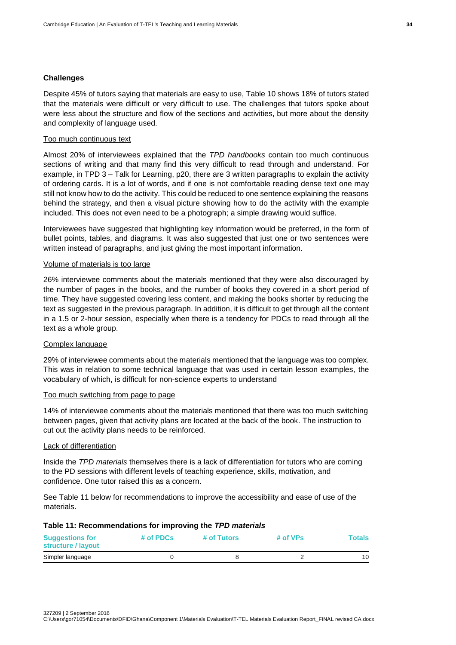#### **Challenges**

Despite 45% of tutors saying that materials are easy to use, Table 10 shows 18% of tutors stated that the materials were difficult or very difficult to use. The challenges that tutors spoke about were less about the structure and flow of the sections and activities, but more about the density and complexity of language used.

#### Too much continuous text

Almost 20% of interviewees explained that the *TPD handbooks* contain too much continuous sections of writing and that many find this very difficult to read through and understand. For example, in TPD 3 – Talk for Learning, p20, there are 3 written paragraphs to explain the activity of ordering cards. It is a lot of words, and if one is not comfortable reading dense text one may still not know how to do the activity. This could be reduced to one sentence explaining the reasons behind the strategy, and then a visual picture showing how to do the activity with the example included. This does not even need to be a photograph; a simple drawing would suffice.

Interviewees have suggested that highlighting key information would be preferred, in the form of bullet points, tables, and diagrams. It was also suggested that just one or two sentences were written instead of paragraphs, and just giving the most important information.

#### Volume of materials is too large

26% interviewee comments about the materials mentioned that they were also discouraged by the number of pages in the books, and the number of books they covered in a short period of time. They have suggested covering less content, and making the books shorter by reducing the text as suggested in the previous paragraph. In addition, it is difficult to get through all the content in a 1.5 or 2-hour session, especially when there is a tendency for PDCs to read through all the text as a whole group.

#### Complex language

29% of interviewee comments about the materials mentioned that the language was too complex. This was in relation to some technical language that was used in certain lesson examples, the vocabulary of which, is difficult for non-science experts to understand

#### Too much switching from page to page

14% of interviewee comments about the materials mentioned that there was too much switching between pages, given that activity plans are located at the back of the book. The instruction to cut out the activity plans needs to be reinforced.

#### Lack of differentiation

Inside the *TPD materials* themselves there is a lack of differentiation for tutors who are coming to the PD sessions with different levels of teaching experience, skills, motivation, and confidence. One tutor raised this as a concern.

See Table 11 below for recommendations to improve the accessibility and ease of use of the materials.

#### **Table 11: Recommendations for improving the** *TPD materials*

| <b>Suggestions for</b><br>structure / layout | # of PDCs | # of Tutors | # of VPs | <b>Totals</b> |
|----------------------------------------------|-----------|-------------|----------|---------------|
| Simpler language                             |           |             |          | 10            |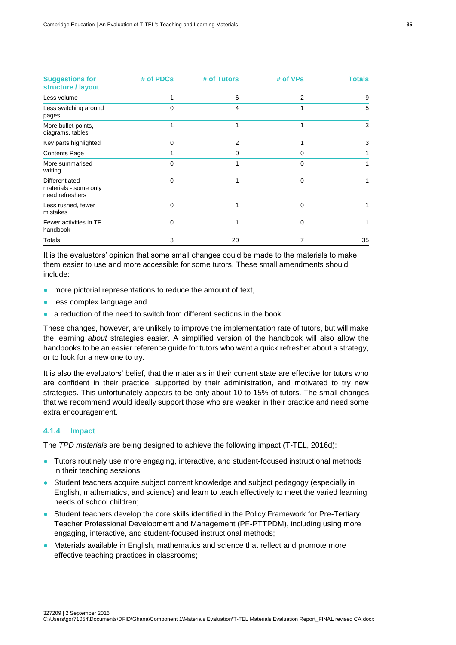| <b>Suggestions for</b><br>structure / layout               | # of PDCs | # of Tutors    | # of VPs | Totals |  |
|------------------------------------------------------------|-----------|----------------|----------|--------|--|
| Less volume                                                |           | 6              | 2        | 9      |  |
| Less switching around<br>pages                             | 0         | 4              |          | 5      |  |
| More bullet points,<br>diagrams, tables                    | 1         | 1              |          | 3      |  |
| Key parts highlighted                                      | $\Omega$  | $\overline{2}$ |          | 3      |  |
| <b>Contents Page</b>                                       |           | 0              | 0        |        |  |
| More summarised<br>writing                                 | $\Omega$  |                | 0        |        |  |
| Differentiated<br>materials - some only<br>need refreshers | $\Omega$  |                | $\Omega$ |        |  |
| Less rushed, fewer<br>mistakes                             | $\Omega$  | 1              | 0        |        |  |
| Fewer activities in TP<br>handbook                         | $\Omega$  | 1              | 0        |        |  |
| Totals                                                     | 3         | 20             | 7        | 35     |  |

It is the evaluators' opinion that some small changes could be made to the materials to make them easier to use and more accessible for some tutors. These small amendments should include:

- more pictorial representations to reduce the amount of text,
- less complex language and
- a reduction of the need to switch from different sections in the book.

These changes, however, are unlikely to improve the implementation rate of tutors, but will make the learning *about* strategies easier. A simplified version of the handbook will also allow the handbooks to be an easier reference guide for tutors who want a quick refresher about a strategy, or to look for a new one to try.

It is also the evaluators' belief, that the materials in their current state are effective for tutors who are confident in their practice, supported by their administration, and motivated to try new strategies. This unfortunately appears to be only about 10 to 15% of tutors. The small changes that we recommend would ideally support those who are weaker in their practice and need some extra encouragement.

#### <span id="page-42-0"></span>**4.1.4 Impact**

The *TPD materials* are being designed to achieve the following impact (T-TEL, 2016d):

- Tutors routinely use more engaging, interactive, and student-focused instructional methods in their teaching sessions
- Student teachers acquire subject content knowledge and subject pedagogy (especially in English, mathematics, and science) and learn to teach effectively to meet the varied learning needs of school children;
- Student teachers develop the core skills identified in the Policy Framework for Pre-Tertiary Teacher Professional Development and Management (PF-PTTPDM), including using more engaging, interactive, and student-focused instructional methods;
- Materials available in English, mathematics and science that reflect and promote more effective teaching practices in classrooms;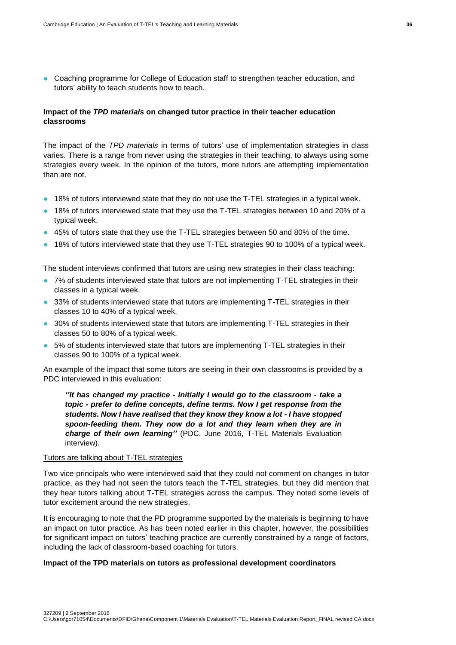● Coaching programme for College of Education staff to strengthen teacher education, and tutors' ability to teach students how to teach.

# **Impact of the** *TPD materials* **on changed tutor practice in their teacher education classrooms**

The impact of the *TPD materials* in terms of tutors' use of implementation strategies in class varies. There is a range from never using the strategies in their teaching, to always using some strategies every week. In the opinion of the tutors, more tutors are attempting implementation than are not.

- 18% of tutors interviewed state that they do not use the T-TEL strategies in a typical week.
- 18% of tutors interviewed state that they use the T-TEL strategies between 10 and 20% of a typical week.
- 45% of tutors state that they use the T-TEL strategies between 50 and 80% of the time.
- 18% of tutors interviewed state that they use T-TEL strategies 90 to 100% of a typical week.

The student interviews confirmed that tutors are using new strategies in their class teaching:

- 7% of students interviewed state that tutors are not implementing T-TEL strategies in their classes in a typical week.
- 33% of students interviewed state that tutors are implementing T-TEL strategies in their classes 10 to 40% of a typical week.
- 30% of students interviewed state that tutors are implementing T-TEL strategies in their classes 50 to 80% of a typical week.
- 5% of students interviewed state that tutors are implementing T-TEL strategies in their classes 90 to 100% of a typical week.

An example of the impact that some tutors are seeing in their own classrooms is provided by a PDC interviewed in this evaluation:

*''It has changed my practice - Initially I would go to the classroom - take a topic - prefer to define concepts, define terms. Now I get response from the students. Now I have realised that they know they know a lot - I have stopped spoon-feeding them. They now do a lot and they learn when they are in charge of their own learning''* (PDC, June 2016, T-TEL Materials Evaluation interview).

# Tutors are talking about T-TEL strategies

Two vice-principals who were interviewed said that they could not comment on changes in tutor practice, as they had not seen the tutors teach the T-TEL strategies, but they did mention that they hear tutors talking about T-TEL strategies across the campus. They noted some levels of tutor excitement around the new strategies.

It is encouraging to note that the PD programme supported by the materials is beginning to have an impact on tutor practice. As has been noted earlier in this chapter, however, the possibilities for significant impact on tutors' teaching practice are currently constrained by a range of factors, including the lack of classroom-based coaching for tutors.

#### **Impact of the TPD materials on tutors as professional development coordinators**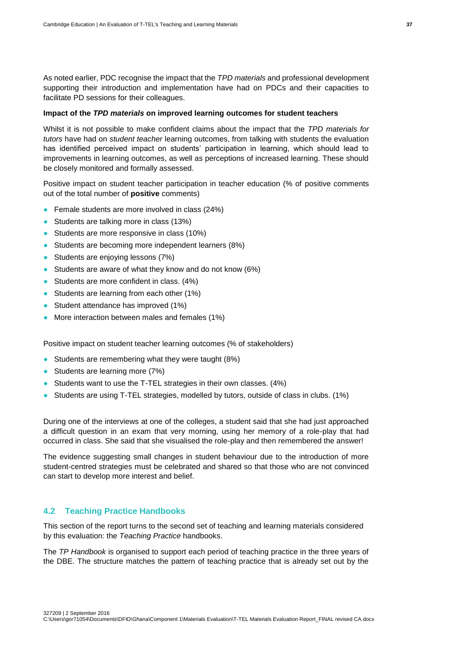As noted earlier, PDC recognise the impact that the *TPD materials* and professional development supporting their introduction and implementation have had on PDCs and their capacities to facilitate PD sessions for their colleagues.

#### **Impact of the** *TPD materials* **on improved learning outcomes for student teachers**

Whilst it is not possible to make confident claims about the impact that the *TPD materials for tutors* have had on *student teacher* learning outcomes, from talking with students the evaluation has identified perceived impact on students' participation in learning, which should lead to improvements in learning outcomes, as well as perceptions of increased learning. These should be closely monitored and formally assessed.

Positive impact on student teacher participation in teacher education (% of positive comments out of the total number of **positive** comments)

- Female students are more involved in class (24%)
- Students are talking more in class (13%)
- Students are more responsive in class (10%)
- Students are becoming more independent learners (8%)
- Students are enjoying lessons (7%)
- Students are aware of what they know and do not know (6%)
- Students are more confident in class. (4%)
- Students are learning from each other (1%)
- Student attendance has improved (1%)
- More interaction between males and females (1%)

Positive impact on student teacher learning outcomes (% of stakeholders)

- Students are remembering what they were taught (8%)
- Students are learning more (7%)
- Students want to use the T-TEL strategies in their own classes. (4%)
- Students are using T-TEL strategies, modelled by tutors, outside of class in clubs. (1%)

During one of the interviews at one of the colleges, a student said that she had just approached a difficult question in an exam that very morning, using her memory of a role-play that had occurred in class. She said that she visualised the role-play and then remembered the answer!

The evidence suggesting small changes in student behaviour due to the introduction of more student-centred strategies must be celebrated and shared so that those who are not convinced can start to develop more interest and belief.

#### <span id="page-44-0"></span>**4.2 Teaching Practice Handbooks**

This section of the report turns to the second set of teaching and learning materials considered by this evaluation: the *Teaching Practice* handbooks.

The *TP Handbook* is organised to support each period of teaching practice in the three years of the DBE. The structure matches the pattern of teaching practice that is already set out by the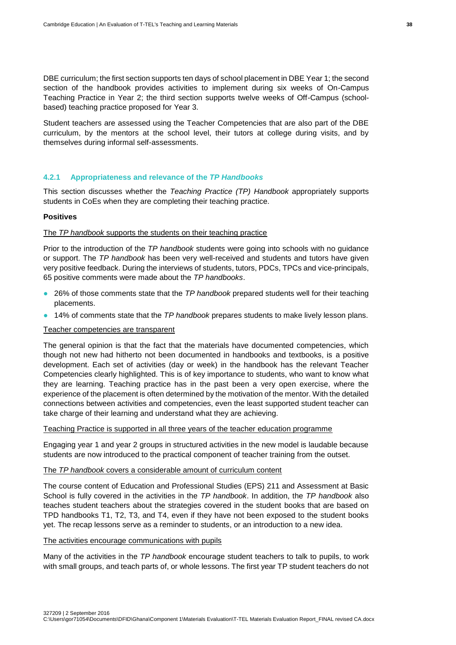DBE curriculum; the first section supports ten days of school placement in DBE Year 1; the second section of the handbook provides activities to implement during six weeks of On-Campus Teaching Practice in Year 2; the third section supports twelve weeks of Off-Campus (schoolbased) teaching practice proposed for Year 3.

Student teachers are assessed using the Teacher Competencies that are also part of the DBE curriculum, by the mentors at the school level, their tutors at college during visits, and by themselves during informal self-assessments.

#### <span id="page-45-0"></span>**4.2.1 Appropriateness and relevance of the** *TP Handbooks*

This section discusses whether the *Teaching Practice (TP) Handbook* appropriately supports students in CoEs when they are completing their teaching practice.

#### **Positives**

#### The *TP handbook* supports the students on their teaching practice

Prior to the introduction of the *TP handbook* students were going into schools with no guidance or support. The *TP handbook* has been very well-received and students and tutors have given very positive feedback. During the interviews of students, tutors, PDCs, TPCs and vice-principals, 65 positive comments were made about the *TP handbooks*.

- 26% of those comments state that the *TP handbook* prepared students well for their teaching placements.
- 14% of comments state that the *TP handbook* prepares students to make lively lesson plans.

#### Teacher competencies are transparent

The general opinion is that the fact that the materials have documented competencies, which though not new had hitherto not been documented in handbooks and textbooks, is a positive development. Each set of activities (day or week) in the handbook has the relevant Teacher Competencies clearly highlighted. This is of key importance to students, who want to know what they are learning. Teaching practice has in the past been a very open exercise, where the experience of the placement is often determined by the motivation of the mentor. With the detailed connections between activities and competencies, even the least supported student teacher can take charge of their learning and understand what they are achieving.

#### Teaching Practice is supported in all three years of the teacher education programme

Engaging year 1 and year 2 groups in structured activities in the new model is laudable because students are now introduced to the practical component of teacher training from the outset.

#### The *TP handbook* covers a considerable amount of curriculum content

The course content of Education and Professional Studies (EPS) 211 and Assessment at Basic School is fully covered in the activities in the *TP handbook*. In addition, the *TP handbook* also teaches student teachers about the strategies covered in the student books that are based on TPD handbooks T1, T2, T3, and T4, even if they have not been exposed to the student books yet. The recap lessons serve as a reminder to students, or an introduction to a new idea.

#### The activities encourage communications with pupils

Many of the activities in the *TP handbook* encourage student teachers to talk to pupils, to work with small groups, and teach parts of, or whole lessons. The first year TP student teachers do not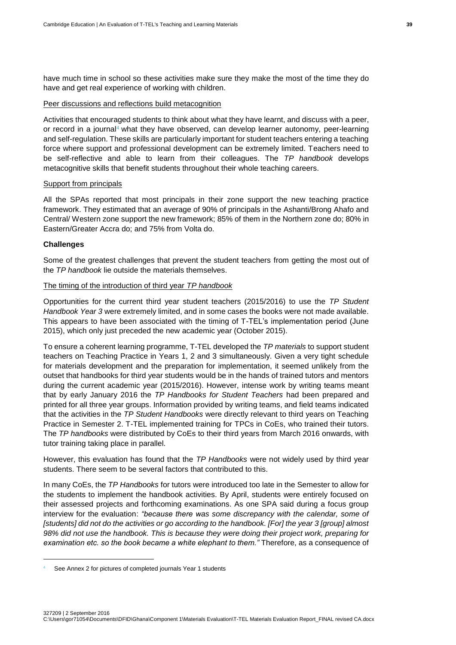have much time in school so these activities make sure they make the most of the time they do have and get real experience of working with children.

#### Peer discussions and reflections build metacognition

Activities that encouraged students to think about what they have learnt, and discuss with a peer, or record in a journal<sup>4</sup> what they have observed, can develop learner autonomy, peer-learning and self-regulation. These skills are particularly important for student teachers entering a teaching force where support and professional development can be extremely limited. Teachers need to be self-reflective and able to learn from their colleagues. The *TP handbook* develops metacognitive skills that benefit students throughout their whole teaching careers.

#### Support from principals

All the SPAs reported that most principals in their zone support the new teaching practice framework. They estimated that an average of 90% of principals in the Ashanti/Brong Ahafo and Central/ Western zone support the new framework; 85% of them in the Northern zone do; 80% in Eastern/Greater Accra do; and 75% from Volta do.

#### **Challenges**

-

Some of the greatest challenges that prevent the student teachers from getting the most out of the *TP handbook* lie outside the materials themselves.

#### The timing of the introduction of third year *TP handbook*

Opportunities for the current third year student teachers (2015/2016) to use the *TP Student Handbook Year 3* were extremely limited, and in some cases the books were not made available. This appears to have been associated with the timing of T-TEL's implementation period (June 2015), which only just preceded the new academic year (October 2015).

To ensure a coherent learning programme, T-TEL developed the *TP materials* to support student teachers on Teaching Practice in Years 1, 2 and 3 simultaneously. Given a very tight schedule for materials development and the preparation for implementation, it seemed unlikely from the outset that handbooks for third year students would be in the hands of trained tutors and mentors during the current academic year (2015/2016). However, intense work by writing teams meant that by early January 2016 the *TP Handbooks for Student Teachers* had been prepared and printed for all three year groups. Information provided by writing teams, and field teams indicated that the activities in the *TP Student Handbooks* were directly relevant to third years on Teaching Practice in Semester 2. T-TEL implemented training for TPCs in CoEs, who trained their tutors. The *TP handbooks* were distributed by CoEs to their third years from March 2016 onwards, with tutor training taking place in parallel.

However, this evaluation has found that the *TP Handbooks* were not widely used by third year students. There seem to be several factors that contributed to this.

In many CoEs, the *TP Handbooks* for tutors were introduced too late in the Semester to allow for the students to implement the handbook activities. By April, students were entirely focused on their assessed projects and forthcoming examinations. As one SPA said during a focus group interview for the evaluation: *"because there was some discrepancy with the calendar, some of [students] did not do the activities or go according to the handbook. [For] the year 3 [group] almost 98% did not use the handbook. This is because they were doing their project work, preparing for examination etc. so the book became a white elephant to them."* Therefore, as a consequence of

See Annex 2 for pictures of completed journals Year 1 students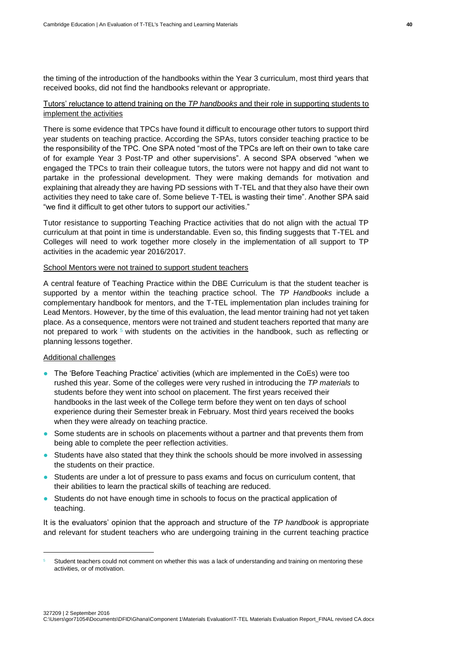the timing of the introduction of the handbooks within the Year 3 curriculum, most third years that received books, did not find the handbooks relevant or appropriate.

# Tutors' reluctance to attend training on the *TP handbooks* and their role in supporting students to implement the activities

There is some evidence that TPCs have found it difficult to encourage other tutors to support third year students on teaching practice. According the SPAs, tutors consider teaching practice to be the responsibility of the TPC. One SPA noted "most of the TPCs are left on their own to take care of for example Year 3 Post-TP and other supervisions". A second SPA observed "when we engaged the TPCs to train their colleague tutors, the tutors were not happy and did not want to partake in the professional development. They were making demands for motivation and explaining that already they are having PD sessions with T-TEL and that they also have their own activities they need to take care of. Some believe T-TEL is wasting their time". Another SPA said "we find it difficult to get other tutors to support our activities."

Tutor resistance to supporting Teaching Practice activities that do not align with the actual TP curriculum at that point in time is understandable. Even so, this finding suggests that T-TEL and Colleges will need to work together more closely in the implementation of all support to TP activities in the academic year 2016/2017.

# School Mentors were not trained to support student teachers

A central feature of Teaching Practice within the DBE Curriculum is that the student teacher is supported by a mentor within the teaching practice school. The *TP Handbooks* include a complementary handbook for mentors, and the T-TEL implementation plan includes training for Lead Mentors. However, by the time of this evaluation, the lead mentor training had not yet taken place. As a consequence, mentors were not trained and student teachers reported that many are not prepared to work  $5$  with students on the activities in the handbook, such as reflecting or planning lessons together.

#### Additional challenges

1

- The 'Before Teaching Practice' activities (which are implemented in the CoEs) were too rushed this year. Some of the colleges were very rushed in introducing the *TP materials* to students before they went into school on placement. The first years received their handbooks in the last week of the College term before they went on ten days of school experience during their Semester break in February. Most third years received the books when they were already on teaching practice.
- Some students are in schools on placements without a partner and that prevents them from being able to complete the peer reflection activities.
- Students have also stated that they think the schools should be more involved in assessing the students on their practice.
- Students are under a lot of pressure to pass exams and focus on curriculum content, that their abilities to learn the practical skills of teaching are reduced.
- Students do not have enough time in schools to focus on the practical application of teaching.

It is the evaluators' opinion that the approach and structure of the *TP handbook* is appropriate and relevant for student teachers who are undergoing training in the current teaching practice

Student teachers could not comment on whether this was a lack of understanding and training on mentoring these activities, or of motivation.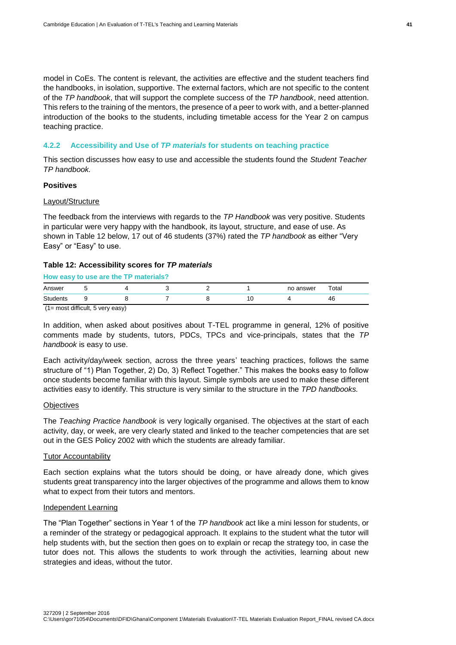model in CoEs. The content is relevant, the activities are effective and the student teachers find the handbooks, in isolation, supportive. The external factors, which are not specific to the content of the *TP handbook*, that will support the complete success of the *TP handbook*, need attention. This refers to the training of the mentors, the presence of a peer to work with, and a better-planned introduction of the books to the students, including timetable access for the Year 2 on campus teaching practice.

#### <span id="page-48-0"></span>**4.2.2 Accessibility and Use of** *TP materials* **for students on teaching practice**

This section discusses how easy to use and accessible the students found the *Student Teacher TP handbook.*

#### **Positives**

## Layout/Structure

The feedback from the interviews with regards to the *TP Handbook* was very positive. Students in particular were very happy with the handbook, its layout, structure, and ease of use. As shown in Table 12 below, 17 out of 46 students (37%) rated the *TP handbook* as either "Very Easy" or "Easy" to use.

#### **Table 12: Accessibility scores for** *TP materials*

| How easy to use are the TP materials? |  |  |  |  |  |           |       |  |  |
|---------------------------------------|--|--|--|--|--|-----------|-------|--|--|
| Answer                                |  |  |  |  |  | no answer | Total |  |  |
| <b>Students</b>                       |  |  |  |  |  |           | 46    |  |  |

(1= most difficult, 5 very easy)

In addition, when asked about positives about T-TEL programme in general, 12% of positive comments made by students, tutors, PDCs, TPCs and vice-principals, states that the *TP handbook* is easy to use.

Each activity/day/week section, across the three years' teaching practices, follows the same structure of "1) Plan Together, 2) Do, 3) Reflect Together." This makes the books easy to follow once students become familiar with this layout. Simple symbols are used to make these different activities easy to identify. This structure is very similar to the structure in the *TPD handbooks.*

#### **Objectives**

The *Teaching Practice handbook* is very logically organised. The objectives at the start of each activity, day, or week, are very clearly stated and linked to the teacher competencies that are set out in the GES Policy 2002 with which the students are already familiar.

#### **Tutor Accountability**

Each section explains what the tutors should be doing, or have already done, which gives students great transparency into the larger objectives of the programme and allows them to know what to expect from their tutors and mentors.

#### Independent Learning

The "Plan Together" sections in Year 1 of the *TP handbook* act like a mini lesson for students, or a reminder of the strategy or pedagogical approach. It explains to the student what the tutor will help students with, but the section then goes on to explain or recap the strategy too, in case the tutor does not. This allows the students to work through the activities, learning about new strategies and ideas, without the tutor.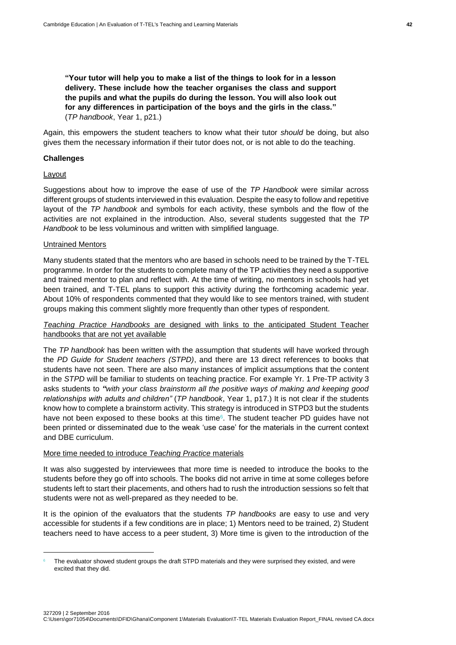**"Your tutor will help you to make a list of the things to look for in a lesson delivery. These include how the teacher organises the class and support the pupils and what the pupils do during the lesson. You will also look out for any differences in participation of the boys and the girls in the class."**  (*TP handbook*, Year 1, p21.)

Again, this empowers the student teachers to know what their tutor *should* be doing, but also gives them the necessary information if their tutor does not, or is not able to do the teaching.

#### **Challenges**

#### Layout

1

Suggestions about how to improve the ease of use of the *TP Handbook* were similar across different groups of students interviewed in this evaluation. Despite the easy to follow and repetitive layout of the *TP handbook* and symbols for each activity, these symbols and the flow of the activities are not explained in the introduction. Also, several students suggested that the *TP Handbook* to be less voluminous and written with simplified language.

#### Untrained Mentors

Many students stated that the mentors who are based in schools need to be trained by the T-TEL programme. In order for the students to complete many of the TP activities they need a supportive and trained mentor to plan and reflect with. At the time of writing, no mentors in schools had yet been trained, and T-TEL plans to support this activity during the forthcoming academic year. About 10% of respondents commented that they would like to see mentors trained, with student groups making this comment slightly more frequently than other types of respondent.

*Teaching Practice Handbooks* are designed with links to the anticipated Student Teacher handbooks that are not yet available

The *TP handbook* has been written with the assumption that students will have worked through the *PD Guide for Student teachers (STPD)*, and there are 13 direct references to books that students have not seen. There are also many instances of implicit assumptions that the content in the *STPD* will be familiar to students on teaching practice. For example Yr. 1 Pre-TP activity 3 asks students to *"with your class brainstorm all the positive ways of making and keeping good relationships with adults and children"* (*TP handbook*, Year 1, p17.) It is not clear if the students know how to complete a brainstorm activity. This strategy is introduced in STPD3 but the students have not been exposed to these books at this time $6$ . The student teacher PD guides have not been printed or disseminated due to the weak 'use case' for the materials in the current context and DBE curriculum.

#### More time needed to introduce *Teaching Practice* materials

It was also suggested by interviewees that more time is needed to introduce the books to the students before they go off into schools. The books did not arrive in time at some colleges before students left to start their placements, and others had to rush the introduction sessions so felt that students were not as well-prepared as they needed to be.

It is the opinion of the evaluators that the students *TP handbooks* are easy to use and very accessible for students if a few conditions are in place; 1) Mentors need to be trained, 2) Student teachers need to have access to a peer student, 3) More time is given to the introduction of the

The evaluator showed student groups the draft STPD materials and they were surprised they existed, and were excited that they did.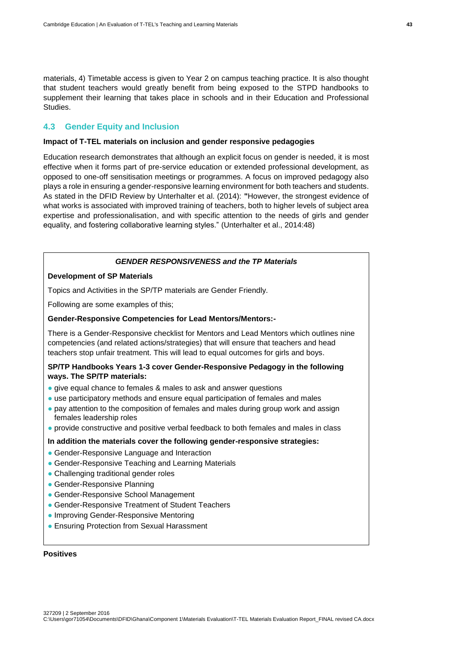materials, 4) Timetable access is given to Year 2 on campus teaching practice. It is also thought that student teachers would greatly benefit from being exposed to the STPD handbooks to supplement their learning that takes place in schools and in their Education and Professional Studies.

# <span id="page-50-0"></span>**4.3 Gender Equity and Inclusion**

#### **Impact of T-TEL materials on inclusion and gender responsive pedagogies**

Education research demonstrates that although an explicit focus on gender is needed, it is most effective when it forms part of pre-service education or extended professional development, as opposed to one-off sensitisation meetings or programmes. A focus on improved pedagogy also plays a role in ensuring a gender-responsive learning environment for both teachers and students. As stated in the DFID Review by Unterhalter et al. (2014): **"**However, the strongest evidence of what works is associated with improved training of teachers, both to higher levels of subject area expertise and professionalisation, and with specific attention to the needs of girls and gender equality, and fostering collaborative learning styles." (Unterhalter et al., 2014:48)

#### *GENDER RESPONSIVENESS and the TP Materials*

# **Development of SP Materials**

Topics and Activities in the SP/TP materials are Gender Friendly.

Following are some examples of this;

#### **Gender-Responsive Competencies for Lead Mentors/Mentors:-**

There is a Gender-Responsive checklist for Mentors and Lead Mentors which outlines nine competencies (and related actions/strategies) that will ensure that teachers and head teachers stop unfair treatment. This will lead to equal outcomes for girls and boys.

## **SP/TP Handbooks Years 1-3 cover Gender-Responsive Pedagogy in the following ways. The SP/TP materials:**

- give equal chance to females & males to ask and answer questions
- use participatory methods and ensure equal participation of females and males
- pay attention to the composition of females and males during group work and assign females leadership roles
- provide constructive and positive verbal feedback to both females and males in class

# **In addition the materials cover the following gender-responsive strategies:**

- Gender-Responsive Language and Interaction
- Gender-Responsive Teaching and Learning Materials
- Challenging traditional gender roles
- Gender-Responsive Planning
- Gender-Responsive School Management
- Gender-Responsive Treatment of Student Teachers
- Improving Gender-Responsive Mentoring
- Ensuring Protection from Sexual Harassment

#### **Positives**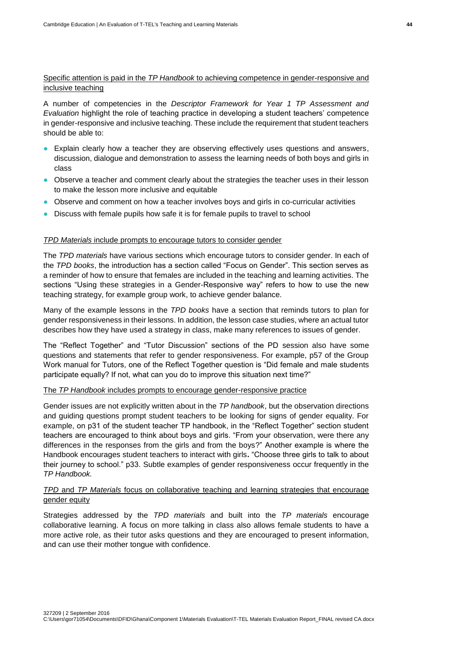### Specific attention is paid in the *TP Handbook* to achieving competence in gender-responsive and inclusive teaching

A number of competencies in the *Descriptor Framework for Year 1 TP Assessment and Evaluation* highlight the role of teaching practice in developing a student teachers' competence in gender-responsive and inclusive teaching. These include the requirement that student teachers should be able to:

- Explain clearly how a teacher they are observing effectively uses questions and answers, discussion, dialogue and demonstration to assess the learning needs of both boys and girls in class
- Observe a teacher and comment clearly about the strategies the teacher uses in their lesson to make the lesson more inclusive and equitable
- Observe and comment on how a teacher involves boys and girls in co-curricular activities
- Discuss with female pupils how safe it is for female pupils to travel to school

#### *TPD Materials* include prompts to encourage tutors to consider gender

The *TPD materials* have various sections which encourage tutors to consider gender. In each of the *TPD books*, the introduction has a section called "Focus on Gender". This section serves as a reminder of how to ensure that females are included in the teaching and learning activities. The sections "Using these strategies in a Gender-Responsive way" refers to how to use the new teaching strategy, for example group work, to achieve gender balance.

Many of the example lessons in the *TPD books* have a section that reminds tutors to plan for gender responsiveness in their lessons. In addition, the lesson case studies, where an actual tutor describes how they have used a strategy in class, make many references to issues of gender.

The "Reflect Together" and "Tutor Discussion" sections of the PD session also have some questions and statements that refer to gender responsiveness. For example, p57 of the Group Work manual for Tutors, one of the Reflect Together question is "Did female and male students participate equally? If not, what can you do to improve this situation next time?"

#### The *TP Handbook* includes prompts to encourage gender-responsive practice

Gender issues are not explicitly written about in the *TP handbook*, but the observation directions and guiding questions prompt student teachers to be looking for signs of gender equality. For example, on p31 of the student teacher TP handbook, in the "Reflect Together" section student teachers are encouraged to think about boys and girls. "From your observation, were there any differences in the responses from the girls and from the boys?" Another example is where the Handbook encourages student teachers to interact with girls**.** "Choose three girls to talk to about their journey to school." p33. Subtle examples of gender responsiveness occur frequently in the *TP Handbook.*

# *TPD* and *TP Materials* focus on collaborative teaching and learning strategies that encourage gender equity

Strategies addressed by the *TPD materials* and built into the *TP materials* encourage collaborative learning. A focus on more talking in class also allows female students to have a more active role, as their tutor asks questions and they are encouraged to present information, and can use their mother tongue with confidence.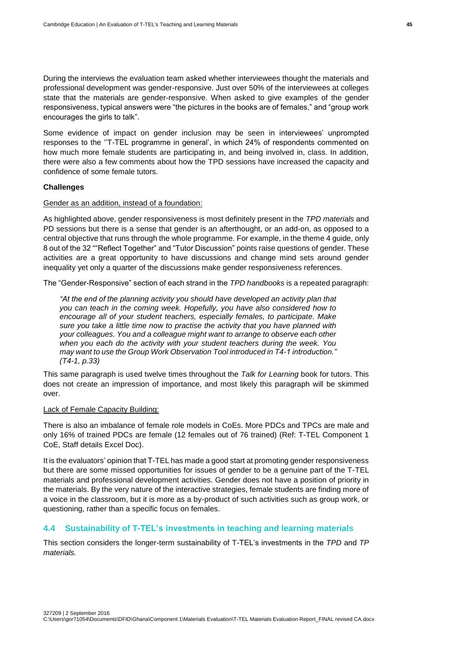During the interviews the evaluation team asked whether interviewees thought the materials and professional development was gender-responsive. Just over 50% of the interviewees at colleges state that the materials are gender-responsive. When asked to give examples of the gender responsiveness, typical answers were "the pictures in the books are of females," and "group work encourages the girls to talk".

Some evidence of impact on gender inclusion may be seen in interviewees' unprompted responses to the ''T-TEL programme in general', in which 24% of respondents commented on how much more female students are participating in, and being involved in, class. In addition, there were also a few comments about how the TPD sessions have increased the capacity and confidence of some female tutors.

#### **Challenges**

#### Gender as an addition, instead of a foundation:

As highlighted above, gender responsiveness is most definitely present in the *TPD materials* and PD sessions but there is a sense that gender is an afterthought, or an add-on, as opposed to a central objective that runs through the whole programme. For example, in the theme 4 guide, only 8 out of the 32 ""Reflect Together" and "Tutor Discussion" points raise questions of gender. These activities are a great opportunity to have discussions and change mind sets around gender inequality yet only a quarter of the discussions make gender responsiveness references.

The "Gender-Responsive" section of each strand in the *TPD handbooks* is a repeated paragraph:

*"At the end of the planning activity you should have developed an activity plan that you can teach in the coming week. Hopefully, you have also considered how to encourage all of your student teachers, especially females, to participate. Make sure you take a little time now to practise the activity that you have planned with your colleagues. You and a colleague might want to arrange to observe each other when you each do the activity with your student teachers during the week. You may want to use the Group Work Observation Tool introduced in T4-1 introduction." (T4-1, p.33)*

This same paragraph is used twelve times throughout the *Talk for Learning* book for tutors. This does not create an impression of importance, and most likely this paragraph will be skimmed over.

#### Lack of Female Capacity Building:

There is also an imbalance of female role models in CoEs. More PDCs and TPCs are male and only 16% of trained PDCs are female (12 females out of 76 trained) (Ref: T-TEL Component 1 CoE, Staff details Excel Doc).

It is the evaluators' opinion that T-TEL has made a good start at promoting gender responsiveness but there are some missed opportunities for issues of gender to be a genuine part of the T-TEL materials and professional development activities. Gender does not have a position of priority in the materials. By the very nature of the interactive strategies, female students are finding more of a voice in the classroom, but it is more as a by-product of such activities such as group work, or questioning, rather than a specific focus on females.

#### <span id="page-52-0"></span>**4.4 Sustainability of T-TEL's investments in teaching and learning materials**

This section considers the longer-term sustainability of T-TEL's investments in the *TPD* and *TP materials.*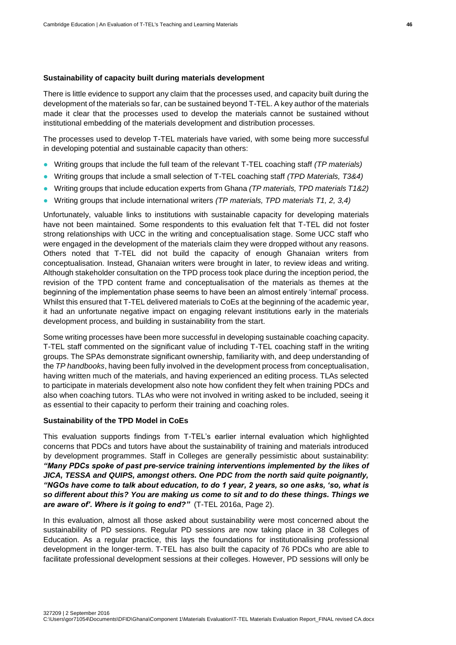#### **Sustainability of capacity built during materials development**

There is little evidence to support any claim that the processes used, and capacity built during the development of the materials so far, can be sustained beyond T-TEL. A key author of the materials made it clear that the processes used to develop the materials cannot be sustained without institutional embedding of the materials development and distribution processes.

The processes used to develop T-TEL materials have varied, with some being more successful in developing potential and sustainable capacity than others:

- Writing groups that include the full team of the relevant T-TEL coaching staff *(TP materials)*
- Writing groups that include a small selection of T-TEL coaching staff *(TPD Materials, T3&4)*
- Writing groups that include education experts from Ghana *(TP materials, TPD materials T1&2)*
- Writing groups that include international writers *(TP materials, TPD materials T1, 2, 3,4)*

Unfortunately, valuable links to institutions with sustainable capacity for developing materials have not been maintained. Some respondents to this evaluation felt that T-TEL did not foster strong relationships with UCC in the writing and conceptualisation stage. Some UCC staff who were engaged in the development of the materials claim they were dropped without any reasons. Others noted that T-TEL did not build the capacity of enough Ghanaian writers from conceptualisation. Instead, Ghanaian writers were brought in later, to review ideas and writing. Although stakeholder consultation on the TPD process took place during the inception period, the revision of the TPD content frame and conceptualisation of the materials as themes at the beginning of the implementation phase seems to have been an almost entirely 'internal' process. Whilst this ensured that T-TEL delivered materials to CoEs at the beginning of the academic year, it had an unfortunate negative impact on engaging relevant institutions early in the materials development process, and building in sustainability from the start.

Some writing processes have been more successful in developing sustainable coaching capacity. T-TEL staff commented on the significant value of including T-TEL coaching staff in the writing groups. The SPAs demonstrate significant ownership, familiarity with, and deep understanding of the *TP handbooks*, having been fully involved in the development process from conceptualisation, having written much of the materials, and having experienced an editing process. TLAs selected to participate in materials development also note how confident they felt when training PDCs and also when coaching tutors. TLAs who were not involved in writing asked to be included, seeing it as essential to their capacity to perform their training and coaching roles.

# **Sustainability of the TPD Model in CoEs**

This evaluation supports findings from T-TEL's earlier internal evaluation which highlighted concerns that PDCs and tutors have about the sustainability of training and materials introduced by development programmes. Staff in Colleges are generally pessimistic about sustainability: *"Many PDCs spoke of past pre-service training interventions implemented by the likes of JICA, TESSA and QUIPS, amongst others. One PDC from the north said quite poignantly, "NGOs have come to talk about education, to do 1 year, 2 years, so one asks, 'so, what is so different about this? You are making us come to sit and to do these things. Things we are aware of'. Where is it going to end?"* (T-TEL 2016a, Page 2).

In this evaluation, almost all those asked about sustainability were most concerned about the sustainability of PD sessions. Regular PD sessions are now taking place in 38 Colleges of Education. As a regular practice, this lays the foundations for institutionalising professional development in the longer-term. T-TEL has also built the capacity of 76 PDCs who are able to facilitate professional development sessions at their colleges. However, PD sessions will only be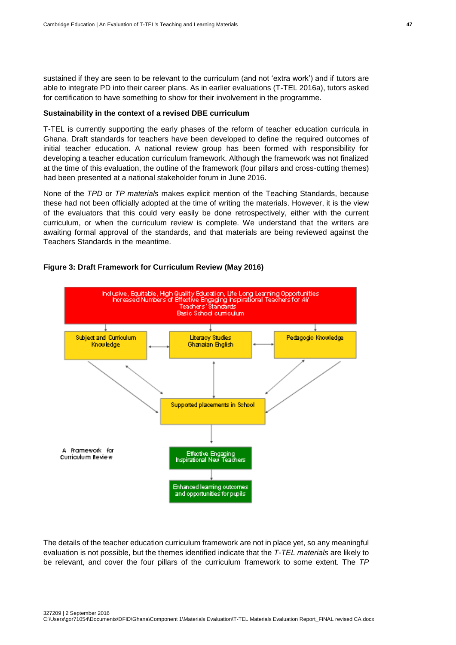sustained if they are seen to be relevant to the curriculum (and not 'extra work') and if tutors are able to integrate PD into their career plans. As in earlier evaluations (T-TEL 2016a), tutors asked for certification to have something to show for their involvement in the programme.

#### **Sustainability in the context of a revised DBE curriculum**

T-TEL is currently supporting the early phases of the reform of teacher education curricula in Ghana. Draft standards for teachers have been developed to define the required outcomes of initial teacher education. A national review group has been formed with responsibility for developing a teacher education curriculum framework. Although the framework was not finalized at the time of this evaluation, the outline of the framework (four pillars and cross-cutting themes) had been presented at a national stakeholder forum in June 2016.

None of the *TPD* or *TP materials* makes explicit mention of the Teaching Standards, because these had not been officially adopted at the time of writing the materials. However, it is the view of the evaluators that this could very easily be done retrospectively, either with the current curriculum, or when the curriculum review is complete. We understand that the writers are awaiting formal approval of the standards, and that materials are being reviewed against the Teachers Standards in the meantime.



#### **Figure 3: Draft Framework for Curriculum Review (May 2016)**

The details of the teacher education curriculum framework are not in place yet, so any meaningful evaluation is not possible, but the themes identified indicate that the *T-TEL materials* are likely to be relevant, and cover the four pillars of the curriculum framework to some extent. The *TP*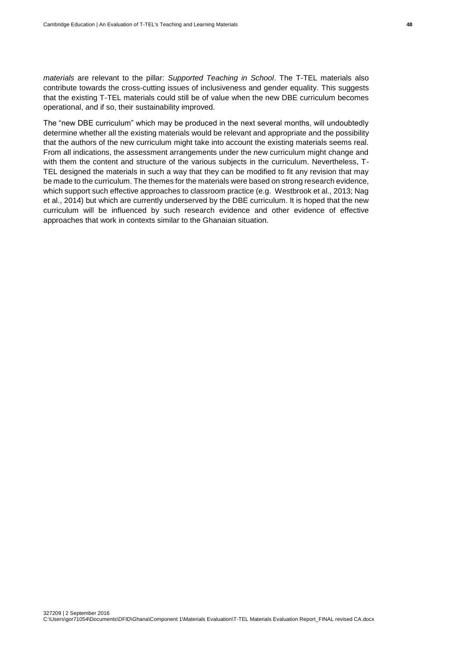*materials* are relevant to the pillar: *Supported Teaching in School*. The T-TEL materials also contribute towards the cross-cutting issues of inclusiveness and gender equality. This suggests that the existing T-TEL materials could still be of value when the new DBE curriculum becomes operational, and if so, their sustainability improved.

The "new DBE curriculum" which may be produced in the next several months, will undoubtedly determine whether all the existing materials would be relevant and appropriate and the possibility that the authors of the new curriculum might take into account the existing materials seems real. From all indications, the assessment arrangements under the new curriculum might change and with them the content and structure of the various subjects in the curriculum. Nevertheless, T-TEL designed the materials in such a way that they can be modified to fit any revision that may be made to the curriculum. The themes for the materials were based on strong research evidence, which support such effective approaches to classroom practice (e.g. Westbrook et al., 2013; Nag et al., 2014) but which are currently underserved by the DBE curriculum. It is hoped that the new curriculum will be influenced by such research evidence and other evidence of effective approaches that work in contexts similar to the Ghanaian situation.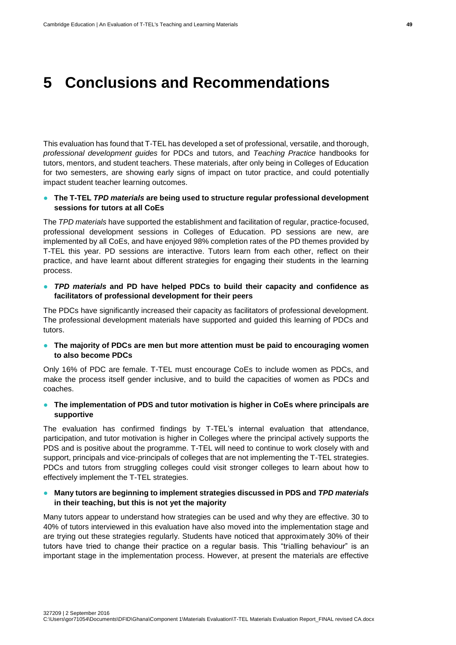# <span id="page-56-0"></span>**5 Conclusions and Recommendations**

This evaluation has found that T-TEL has developed a set of professional, versatile, and thorough, *professional development guides* for PDCs and tutors, and *Teaching Practice* handbooks for tutors, mentors, and student teachers. These materials, after only being in Colleges of Education for two semesters, are showing early signs of impact on tutor practice, and could potentially impact student teacher learning outcomes.

## ● **The T-TEL** *TPD materials* **are being used to structure regular professional development sessions for tutors at all CoEs**

The *TPD materials* have supported the establishment and facilitation of regular, practice-focused, professional development sessions in Colleges of Education. PD sessions are new, are implemented by all CoEs, and have enjoyed 98% completion rates of the PD themes provided by T-TEL this year. PD sessions are interactive. Tutors learn from each other, reflect on their practice, and have learnt about different strategies for engaging their students in the learning process.

● *TPD materials* **and PD have helped PDCs to build their capacity and confidence as facilitators of professional development for their peers**

The PDCs have significantly increased their capacity as facilitators of professional development. The professional development materials have supported and guided this learning of PDCs and tutors.

● **The majority of PDCs are men but more attention must be paid to encouraging women to also become PDCs**

Only 16% of PDC are female. T-TEL must encourage CoEs to include women as PDCs, and make the process itself gender inclusive, and to build the capacities of women as PDCs and coaches.

● **The implementation of PDS and tutor motivation is higher in CoEs where principals are supportive**

The evaluation has confirmed findings by T-TEL's internal evaluation that attendance, participation, and tutor motivation is higher in Colleges where the principal actively supports the PDS and is positive about the programme. T-TEL will need to continue to work closely with and support, principals and vice-principals of colleges that are not implementing the T-TEL strategies. PDCs and tutors from struggling colleges could visit stronger colleges to learn about how to effectively implement the T-TEL strategies.

# ● Many tutors are beginning to implement strategies discussed in PDS and *TPD materials* **in their teaching, but this is not yet the majority**

Many tutors appear to understand how strategies can be used and why they are effective. 30 to 40% of tutors interviewed in this evaluation have also moved into the implementation stage and are trying out these strategies regularly. Students have noticed that approximately 30% of their tutors have tried to change their practice on a regular basis. This "trialling behaviour" is an important stage in the implementation process. However, at present the materials are effective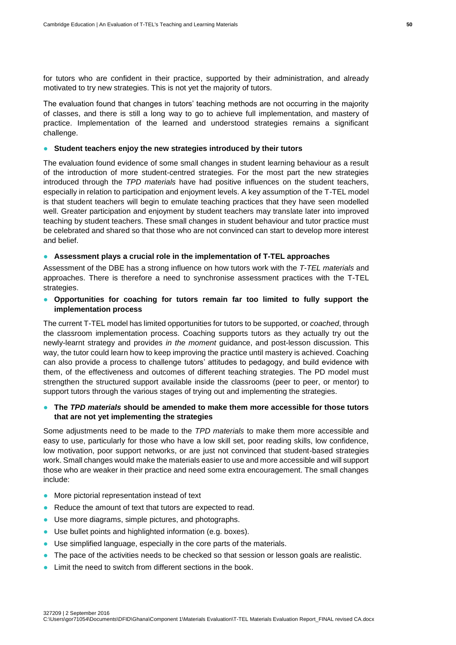for tutors who are confident in their practice, supported by their administration, and already motivated to try new strategies. This is not yet the majority of tutors.

The evaluation found that changes in tutors' teaching methods are not occurring in the majority of classes, and there is still a long way to go to achieve full implementation, and mastery of practice. Implementation of the learned and understood strategies remains a significant challenge.

#### ● **Student teachers enjoy the new strategies introduced by their tutors**

The evaluation found evidence of some small changes in student learning behaviour as a result of the introduction of more student-centred strategies. For the most part the new strategies introduced through the *TPD materials* have had positive influences on the student teachers, especially in relation to participation and enjoyment levels. A key assumption of the T-TEL model is that student teachers will begin to emulate teaching practices that they have seen modelled well. Greater participation and enjoyment by student teachers may translate later into improved teaching by student teachers. These small changes in student behaviour and tutor practice must be celebrated and shared so that those who are not convinced can start to develop more interest and belief.

## ● **Assessment plays a crucial role in the implementation of T-TEL approaches**

Assessment of the DBE has a strong influence on how tutors work with the *T-TEL materials* and approaches. There is therefore a need to synchronise assessment practices with the T-TEL strategies.

# ● **Opportunities for coaching for tutors remain far too limited to fully support the implementation process**

The current T-TEL model has limited opportunities for tutors to be supported, or *coached*, through the classroom implementation process. Coaching supports tutors as they actually try out the newly-learnt strategy and provides *in the moment* guidance, and post-lesson discussion. This way, the tutor could learn how to keep improving the practice until mastery is achieved. Coaching can also provide a process to challenge tutors' attitudes to pedagogy, and build evidence with them, of the effectiveness and outcomes of different teaching strategies. The PD model must strengthen the structured support available inside the classrooms (peer to peer, or mentor) to support tutors through the various stages of trying out and implementing the strategies.

# ● **The** *TPD materials* **should be amended to make them more accessible for those tutors that are not yet implementing the strategies**

Some adjustments need to be made to the *TPD materials* to make them more accessible and easy to use, particularly for those who have a low skill set, poor reading skills, low confidence, low motivation, poor support networks, or are just not convinced that student-based strategies work. Small changes would make the materials easier to use and more accessible and will support those who are weaker in their practice and need some extra encouragement. The small changes include:

- More pictorial representation instead of text
- Reduce the amount of text that tutors are expected to read.
- Use more diagrams, simple pictures, and photographs.
- Use bullet points and highlighted information (e.g. boxes).
- Use simplified language, especially in the core parts of the materials.
- The pace of the activities needs to be checked so that session or lesson goals are realistic.
- Limit the need to switch from different sections in the book.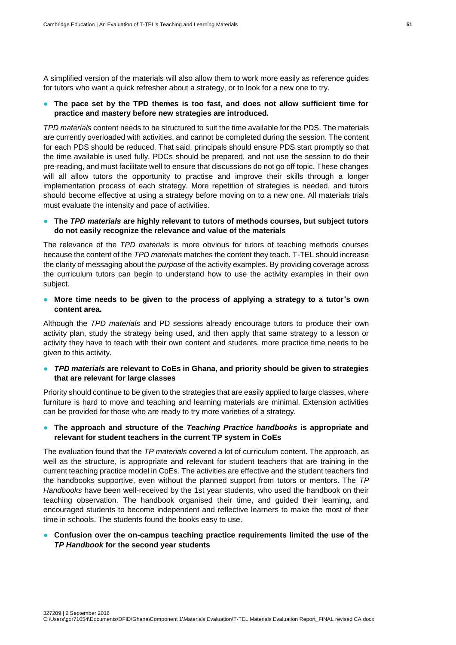A simplified version of the materials will also allow them to work more easily as reference guides for tutors who want a quick refresher about a strategy, or to look for a new one to try.

#### ● **The pace set by the TPD themes is too fast, and does not allow sufficient time for practice and mastery before new strategies are introduced.**

*TPD materials* content needs to be structured to suit the time available for the PDS. The materials are currently overloaded with activities, and cannot be completed during the session. The content for each PDS should be reduced. That said, principals should ensure PDS start promptly so that the time available is used fully. PDCs should be prepared, and not use the session to do their pre-reading, and must facilitate well to ensure that discussions do not go off topic. These changes will all allow tutors the opportunity to practise and improve their skills through a longer implementation process of each strategy. More repetition of strategies is needed, and tutors should become effective at using a strategy before moving on to a new one. All materials trials must evaluate the intensity and pace of activities.

#### ● **The** *TPD materials* **are highly relevant to tutors of methods courses, but subject tutors do not easily recognize the relevance and value of the materials**

The relevance of the *TPD materials* is more obvious for tutors of teaching methods courses because the content of the *TPD materials* matches the content they teach. T-TEL should increase the clarity of messaging about the *purpose* of the activity examples. By providing coverage across the curriculum tutors can begin to understand how to use the activity examples in their own subject.

# ● **More time needs to be given to the process of applying a strategy to a tutor's own content area.**

Although the *TPD materials* and PD sessions already encourage tutors to produce their own activity plan, study the strategy being used, and then apply that same strategy to a lesson or activity they have to teach with their own content and students, more practice time needs to be given to this activity.

#### ● *TPD materials* **are relevant to CoEs in Ghana, and priority should be given to strategies that are relevant for large classes**

Priority should continue to be given to the strategies that are easily applied to large classes, where furniture is hard to move and teaching and learning materials are minimal. Extension activities can be provided for those who are ready to try more varieties of a strategy.

### ● **The approach and structure of the** *Teaching Practice handbooks* **is appropriate and relevant for student teachers in the current TP system in CoEs**

The evaluation found that the *TP materials* covered a lot of curriculum content. The approach, as well as the structure, is appropriate and relevant for student teachers that are training in the current teaching practice model in CoEs. The activities are effective and the student teachers find the handbooks supportive, even without the planned support from tutors or mentors. The *TP Handbooks* have been well-received by the 1st year students, who used the handbook on their teaching observation. The handbook organised their time, and guided their learning, and encouraged students to become independent and reflective learners to make the most of their time in schools. The students found the books easy to use.

#### ● **Confusion over the on-campus teaching practice requirements limited the use of the**  *TP Handbook* **for the second year students**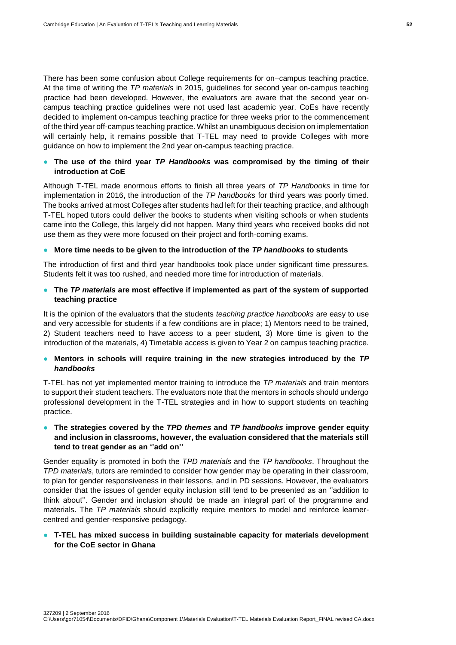There has been some confusion about College requirements for on–campus teaching practice. At the time of writing the *TP materials* in 2015, guidelines for second year on-campus teaching practice had been developed. However, the evaluators are aware that the second year oncampus teaching practice guidelines were not used last academic year. CoEs have recently decided to implement on-campus teaching practice for three weeks prior to the commencement of the third year off-campus teaching practice. Whilst an unambiguous decision on implementation will certainly help, it remains possible that T-TEL may need to provide Colleges with more guidance on how to implement the 2nd year on-campus teaching practice.

# ● **The use of the third year** *TP Handbooks* **was compromised by the timing of their introduction at CoE**

Although T-TEL made enormous efforts to finish all three years of *TP Handbooks* in time for implementation in 2016, the introduction of the *TP handbooks* for third years was poorly timed. The books arrived at most Colleges after students had left for their teaching practice, and although T-TEL hoped tutors could deliver the books to students when visiting schools or when students came into the College, this largely did not happen. Many third years who received books did not use them as they were more focused on their project and forth-coming exams.

#### ● **More time needs to be given to the introduction of the** *TP handbooks* **to students**

The introduction of first and third year handbooks took place under significant time pressures. Students felt it was too rushed, and needed more time for introduction of materials.

# ● **The** *TP materials* **are most effective if implemented as part of the system of supported teaching practice**

It is the opinion of the evaluators that the students *teaching practice handbooks* are easy to use and very accessible for students if a few conditions are in place; 1) Mentors need to be trained, 2) Student teachers need to have access to a peer student, 3) More time is given to the introduction of the materials, 4) Timetable access is given to Year 2 on campus teaching practice.

# ● **Mentors in schools will require training in the new strategies introduced by the** *TP handbooks*

T-TEL has not yet implemented mentor training to introduce the *TP materials* and train mentors to support their student teachers. The evaluators note that the mentors in schools should undergo professional development in the T-TEL strategies and in how to support students on teaching practice.

# ● **The strategies covered by the** *TPD themes* **and** *TP handbooks* **improve gender equity and inclusion in classrooms, however, the evaluation considered that the materials still tend to treat gender as an ''add on''**

Gender equality is promoted in both the *TPD materials* and the *TP handbooks*. Throughout the *TPD materials*, tutors are reminded to consider how gender may be operating in their classroom, to plan for gender responsiveness in their lessons, and in PD sessions. However, the evaluators consider that the issues of gender equity inclusion still tend to be presented as an ''addition to think about''. Gender and inclusion should be made an integral part of the programme and materials. The *TP materials* should explicitly require mentors to model and reinforce learnercentred and gender-responsive pedagogy.

#### ● **T-TEL has mixed success in building sustainable capacity for materials development for the CoE sector in Ghana**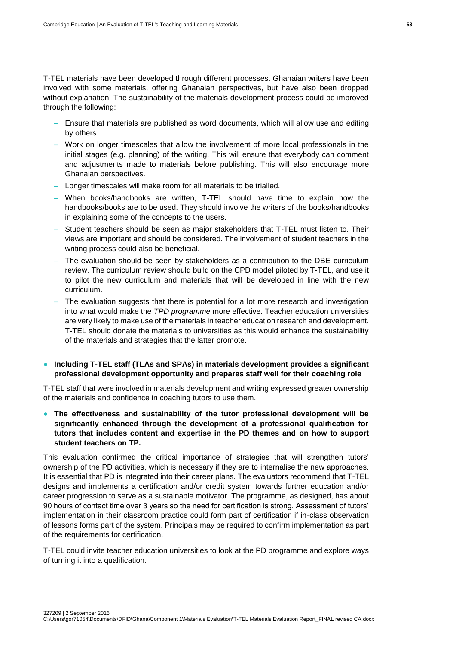T-TEL materials have been developed through different processes. Ghanaian writers have been involved with some materials, offering Ghanaian perspectives, but have also been dropped without explanation. The sustainability of the materials development process could be improved through the following:

- Ensure that materials are published as word documents, which will allow use and editing by others.
- Work on longer timescales that allow the involvement of more local professionals in the initial stages (e.g. planning) of the writing. This will ensure that everybody can comment and adjustments made to materials before publishing. This will also encourage more Ghanaian perspectives.
- Longer timescales will make room for all materials to be trialled.
- When books/handbooks are written, T-TEL should have time to explain how the handbooks/books are to be used. They should involve the writers of the books/handbooks in explaining some of the concepts to the users.
- Student teachers should be seen as major stakeholders that T-TEL must listen to. Their views are important and should be considered. The involvement of student teachers in the writing process could also be beneficial.
- The evaluation should be seen by stakeholders as a contribution to the DBE curriculum review. The curriculum review should build on the CPD model piloted by T-TEL, and use it to pilot the new curriculum and materials that will be developed in line with the new curriculum.
- The evaluation suggests that there is potential for a lot more research and investigation into what would make the *TPD programme* more effective. Teacher education universities are very likely to make use of the materials in teacher education research and development. T-TEL should donate the materials to universities as this would enhance the sustainability of the materials and strategies that the latter promote.
- **Including T-TEL staff (TLAs and SPAs) in materials development provides a significant professional development opportunity and prepares staff well for their coaching role**

T-TEL staff that were involved in materials development and writing expressed greater ownership of the materials and confidence in coaching tutors to use them.

● **The effectiveness and sustainability of the tutor professional development will be significantly enhanced through the development of a professional qualification for tutors that includes content and expertise in the PD themes and on how to support student teachers on TP.**

This evaluation confirmed the critical importance of strategies that will strengthen tutors' ownership of the PD activities, which is necessary if they are to internalise the new approaches. It is essential that PD is integrated into their career plans. The evaluators recommend that T-TEL designs and implements a certification and/or credit system towards further education and/or career progression to serve as a sustainable motivator. The programme, as designed, has about 90 hours of contact time over 3 years so the need for certification is strong. Assessment of tutors' implementation in their classroom practice could form part of certification if in-class observation of lessons forms part of the system. Principals may be required to confirm implementation as part of the requirements for certification.

T-TEL could invite teacher education universities to look at the PD programme and explore ways of turning it into a qualification.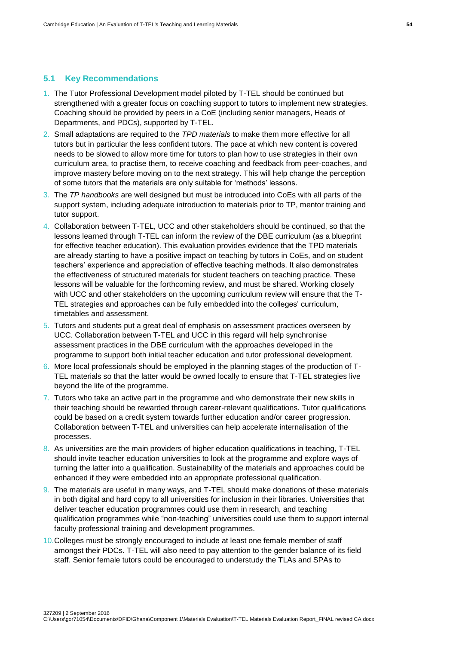#### <span id="page-61-0"></span>**5.1 Key Recommendations**

- 1. The Tutor Professional Development model piloted by T-TEL should be continued but strengthened with a greater focus on coaching support to tutors to implement new strategies. Coaching should be provided by peers in a CoE (including senior managers, Heads of Departments, and PDCs), supported by T-TEL.
- 2. Small adaptations are required to the *TPD materials* to make them more effective for all tutors but in particular the less confident tutors. The pace at which new content is covered needs to be slowed to allow more time for tutors to plan how to use strategies in their own curriculum area, to practise them, to receive coaching and feedback from peer-coaches, and improve mastery before moving on to the next strategy. This will help change the perception of some tutors that the materials are only suitable for 'methods' lessons.
- 3. The *TP handbooks* are well designed but must be introduced into CoEs with all parts of the support system, including adequate introduction to materials prior to TP, mentor training and tutor support.
- 4. Collaboration between T-TEL, UCC and other stakeholders should be continued, so that the lessons learned through T-TEL can inform the review of the DBE curriculum (as a blueprint for effective teacher education). This evaluation provides evidence that the TPD materials are already starting to have a positive impact on teaching by tutors in CoEs, and on student teachers' experience and appreciation of effective teaching methods. It also demonstrates the effectiveness of structured materials for student teachers on teaching practice. These lessons will be valuable for the forthcoming review, and must be shared. Working closely with UCC and other stakeholders on the upcoming curriculum review will ensure that the T-TEL strategies and approaches can be fully embedded into the colleges' curriculum, timetables and assessment.
- 5. Tutors and students put a great deal of emphasis on assessment practices overseen by UCC. Collaboration between T-TEL and UCC in this regard will help synchronise assessment practices in the DBE curriculum with the approaches developed in the programme to support both initial teacher education and tutor professional development.
- 6. More local professionals should be employed in the planning stages of the production of T-TEL materials so that the latter would be owned locally to ensure that T-TEL strategies live beyond the life of the programme.
- 7. Tutors who take an active part in the programme and who demonstrate their new skills in their teaching should be rewarded through career-relevant qualifications. Tutor qualifications could be based on a credit system towards further education and/or career progression. Collaboration between T-TEL and universities can help accelerate internalisation of the processes.
- 8. As universities are the main providers of higher education qualifications in teaching, T-TEL should invite teacher education universities to look at the programme and explore ways of turning the latter into a qualification. Sustainability of the materials and approaches could be enhanced if they were embedded into an appropriate professional qualification.
- 9. The materials are useful in many ways, and T-TEL should make donations of these materials in both digital and hard copy to all universities for inclusion in their libraries. Universities that deliver teacher education programmes could use them in research, and teaching qualification programmes while "non-teaching" universities could use them to support internal faculty professional training and development programmes.
- 10.Colleges must be strongly encouraged to include at least one female member of staff amongst their PDCs. T-TEL will also need to pay attention to the gender balance of its field staff. Senior female tutors could be encouraged to understudy the TLAs and SPAs to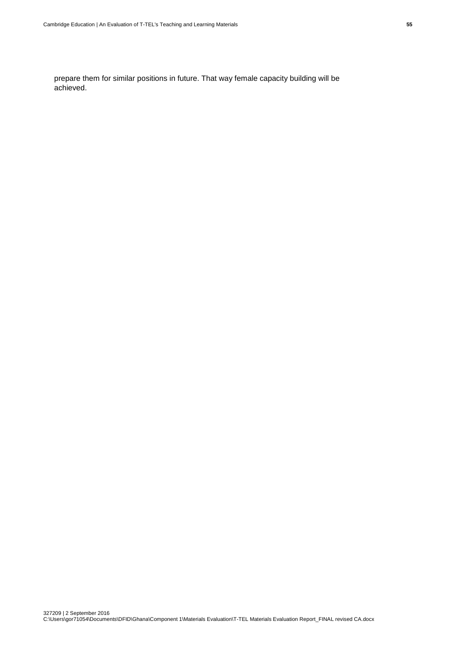prepare them for similar positions in future. That way female capacity building will be achieved.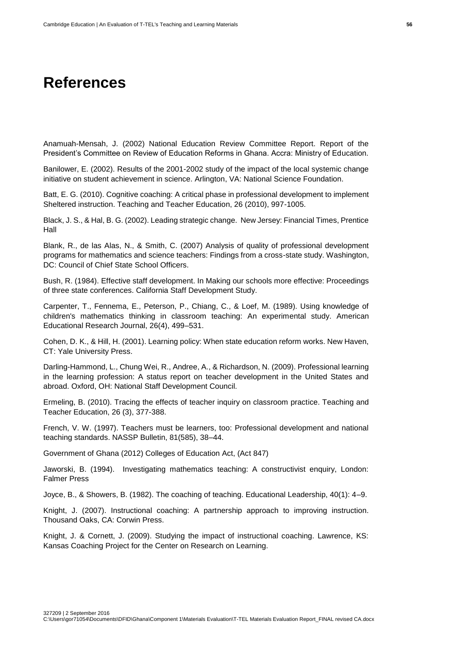# **References**

Anamuah-Mensah, J. (2002) National Education Review Committee Report. Report of the President's Committee on Review of Education Reforms in Ghana. Accra: Ministry of Education.

Banilower, E. (2002). Results of the 2001-2002 study of the impact of the local systemic change initiative on student achievement in science. Arlington, VA: National Science Foundation.

Batt, E. G. (2010). Cognitive coaching: A critical phase in professional development to implement Sheltered instruction. Teaching and Teacher Education, 26 (2010), 997-1005.

Black, J. S., & Hal, B. G. (2002). Leading strategic change. New Jersey: Financial Times, Prentice Hall

Blank, R., de las Alas, N., & Smith, C. (2007) Analysis of quality of professional development programs for mathematics and science teachers: Findings from a cross-state study. Washington, DC: Council of Chief State School Officers.

Bush, R. (1984). Effective staff development. In Making our schools more effective: Proceedings of three state conferences. California Staff Development Study.

Carpenter, T., Fennema, E., Peterson, P., Chiang, C., & Loef, M. (1989). Using knowledge of children's mathematics thinking in classroom teaching: An experimental study. American Educational Research Journal, 26(4), 499–531.

Cohen, D. K., & Hill, H. (2001). Learning policy: When state education reform works. New Haven, CT: Yale University Press.

Darling-Hammond, L., Chung Wei, R., Andree, A., & Richardson, N. (2009). Professional learning in the learning profession: A status report on teacher development in the United States and abroad. Oxford, OH: National Staff Development Council.

Ermeling, B. (2010). Tracing the effects of teacher inquiry on classroom practice. Teaching and Teacher Education, 26 (3), 377-388.

French, V. W. (1997). Teachers must be learners, too: Professional development and national teaching standards. NASSP Bulletin, 81(585), 38–44.

Government of Ghana (2012) Colleges of Education Act, (Act 847)

Jaworski, B. (1994). Investigating mathematics teaching: A constructivist enquiry, London: Falmer Press

Joyce, B., & Showers, B. (1982). The coaching of teaching. Educational Leadership, 40(1): 4–9.

Knight, J. (2007). Instructional coaching: A partnership approach to improving instruction. Thousand Oaks, CA: Corwin Press.

Knight, J. & Cornett, J. (2009). Studying the impact of instructional coaching. Lawrence, KS: Kansas Coaching Project for the Center on Research on Learning.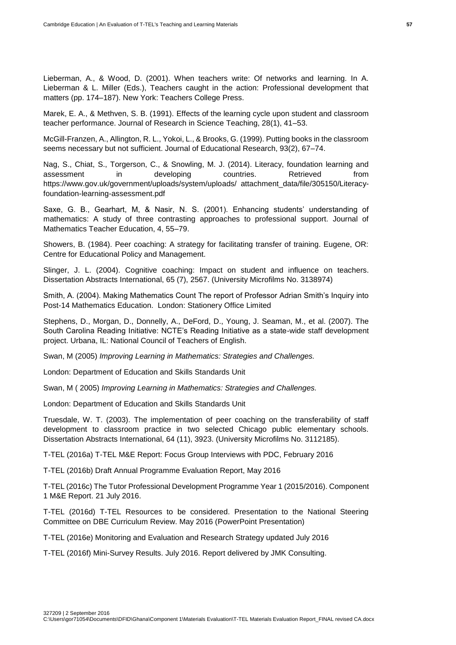Lieberman, A., & Wood, D. (2001). When teachers write: Of networks and learning. In A. Lieberman & L. Miller (Eds.), Teachers caught in the action: Professional development that matters (pp. 174–187). New York: Teachers College Press.

Marek, E. A., & Methven, S. B. (1991). Effects of the learning cycle upon student and classroom teacher performance. Journal of Research in Science Teaching, 28(1), 41–53.

McGill-Franzen, A., Allington, R. L., Yokoi, L., & Brooks, G. (1999). Putting books in the classroom seems necessary but not sufficient. Journal of Educational Research, 93(2), 67–74.

Nag, S., Chiat, S., Torgerson, C., & Snowling, M. J. (2014). Literacy, foundation learning and assessment in developing countries. Retrieved from https://www.gov.uk/government/uploads/system/uploads/ attachment\_data/file/305150/Literacyfoundation-learning-assessment.pdf

Saxe, G. B., Gearhart, M, & Nasir, N. S. (2001). Enhancing students' understanding of mathematics: A study of three contrasting approaches to professional support. Journal of Mathematics Teacher Education, 4, 55–79.

Showers, B. (1984). Peer coaching: A strategy for facilitating transfer of training. Eugene, OR: Centre for Educational Policy and Management.

Slinger, J. L. (2004). Cognitive coaching: Impact on student and influence on teachers. Dissertation Abstracts International, 65 (7), 2567. (University Microfilms No. 3138974)

Smith, A. (2004). Making Mathematics Count The report of Professor Adrian Smith's Inquiry into Post-14 Mathematics Education. London: Stationery Office Limited

Stephens, D., Morgan, D., Donnelly, A., DeFord, D., Young, J. Seaman, M., et al. (2007). The South Carolina Reading Initiative: NCTE's Reading Initiative as a state-wide staff development project. Urbana, IL: National Council of Teachers of English.

Swan, M (2005) *Improving Learning in Mathematics: Strategies and Challenges.*

London: Department of Education and Skills Standards Unit

Swan, M ( 2005) *Improving Learning in Mathematics: Strategies and Challenges.*

London: Department of Education and Skills Standards Unit

Truesdale, W. T. (2003). The implementation of peer coaching on the transferability of staff development to classroom practice in two selected Chicago public elementary schools. Dissertation Abstracts International, 64 (11), 3923. (University Microfilms No. 3112185).

T-TEL (2016a) T-TEL M&E Report: Focus Group Interviews with PDC, February 2016

T-TEL (2016b) Draft Annual Programme Evaluation Report, May 2016

T-TEL (2016c) The Tutor Professional Development Programme Year 1 (2015/2016). Component 1 M&E Report. 21 July 2016.

T-TEL (2016d) T-TEL Resources to be considered. Presentation to the National Steering Committee on DBE Curriculum Review. May 2016 (PowerPoint Presentation)

T-TEL (2016e) Monitoring and Evaluation and Research Strategy updated July 2016

T-TEL (2016f) Mini-Survey Results. July 2016. Report delivered by JMK Consulting.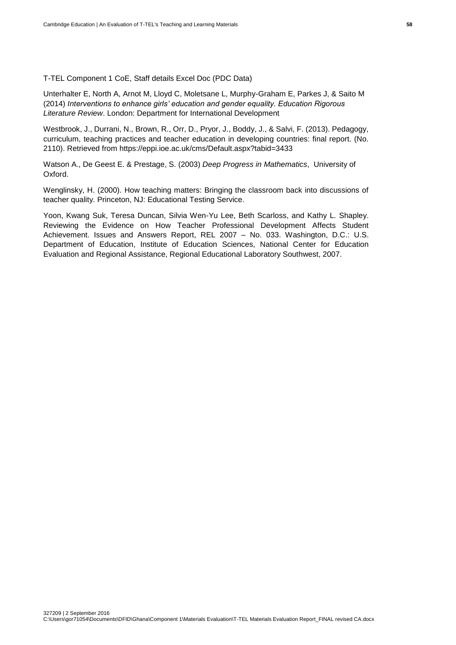T-TEL Component 1 CoE, Staff details Excel Doc (PDC Data)

Unterhalter E, North A, Arnot M, Lloyd C, Moletsane L, Murphy-Graham E, Parkes J, & Saito M (2014) *Interventions to enhance girls' education and gender equality. Education Rigorous Literature Review*. London: Department for International Development

Westbrook, J., Durrani, N., Brown, R., Orr, D., Pryor, J., Boddy, J., & Salvi, F. (2013). Pedagogy, curriculum, teaching practices and teacher education in developing countries: final report. (No. 2110). Retrieved from https://eppi.ioe.ac.uk/cms/Default.aspx?tabid=3433

Watson A., De Geest E. & Prestage, S. (2003) *Deep Progress in Mathematics*, University of Oxford.

Wenglinsky, H. (2000). How teaching matters: Bringing the classroom back into discussions of teacher quality. Princeton, NJ: Educational Testing Service.

Yoon, Kwang Suk, Teresa Duncan, Silvia Wen-Yu Lee, Beth Scarloss, and Kathy L. Shapley. Reviewing the Evidence on How Teacher Professional Development Affects Student Achievement. Issues and Answers Report, REL 2007 – No. 033. Washington, D.C.: U.S. Department of Education, Institute of Education Sciences, National Center for Education Evaluation and Regional Assistance, Regional Educational Laboratory Southwest, 2007.